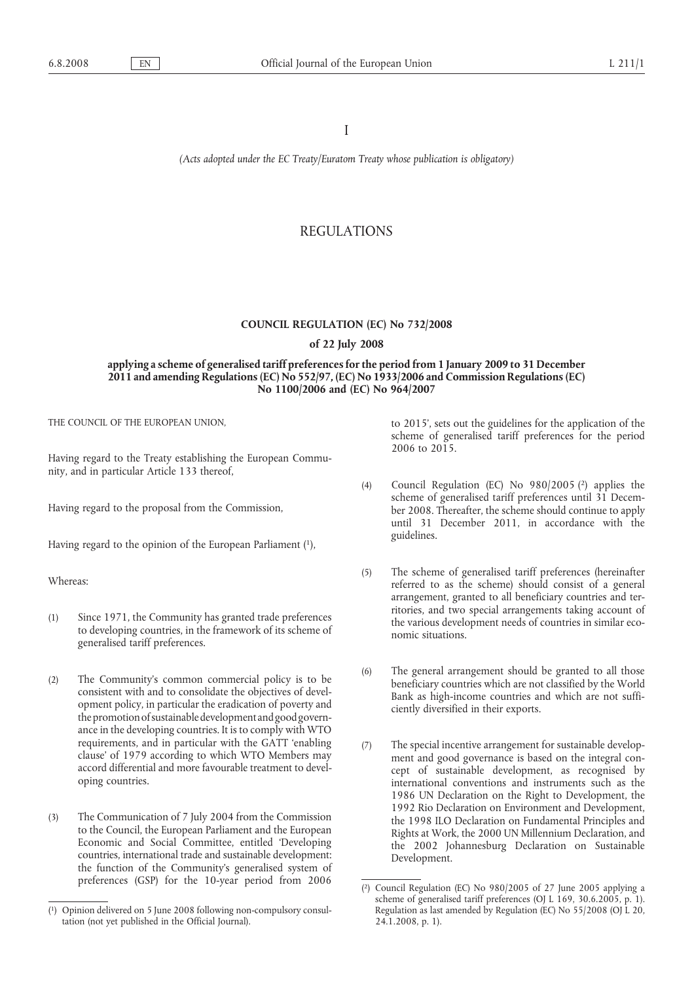I

*(Acts adopted under the EC Treaty/Euratom Treaty whose publication is obligatory)*

# REGULATIONS

## **COUNCIL REGULATION (EC) No 732/2008**

### **of 22 July 2008**

## **applying a scheme of generalised tariff preferences for the period from 1 January 2009 to 31 December 2011 and amending Regulations (EC) No 552/97, (EC) No 1933/2006 and Commission Regulations (EC) No 1100/2006 and (EC) No 964/2007**

THE COUNCIL OF THE EUROPEAN UNION,

Having regard to the Treaty establishing the European Community, and in particular Article 133 thereof,

Having regard to the proposal from the Commission,

Having regard to the opinion of the European Parliament (1),

Whereas:

- (1) Since 1971, the Community has granted trade preferences to developing countries, in the framework of its scheme of generalised tariff preferences.
- (2) The Community's common commercial policy is to be consistent with and to consolidate the objectives of development policy, in particular the eradication of poverty and the promotion of sustainable development and good governance in the developing countries. It is to comply with WTO requirements, and in particular with the GATT 'enabling clause' of 1979 according to which WTO Members may accord differential and more favourable treatment to developing countries.
- (3) The Communication of 7 July 2004 from the Commission to the Council, the European Parliament and the European Economic and Social Committee, entitled 'Developing countries, international trade and sustainable development: the function of the Community's generalised system of preferences (GSP) for the 10-year period from 2006

to 2015', sets out the guidelines for the application of the scheme of generalised tariff preferences for the period 2006 to 2015.

- (4) Council Regulation (EC) No 980/2005 (2) applies the scheme of generalised tariff preferences until 31 December 2008. Thereafter, the scheme should continue to apply until 31 December 2011, in accordance with the guidelines.
- (5) The scheme of generalised tariff preferences (hereinafter referred to as the scheme) should consist of a general arrangement, granted to all beneficiary countries and territories, and two special arrangements taking account of the various development needs of countries in similar economic situations.
- (6) The general arrangement should be granted to all those beneficiary countries which are not classified by the World Bank as high-income countries and which are not sufficiently diversified in their exports.
- (7) The special incentive arrangement for sustainable development and good governance is based on the integral concept of sustainable development, as recognised by international conventions and instruments such as the 1986 UN Declaration on the Right to Development, the 1992 Rio Declaration on Environment and Development, the 1998 ILO Declaration on Fundamental Principles and Rights at Work, the 2000 UN Millennium Declaration, and the 2002 Johannesburg Declaration on Sustainable Development.

<sup>(</sup> 1) Opinion delivered on 5 June 2008 following non-compulsory consultation (not yet published in the Official Journal).

<sup>(</sup> 2) Council Regulation (EC) No 980/2005 of 27 June 2005 applying a scheme of generalised tariff preferences (OJ L 169, 30.6.2005, p. 1). Regulation as last amended by Regulation (EC) No 55/2008 (OJ L 20, 24.1.2008, p. 1).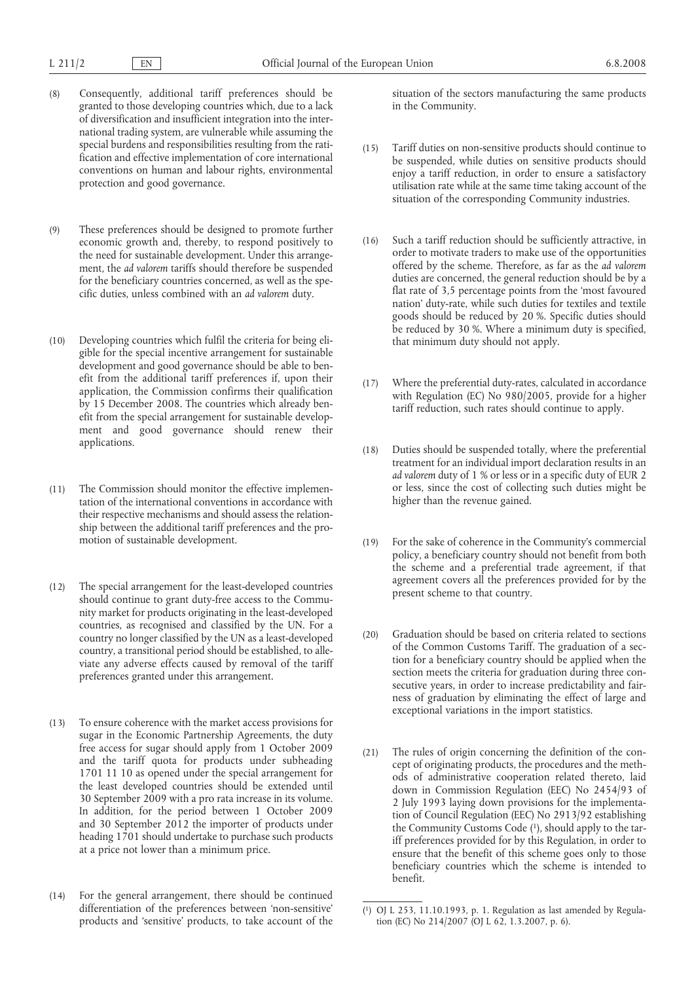- (8) Consequently, additional tariff preferences should be granted to those developing countries which, due to a lack of diversification and insufficient integration into the international trading system, are vulnerable while assuming the special burdens and responsibilities resulting from the ratification and effective implementation of core international conventions on human and labour rights, environmental protection and good governance.
- (9) These preferences should be designed to promote further economic growth and, thereby, to respond positively to the need for sustainable development. Under this arrangement, the *ad valorem* tariffs should therefore be suspended for the beneficiary countries concerned, as well as the specific duties, unless combined with an *ad valorem* duty.
- (10) Developing countries which fulfil the criteria for being eligible for the special incentive arrangement for sustainable development and good governance should be able to benefit from the additional tariff preferences if, upon their application, the Commission confirms their qualification by 15 December 2008. The countries which already benefit from the special arrangement for sustainable development and good governance should renew their applications.
- (11) The Commission should monitor the effective implementation of the international conventions in accordance with their respective mechanisms and should assess the relationship between the additional tariff preferences and the promotion of sustainable development.
- (12) The special arrangement for the least-developed countries should continue to grant duty-free access to the Community market for products originating in the least-developed countries, as recognised and classified by the UN. For a country no longer classified by the UN as a least-developed country, a transitional period should be established, to alleviate any adverse effects caused by removal of the tariff preferences granted under this arrangement.
- (13) To ensure coherence with the market access provisions for sugar in the Economic Partnership Agreements, the duty free access for sugar should apply from 1 October 2009 and the tariff quota for products under subheading 1701 11 10 as opened under the special arrangement for the least developed countries should be extended until 30 September 2009 with a pro rata increase in its volume. In addition, for the period between 1 October 2009 and 30 September 2012 the importer of products under heading 1701 should undertake to purchase such products at a price not lower than a minimum price.
- (14) For the general arrangement, there should be continued differentiation of the preferences between 'non-sensitive' products and 'sensitive' products, to take account of the

situation of the sectors manufacturing the same products in the Community.

- (15) Tariff duties on non-sensitive products should continue to be suspended, while duties on sensitive products should enjoy a tariff reduction, in order to ensure a satisfactory utilisation rate while at the same time taking account of the situation of the corresponding Community industries.
- (16) Such a tariff reduction should be sufficiently attractive, in order to motivate traders to make use of the opportunities offered by the scheme. Therefore, as far as the *ad valorem* duties are concerned, the general reduction should be by a flat rate of 3,5 percentage points from the 'most favoured nation' duty-rate, while such duties for textiles and textile goods should be reduced by 20 %. Specific duties should be reduced by 30 %. Where a minimum duty is specified, that minimum duty should not apply.
- (17) Where the preferential duty-rates, calculated in accordance with Regulation (EC) No 980/2005, provide for a higher tariff reduction, such rates should continue to apply.
- (18) Duties should be suspended totally, where the preferential treatment for an individual import declaration results in an *ad valorem* duty of 1 % or less or in a specific duty of EUR 2 or less, since the cost of collecting such duties might be higher than the revenue gained.
- (19) For the sake of coherence in the Community's commercial policy, a beneficiary country should not benefit from both the scheme and a preferential trade agreement, if that agreement covers all the preferences provided for by the present scheme to that country.
- (20) Graduation should be based on criteria related to sections of the Common Customs Tariff. The graduation of a section for a beneficiary country should be applied when the section meets the criteria for graduation during three consecutive years, in order to increase predictability and fairness of graduation by eliminating the effect of large and exceptional variations in the import statistics.
- (21) The rules of origin concerning the definition of the concept of originating products, the procedures and the methods of administrative cooperation related thereto, laid down in Commission Regulation (EEC) No 2454/93 of 2 July 1993 laying down provisions for the implementation of Council Regulation (EEC) No 2913/92 establishing the Community Customs Code (1), should apply to the tariff preferences provided for by this Regulation, in order to ensure that the benefit of this scheme goes only to those beneficiary countries which the scheme is intended to benefit.

<sup>(</sup> 1) OJ L 253, 11.10.1993, p. 1. Regulation as last amended by Regulation (EC) No 214/2007 (OJ L 62, 1.3.2007, p. 6).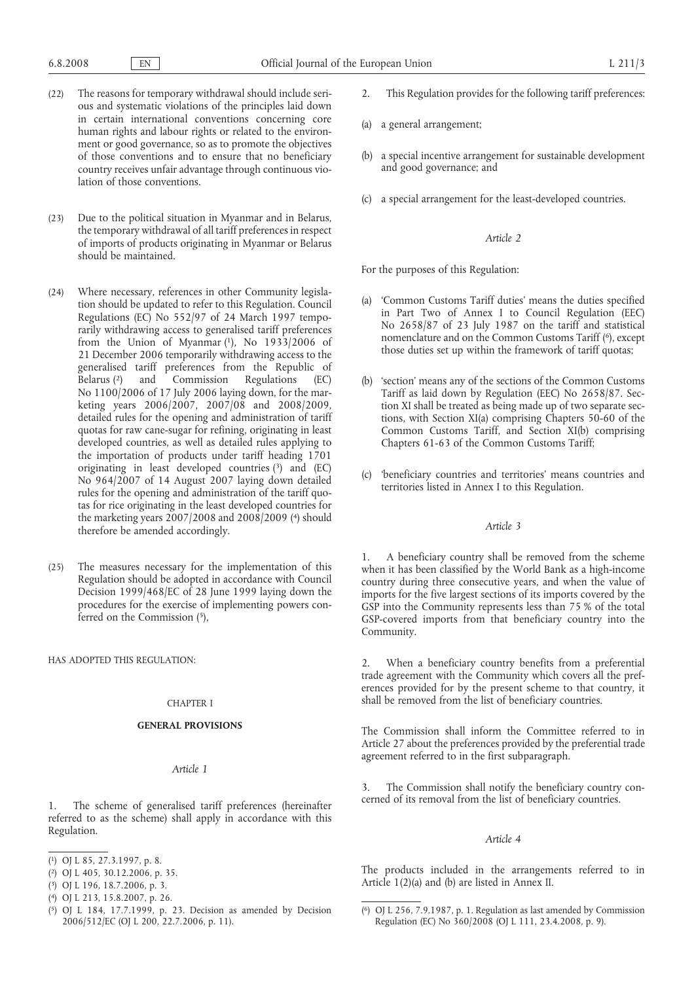- (22) The reasons for temporary withdrawal should include serious and systematic violations of the principles laid down in certain international conventions concerning core human rights and labour rights or related to the environment or good governance, so as to promote the objectives of those conventions and to ensure that no beneficiary country receives unfair advantage through continuous violation of those conventions.
- (23) Due to the political situation in Myanmar and in Belarus, the temporary withdrawal of all tariff preferences in respect of imports of products originating in Myanmar or Belarus should be maintained.
- (24) Where necessary, references in other Community legislation should be updated to refer to this Regulation. Council Regulations (EC) No 552/97 of 24 March 1997 temporarily withdrawing access to generalised tariff preferences from the Union of Myanmar  $(1)$ , No  $1933/2006$  of 21 December 2006 temporarily withdrawing access to the generalised tariff preferences from the Republic of Belarus (2) and Commission Regulations (EC) No 1100/2006 of 17 July 2006 laying down, for the marketing years  $2006/2007$ ,  $2007/08$  and  $2008/2009$ , detailed rules for the opening and administration of tariff quotas for raw cane-sugar for refining, originating in least developed countries, as well as detailed rules applying to the importation of products under tariff heading 1701 originating in least developed countries (3) and (EC) No 964/2007 of 14 August 2007 laying down detailed rules for the opening and administration of the tariff quotas for rice originating in the least developed countries for the marketing years 2007/2008 and 2008/2009 (4) should therefore be amended accordingly.
- (25) The measures necessary for the implementation of this Regulation should be adopted in accordance with Council Decision 1999/468/EC of 28 June 1999 laying down the procedures for the exercise of implementing powers conferred on the Commission (5),

HAS ADOPTED THIS REGULATION:

### CHAPTER I

## **GENERAL PROVISIONS**

### *Article 1*

1. The scheme of generalised tariff preferences (hereinafter referred to as the scheme) shall apply in accordance with this Regulation.

- 2. This Regulation provides for the following tariff preferences:
- (a) a general arrangement;
- (b) a special incentive arrangement for sustainable development and good governance; and
- (c) a special arrangement for the least-developed countries.

## *Article 2*

For the purposes of this Regulation:

- (a) 'Common Customs Tariff duties' means the duties specified in Part Two of Annex I to Council Regulation (EEC) No 2658/87 of 23 July 1987 on the tariff and statistical nomenclature and on the Common Customs Tariff (6), except those duties set up within the framework of tariff quotas;
- (b) 'section' means any of the sections of the Common Customs Tariff as laid down by Regulation (EEC) No 2658/87. Section XI shall be treated as being made up of two separate sections, with Section XI(a) comprising Chapters 50-60 of the Common Customs Tariff, and Section XI(b) comprising Chapters 61-63 of the Common Customs Tariff;
- (c) 'beneficiary countries and territories' means countries and territories listed in Annex I to this Regulation.

#### *Article 3*

1. A beneficiary country shall be removed from the scheme when it has been classified by the World Bank as a high-income country during three consecutive years, and when the value of imports for the five largest sections of its imports covered by the GSP into the Community represents less than 75 % of the total GSP-covered imports from that beneficiary country into the Community.

2. When a beneficiary country benefits from a preferential trade agreement with the Community which covers all the preferences provided for by the present scheme to that country, it shall be removed from the list of beneficiary countries.

The Commission shall inform the Committee referred to in Article 27 about the preferences provided by the preferential trade agreement referred to in the first subparagraph.

3. The Commission shall notify the beneficiary country concerned of its removal from the list of beneficiary countries.

### *Article 4*

The products included in the arrangements referred to in Article 1(2)(a) and (b) are listed in Annex II.

<sup>(</sup> 1) OJ L 85, 27.3.1997, p. 8.

<sup>(</sup> 2) OJ L 405, 30.12.2006, p. 35.

<sup>(</sup> 3) OJ L 196, 18.7.2006, p. 3.

<sup>(</sup> 4) OJ L 213, 15.8.2007, p. 26.

<sup>(</sup> 5) OJ L 184, 17.7.1999, p. 23. Decision as amended by Decision 2006/512/EC (OJ L 200, 22.7.2006, p. 11).

<sup>(</sup> 6) OJ L 256, 7.9.1987, p. 1. Regulation as last amended by Commission Regulation (EC) No 360/2008 (OJ L 111, 23.4.2008, p. 9).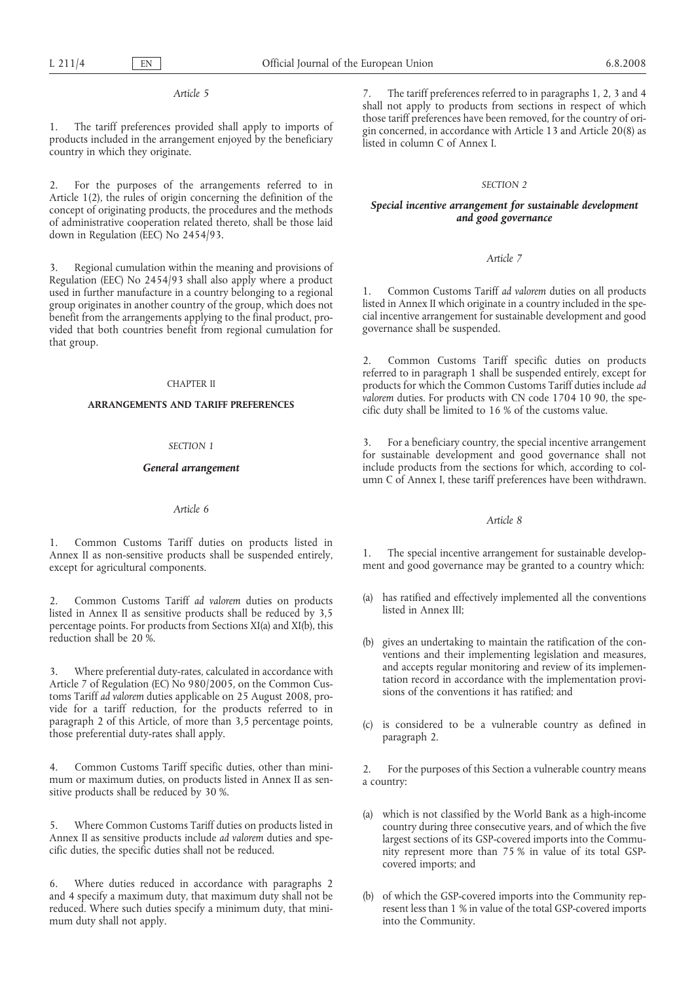*Article 5*

1. The tariff preferences provided shall apply to imports of products included in the arrangement enjoyed by the beneficiary country in which they originate.

2. For the purposes of the arrangements referred to in Article 1(2), the rules of origin concerning the definition of the concept of originating products, the procedures and the methods of administrative cooperation related thereto, shall be those laid down in Regulation (EEC) No 2454/93.

3. Regional cumulation within the meaning and provisions of Regulation (EEC) No 2454/93 shall also apply where a product used in further manufacture in a country belonging to a regional group originates in another country of the group, which does not benefit from the arrangements applying to the final product, provided that both countries benefit from regional cumulation for that group.

### CHAPTER II

## **ARRANGEMENTS AND TARIFF PREFERENCES**

## *SECTION 1*

## *General arrangement*

## *Article 6*

1. Common Customs Tariff duties on products listed in Annex II as non-sensitive products shall be suspended entirely, except for agricultural components.

2. Common Customs Tariff *ad valorem* duties on products listed in Annex II as sensitive products shall be reduced by 3,5 percentage points. For products from Sections XI(a) and XI(b), this reduction shall be 20 %.

3. Where preferential duty-rates, calculated in accordance with Article 7 of Regulation (EC) No 980/2005, on the Common Customs Tariff *ad valorem* duties applicable on 25 August 2008, provide for a tariff reduction, for the products referred to in paragraph 2 of this Article, of more than 3,5 percentage points, those preferential duty-rates shall apply.

4. Common Customs Tariff specific duties, other than minimum or maximum duties, on products listed in Annex II as sensitive products shall be reduced by 30 %.

5. Where Common Customs Tariff duties on products listed in Annex II as sensitive products include *ad valorem* duties and specific duties, the specific duties shall not be reduced.

6. Where duties reduced in accordance with paragraphs 2 and 4 specify a maximum duty, that maximum duty shall not be reduced. Where such duties specify a minimum duty, that minimum duty shall not apply.

7. The tariff preferences referred to in paragraphs 1, 2, 3 and 4 shall not apply to products from sections in respect of which those tariff preferences have been removed, for the country of origin concerned, in accordance with Article 13 and Article 20(8) as listed in column C of Annex I.

## *SECTION 2*

## *Special incentive arrangement for sustainable development and good governance*

## *Article 7*

1. Common Customs Tariff *ad valorem* duties on all products listed in Annex II which originate in a country included in the special incentive arrangement for sustainable development and good governance shall be suspended.

2. Common Customs Tariff specific duties on products referred to in paragraph 1 shall be suspended entirely, except for products for which the Common Customs Tariff duties include *ad valorem* duties. For products with CN code 1704 10 90, the specific duty shall be limited to 16 % of the customs value.

3. For a beneficiary country, the special incentive arrangement for sustainable development and good governance shall not include products from the sections for which, according to column C of Annex I, these tariff preferences have been withdrawn.

### *Article 8*

1. The special incentive arrangement for sustainable development and good governance may be granted to a country which:

- (a) has ratified and effectively implemented all the conventions listed in Annex III;
- (b) gives an undertaking to maintain the ratification of the conventions and their implementing legislation and measures, and accepts regular monitoring and review of its implementation record in accordance with the implementation provisions of the conventions it has ratified; and
- (c) is considered to be a vulnerable country as defined in paragraph 2.

2. For the purposes of this Section a vulnerable country means a country:

- (a) which is not classified by the World Bank as a high-income country during three consecutive years, and of which the five largest sections of its GSP-covered imports into the Community represent more than 75 % in value of its total GSPcovered imports; and
- (b) of which the GSP-covered imports into the Community represent less than 1 % in value of the total GSP-covered imports into the Community.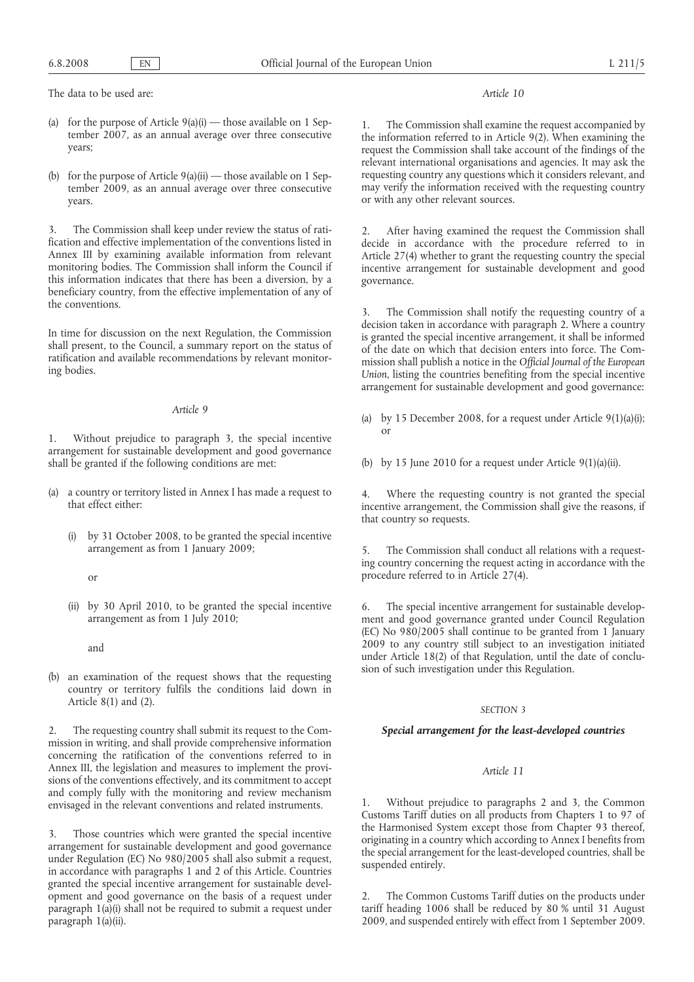The data to be used are:

- (a) for the purpose of Article  $9(a)(i)$  those available on 1 September 2007, as an annual average over three consecutive years;
- (b) for the purpose of Article  $9(a)(ii)$  those available on 1 September 2009, as an annual average over three consecutive years.

3. The Commission shall keep under review the status of ratification and effective implementation of the conventions listed in Annex III by examining available information from relevant monitoring bodies. The Commission shall inform the Council if this information indicates that there has been a diversion, by a beneficiary country, from the effective implementation of any of the conventions.

In time for discussion on the next Regulation, the Commission shall present, to the Council, a summary report on the status of ratification and available recommendations by relevant monitoring bodies.

#### *Article 9*

1. Without prejudice to paragraph 3, the special incentive arrangement for sustainable development and good governance shall be granted if the following conditions are met:

- (a) a country or territory listed in Annex I has made a request to that effect either:
	- by 31 October 2008, to be granted the special incentive arrangement as from 1 January 2009;

or

(ii) by 30 April 2010, to be granted the special incentive arrangement as from 1 July 2010;

and

(b) an examination of the request shows that the requesting country or territory fulfils the conditions laid down in Article 8(1) and (2).

2. The requesting country shall submit its request to the Commission in writing, and shall provide comprehensive information concerning the ratification of the conventions referred to in Annex III, the legislation and measures to implement the provisions of the conventions effectively, and its commitment to accept and comply fully with the monitoring and review mechanism envisaged in the relevant conventions and related instruments.

3. Those countries which were granted the special incentive arrangement for sustainable development and good governance under Regulation (EC) No 980/2005 shall also submit a request, in accordance with paragraphs 1 and 2 of this Article. Countries granted the special incentive arrangement for sustainable development and good governance on the basis of a request under paragraph 1(a)(i) shall not be required to submit a request under paragraph 1(a)(ii).

### *Article 10*

1. The Commission shall examine the request accompanied by the information referred to in Article 9(2). When examining the request the Commission shall take account of the findings of the relevant international organisations and agencies. It may ask the requesting country any questions which it considers relevant, and may verify the information received with the requesting country or with any other relevant sources.

2. After having examined the request the Commission shall decide in accordance with the procedure referred to in Article 27(4) whether to grant the requesting country the special incentive arrangement for sustainable development and good governance.

3. The Commission shall notify the requesting country of a decision taken in accordance with paragraph 2. Where a country is granted the special incentive arrangement, it shall be informed of the date on which that decision enters into force. The Commission shall publish a notice in the *Official Journal of the European* Union, listing the countries benefiting from the special incentive arrangement for sustainable development and good governance:

- (a) by 15 December 2008, for a request under Article  $9(1)(a)(i)$ ; or
- (b) by 15 June 2010 for a request under Article  $9(1)(a)(ii)$ .

Where the requesting country is not granted the special incentive arrangement, the Commission shall give the reasons, if that country so requests.

5. The Commission shall conduct all relations with a requesting country concerning the request acting in accordance with the procedure referred to in Article 27(4).

6. The special incentive arrangement for sustainable development and good governance granted under Council Regulation (EC) No 980/2005 shall continue to be granted from 1 January 2009 to any country still subject to an investigation initiated under Article 18(2) of that Regulation, until the date of conclusion of such investigation under this Regulation.

### *SECTION 3*

## *Special arrangement for the least-developed countries*

## *Article 11*

1. Without prejudice to paragraphs 2 and 3, the Common Customs Tariff duties on all products from Chapters 1 to 97 of the Harmonised System except those from Chapter 93 thereof, originating in a country which according to Annex I benefits from the special arrangement for the least-developed countries, shall be suspended entirely.

2. The Common Customs Tariff duties on the products under tariff heading 1006 shall be reduced by 80 % until 31 August 2009, and suspended entirely with effect from 1 September 2009.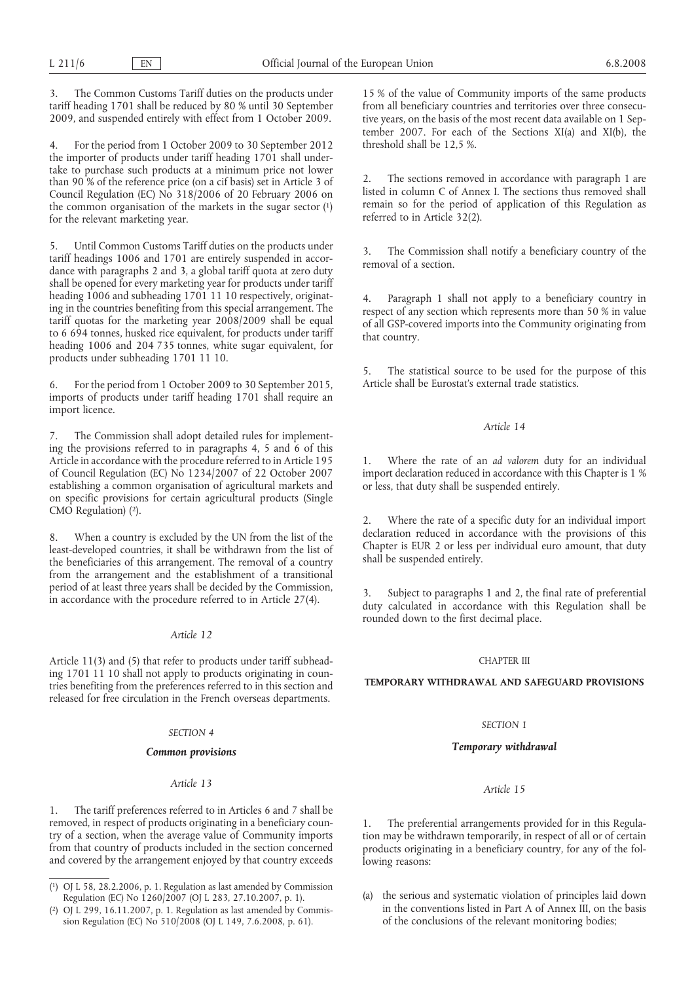3. The Common Customs Tariff duties on the products under tariff heading 1701 shall be reduced by 80 % until 30 September 2009, and suspended entirely with effect from 1 October 2009.

4. For the period from 1 October 2009 to 30 September 2012 the importer of products under tariff heading 1701 shall undertake to purchase such products at a minimum price not lower than 90 % of the reference price (on a cif basis) set in Article 3 of Council Regulation (EC) No 318/2006 of 20 February 2006 on the common organisation of the markets in the sugar sector (1) for the relevant marketing year.

5. Until Common Customs Tariff duties on the products under tariff headings 1006 and 1701 are entirely suspended in accordance with paragraphs 2 and 3, a global tariff quota at zero duty shall be opened for every marketing year for products under tariff heading 1006 and subheading 1701 11 10 respectively, originating in the countries benefiting from this special arrangement. The tariff quotas for the marketing year 2008/2009 shall be equal to 6 694 tonnes, husked rice equivalent, for products under tariff heading 1006 and 204 735 tonnes, white sugar equivalent, for products under subheading 1701 11 10.

6. For the period from 1 October 2009 to 30 September 2015, imports of products under tariff heading 1701 shall require an import licence.

7. The Commission shall adopt detailed rules for implementing the provisions referred to in paragraphs 4, 5 and 6 of this Article in accordance with the procedure referred to in Article 195 of Council Regulation (EC) No 1234/2007 of 22 October 2007 establishing a common organisation of agricultural markets and on specific provisions for certain agricultural products (Single CMO Regulation) (2).

8. When a country is excluded by the UN from the list of the least-developed countries, it shall be withdrawn from the list of the beneficiaries of this arrangement. The removal of a country from the arrangement and the establishment of a transitional period of at least three years shall be decided by the Commission, in accordance with the procedure referred to in Article 27(4).

## *Article 12*

Article 11(3) and (5) that refer to products under tariff subheading 1701 11 10 shall not apply to products originating in countries benefiting from the preferences referred to in this section and released for free circulation in the French overseas departments.

## *SECTION 4*

#### *Common provisions*

#### *Article 13*

The tariff preferences referred to in Articles 6 and 7 shall be removed, in respect of products originating in a beneficiary country of a section, when the average value of Community imports from that country of products included in the section concerned and covered by the arrangement enjoyed by that country exceeds

15 % of the value of Community imports of the same products from all beneficiary countries and territories over three consecutive years, on the basis of the most recent data available on 1 September 2007. For each of the Sections XI(a) and XI(b), the threshold shall be 12,5 %.

2. The sections removed in accordance with paragraph 1 are listed in column C of Annex I. The sections thus removed shall remain so for the period of application of this Regulation as referred to in Article 32(2).

3. The Commission shall notify a beneficiary country of the removal of a section.

4. Paragraph 1 shall not apply to a beneficiary country in respect of any section which represents more than 50 % in value of all GSP-covered imports into the Community originating from that country.

5. The statistical source to be used for the purpose of this Article shall be Eurostat's external trade statistics.

## *Article 14*

1. Where the rate of an *ad valorem* duty for an individual import declaration reduced in accordance with this Chapter is 1 % or less, that duty shall be suspended entirely.

2. Where the rate of a specific duty for an individual import declaration reduced in accordance with the provisions of this Chapter is EUR 2 or less per individual euro amount, that duty shall be suspended entirely.

3. Subject to paragraphs 1 and 2, the final rate of preferential duty calculated in accordance with this Regulation shall be rounded down to the first decimal place.

## CHAPTER III

**TEMPORARY WITHDRAWAL AND SAFEGUARD PROVISIONS**

### *SECTION 1*

### *Temporary withdrawal*

### *Article 15*

1. The preferential arrangements provided for in this Regulation may be withdrawn temporarily, in respect of all or of certain products originating in a beneficiary country, for any of the following reasons:

the serious and systematic violation of principles laid down in the conventions listed in Part A of Annex III, on the basis of the conclusions of the relevant monitoring bodies;

<sup>(</sup> 1) OJ L 58, 28.2.2006, p. 1. Regulation as last amended by Commission Regulation (EC) No 1260/2007 (OJ L 283, 27.10.2007, p. 1).

 $(2)$ 2) OJ L 299, 16.11.2007, p. 1. Regulation as last amended by Commission Regulation (EC) No 510/2008 (OJ L 149, 7.6.2008, p. 61).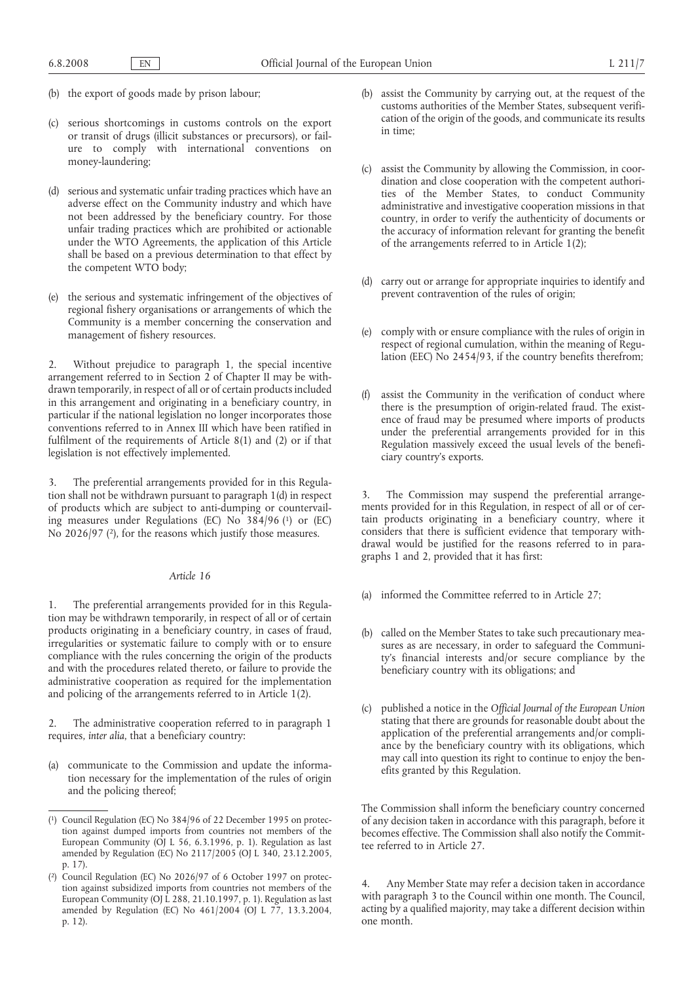- (b) the export of goods made by prison labour;
- (c) serious shortcomings in customs controls on the export or transit of drugs (illicit substances or precursors), or failure to comply with international conventions on money-laundering;
- (d) serious and systematic unfair trading practices which have an adverse effect on the Community industry and which have not been addressed by the beneficiary country. For those unfair trading practices which are prohibited or actionable under the WTO Agreements, the application of this Article shall be based on a previous determination to that effect by the competent WTO body;
- (e) the serious and systematic infringement of the objectives of regional fishery organisations or arrangements of which the Community is a member concerning the conservation and management of fishery resources.

2. Without prejudice to paragraph 1, the special incentive arrangement referred to in Section 2 of Chapter II may be withdrawn temporarily, in respect of all or of certain products included in this arrangement and originating in a beneficiary country, in particular if the national legislation no longer incorporates those conventions referred to in Annex III which have been ratified in fulfilment of the requirements of Article 8(1) and (2) or if that legislation is not effectively implemented.

3. The preferential arrangements provided for in this Regulation shall not be withdrawn pursuant to paragraph 1(d) in respect of products which are subject to anti-dumping or countervailing measures under Regulations (EC) No 384/96 (1) or (EC) No 2026/97 (2), for the reasons which justify those measures.

## *Article 16*

1. The preferential arrangements provided for in this Regulation may be withdrawn temporarily, in respect of all or of certain products originating in a beneficiary country, in cases of fraud, irregularities or systematic failure to comply with or to ensure compliance with the rules concerning the origin of the products and with the procedures related thereto, or failure to provide the administrative cooperation as required for the implementation and policing of the arrangements referred to in Article 1(2).

The administrative cooperation referred to in paragraph 1 requires, *inter alia*, that a beneficiary country:

(a) communicate to the Commission and update the information necessary for the implementation of the rules of origin and the policing thereof;

- (b) assist the Community by carrying out, at the request of the customs authorities of the Member States, subsequent verification of the origin of the goods, and communicate its results in time;
- (c) assist the Community by allowing the Commission, in coordination and close cooperation with the competent authorities of the Member States, to conduct Community administrative and investigative cooperation missions in that country, in order to verify the authenticity of documents or the accuracy of information relevant for granting the benefit of the arrangements referred to in Article 1(2);
- (d) carry out or arrange for appropriate inquiries to identify and prevent contravention of the rules of origin;
- (e) comply with or ensure compliance with the rules of origin in respect of regional cumulation, within the meaning of Regulation (EEC) No 2454/93, if the country benefits therefrom;
- (f) assist the Community in the verification of conduct where there is the presumption of origin-related fraud. The existence of fraud may be presumed where imports of products under the preferential arrangements provided for in this Regulation massively exceed the usual levels of the beneficiary country's exports.

3. The Commission may suspend the preferential arrangements provided for in this Regulation, in respect of all or of certain products originating in a beneficiary country, where it considers that there is sufficient evidence that temporary withdrawal would be justified for the reasons referred to in paragraphs 1 and 2, provided that it has first:

- (a) informed the Committee referred to in Article 27;
- (b) called on the Member States to take such precautionary measures as are necessary, in order to safeguard the Community's financial interests and/or secure compliance by the beneficiary country with its obligations; and
- (c) published a notice in the *Official Journal of the European Union* stating that there are grounds for reasonable doubt about the application of the preferential arrangements and/or compliance by the beneficiary country with its obligations, which may call into question its right to continue to enjoy the benefits granted by this Regulation.

The Commission shall inform the beneficiary country concerned of any decision taken in accordance with this paragraph, before it becomes effective. The Commission shall also notify the Committee referred to in Article 27.

4. Any Member State may refer a decision taken in accordance with paragraph 3 to the Council within one month. The Council, acting by a qualified majority, may take a different decision within one month.

<sup>(</sup> 1) Council Regulation (EC) No 384/96 of 22 December 1995 on protection against dumped imports from countries not members of the European Community (OJ L 56, 6.3.1996, p. 1). Regulation as last amended by Regulation (EC) No 2117/2005 (OJ L 340, 23.12.2005, p. 17).

<sup>(</sup> 2) Council Regulation (EC) No 2026/97 of 6 October 1997 on protection against subsidized imports from countries not members of the European Community (OJ L 288, 21.10.1997, p. 1). Regulation as last amended by Regulation (EC) No 461/2004 (OJ L 77, 13.3.2004, p. 12).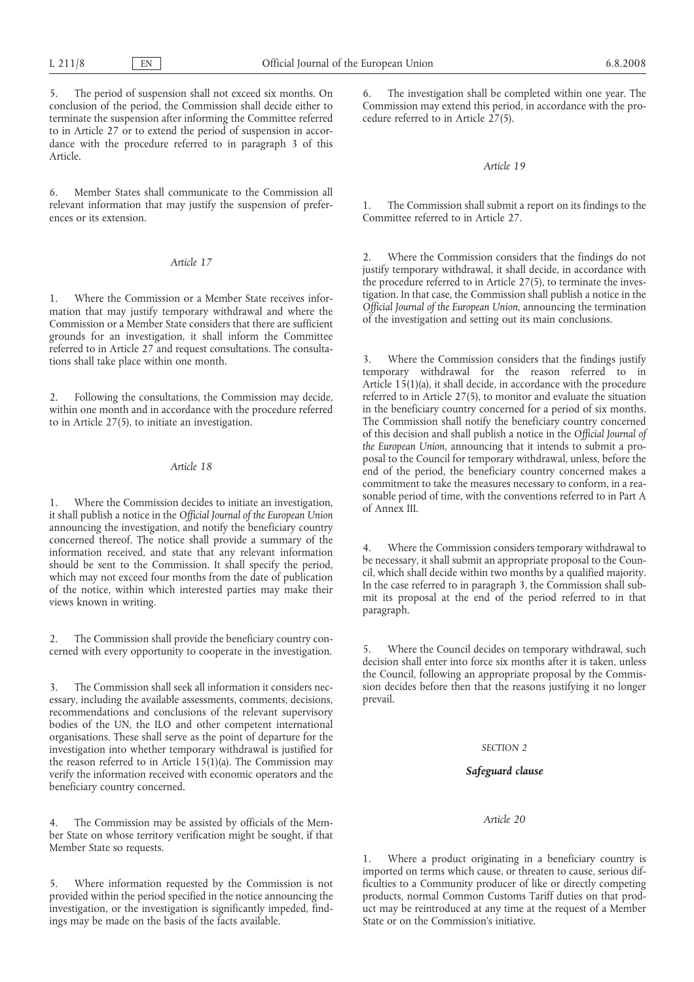5. The period of suspension shall not exceed six months. On conclusion of the period, the Commission shall decide either to terminate the suspension after informing the Committee referred to in Article 27 or to extend the period of suspension in accordance with the procedure referred to in paragraph 3 of this Article.

6. Member States shall communicate to the Commission all relevant information that may justify the suspension of preferences or its extension.

## *Article 17*

1. Where the Commission or a Member State receives information that may justify temporary withdrawal and where the Commission or a Member State considers that there are sufficient grounds for an investigation, it shall inform the Committee referred to in Article 27 and request consultations. The consultations shall take place within one month.

2. Following the consultations, the Commission may decide, within one month and in accordance with the procedure referred to in Article 27(5), to initiate an investigation.

## *Article 18*

Where the Commission decides to initiate an investigation, it shall publish a notice in the *Official Journal of the European Union* announcing the investigation, and notify the beneficiary country concerned thereof. The notice shall provide a summary of the information received, and state that any relevant information should be sent to the Commission. It shall specify the period, which may not exceed four months from the date of publication of the notice, within which interested parties may make their views known in writing.

2. The Commission shall provide the beneficiary country concerned with every opportunity to cooperate in the investigation.

3. The Commission shall seek all information it considers necessary, including the available assessments, comments, decisions, recommendations and conclusions of the relevant supervisory bodies of the UN, the ILO and other competent international organisations. These shall serve as the point of departure for the investigation into whether temporary withdrawal is justified for the reason referred to in Article 15(1)(a). The Commission may verify the information received with economic operators and the beneficiary country concerned.

4. The Commission may be assisted by officials of the Member State on whose territory verification might be sought, if that Member State so requests.

5. Where information requested by the Commission is not provided within the period specified in the notice announcing the investigation, or the investigation is significantly impeded, findings may be made on the basis of the facts available.

6. The investigation shall be completed within one year. The Commission may extend this period, in accordance with the procedure referred to in Article 27(5).

## *Article 19*

1. The Commission shall submit a report on its findings to the Committee referred to in Article 27.

2. Where the Commission considers that the findings do not justify temporary withdrawal, it shall decide, in accordance with the procedure referred to in Article 27(5), to terminate the investigation. In that case, the Commission shall publish a notice in the *Official Journal of the European Union*, announcing the termination of the investigation and setting out its main conclusions.

Where the Commission considers that the findings justify temporary withdrawal for the reason referred to in Article  $1\dot{5}(1)(a)$ , it shall decide, in accordance with the procedure referred to in Article 27(5), to monitor and evaluate the situation in the beneficiary country concerned for a period of six months. The Commission shall notify the beneficiary country concerned of this decision and shall publish a notice in the *Official Journal of the European Union*, announcing that it intends to submit a proposal to the Council for temporary withdrawal, unless, before the end of the period, the beneficiary country concerned makes a commitment to take the measures necessary to conform, in a reasonable period of time, with the conventions referred to in Part A of Annex III.

4. Where the Commission considers temporary withdrawal to be necessary, it shall submit an appropriate proposal to the Council, which shall decide within two months by a qualified majority. In the case referred to in paragraph 3, the Commission shall submit its proposal at the end of the period referred to in that paragraph.

5. Where the Council decides on temporary withdrawal, such decision shall enter into force six months after it is taken, unless the Council, following an appropriate proposal by the Commission decides before then that the reasons justifying it no longer prevail.

#### *SECTION 2*

## *Safeguard clause*

## *Article 20*

1. Where a product originating in a beneficiary country is imported on terms which cause, or threaten to cause, serious difficulties to a Community producer of like or directly competing products, normal Common Customs Tariff duties on that product may be reintroduced at any time at the request of a Member State or on the Commission's initiative.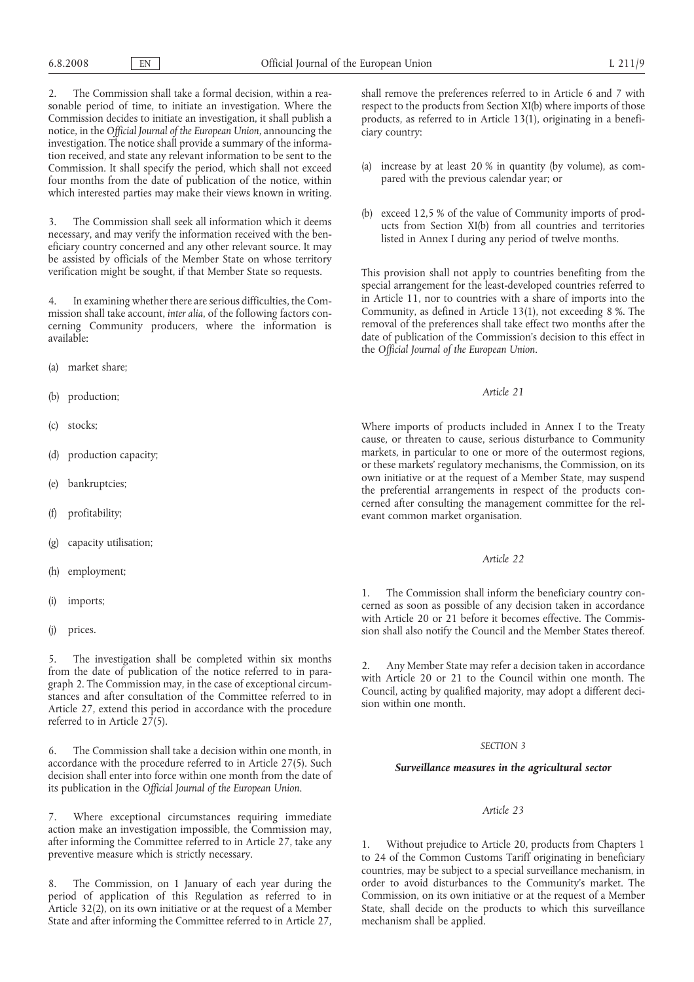2. The Commission shall take a formal decision, within a reasonable period of time, to initiate an investigation. Where the Commission decides to initiate an investigation, it shall publish a notice, in the *Official Journal of the European Union*, announcing the investigation. The notice shall provide a summary of the information received, and state any relevant information to be sent to the Commission. It shall specify the period, which shall not exceed four months from the date of publication of the notice, within which interested parties may make their views known in writing.

3. The Commission shall seek all information which it deems necessary, and may verify the information received with the beneficiary country concerned and any other relevant source. It may be assisted by officials of the Member State on whose territory verification might be sought, if that Member State so requests.

4. In examining whether there are serious difficulties, the Commission shall take account, *inter alia*, of the following factors concerning Community producers, where the information is available:

(a) market share;

- (b) production;
- (c) stocks;
- (d) production capacity;
- (e) bankruptcies;
- (f) profitability;
- (g) capacity utilisation;
- (h) employment;
- (i) imports;
- (j) prices.

5. The investigation shall be completed within six months from the date of publication of the notice referred to in paragraph 2. The Commission may, in the case of exceptional circumstances and after consultation of the Committee referred to in Article 27, extend this period in accordance with the procedure referred to in Article  $27(5)$ .

6. The Commission shall take a decision within one month, in accordance with the procedure referred to in Article 27(5). Such decision shall enter into force within one month from the date of its publication in the *Official Journal of the European Union*.

7. Where exceptional circumstances requiring immediate action make an investigation impossible, the Commission may, after informing the Committee referred to in Article 27, take any preventive measure which is strictly necessary.

8. The Commission, on 1 January of each year during the period of application of this Regulation as referred to in Article 32(2), on its own initiative or at the request of a Member State and after informing the Committee referred to in Article 27, shall remove the preferences referred to in Article 6 and 7 with respect to the products from Section XI(b) where imports of those products, as referred to in Article 13(1), originating in a beneficiary country:

- (a) increase by at least 20 % in quantity (by volume), as compared with the previous calendar year; or
- (b) exceed 12,5 % of the value of Community imports of products from Section XI(b) from all countries and territories listed in Annex I during any period of twelve months.

This provision shall not apply to countries benefiting from the special arrangement for the least-developed countries referred to in Article 11, nor to countries with a share of imports into the Community, as defined in Article 13(1), not exceeding 8 %. The removal of the preferences shall take effect two months after the date of publication of the Commission's decision to this effect in the *Official Journal of the European Union*.

## *Article 21*

Where imports of products included in Annex I to the Treaty cause, or threaten to cause, serious disturbance to Community markets, in particular to one or more of the outermost regions, or these markets' regulatory mechanisms, the Commission, on its own initiative or at the request of a Member State, may suspend the preferential arrangements in respect of the products concerned after consulting the management committee for the relevant common market organisation.

## *Article 22*

1. The Commission shall inform the beneficiary country concerned as soon as possible of any decision taken in accordance with Article 20 or 21 before it becomes effective. The Commission shall also notify the Council and the Member States thereof.

2. Any Member State may refer a decision taken in accordance with Article 20 or 21 to the Council within one month. The Council, acting by qualified majority, may adopt a different decision within one month.

#### *SECTION 3*

## *Surveillance measures in the agricultural sector*

## *Article 23*

1. Without prejudice to Article 20, products from Chapters 1 to 24 of the Common Customs Tariff originating in beneficiary countries, may be subject to a special surveillance mechanism, in order to avoid disturbances to the Community's market. The Commission, on its own initiative or at the request of a Member State, shall decide on the products to which this surveillance mechanism shall be applied.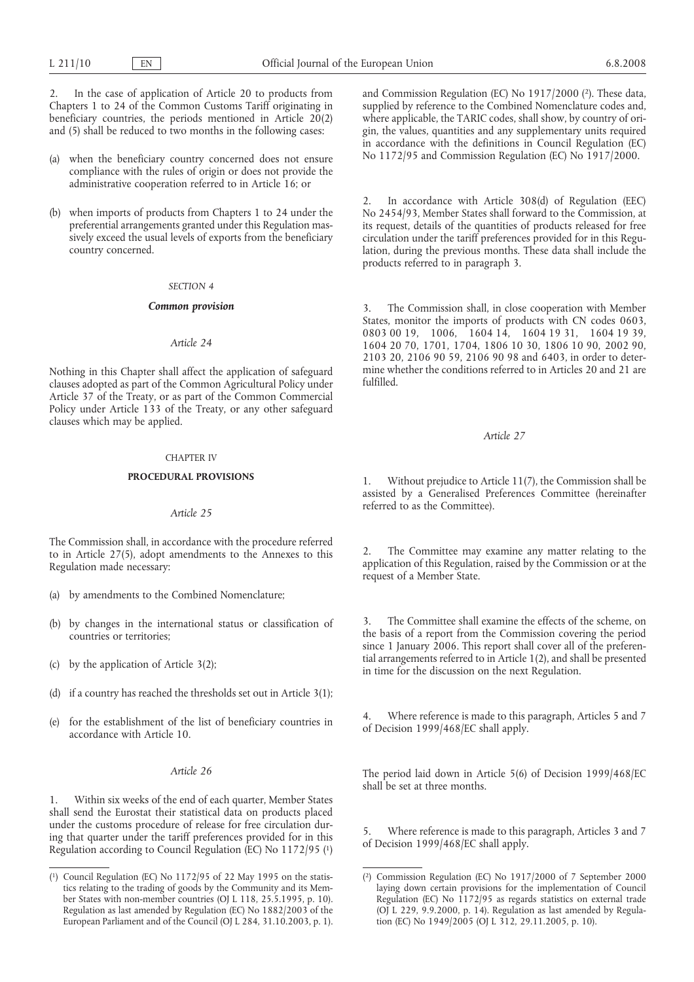2. In the case of application of Article 20 to products from Chapters 1 to 24 of the Common Customs Tariff originating in beneficiary countries, the periods mentioned in Article  $20(2)$ and (5) shall be reduced to two months in the following cases:

- (a) when the beneficiary country concerned does not ensure compliance with the rules of origin or does not provide the administrative cooperation referred to in Article 16; or
- (b) when imports of products from Chapters 1 to 24 under the preferential arrangements granted under this Regulation massively exceed the usual levels of exports from the beneficiary country concerned.

## *SECTION 4*

#### *Common provision*

## *Article 24*

Nothing in this Chapter shall affect the application of safeguard clauses adopted as part of the Common Agricultural Policy under Article 37 of the Treaty, or as part of the Common Commercial Policy under Article 133 of the Treaty, or any other safeguard clauses which may be applied.

## CHAPTER IV

## **PROCEDURAL PROVISIONS**

#### *Article 25*

The Commission shall, in accordance with the procedure referred to in Article 27(5), adopt amendments to the Annexes to this Regulation made necessary:

- (a) by amendments to the Combined Nomenclature;
- (b) by changes in the international status or classification of countries or territories;
- (c) by the application of Article 3(2);
- (d) if a country has reached the thresholds set out in Article 3(1);
- (e) for the establishment of the list of beneficiary countries in accordance with Article 10.

## *Article 26*

1. Within six weeks of the end of each quarter, Member States shall send the Eurostat their statistical data on products placed under the customs procedure of release for free circulation during that quarter under the tariff preferences provided for in this Regulation according to Council Regulation (EC) No 1172/95 (1)

and Commission Regulation (EC) No 1917/2000 (2). These data, supplied by reference to the Combined Nomenclature codes and, where applicable, the TARIC codes, shall show, by country of origin, the values, quantities and any supplementary units required in accordance with the definitions in Council Regulation (EC) No 1172/95 and Commission Regulation (EC) No 1917/2000.

In accordance with Article 308(d) of Regulation (EEC) No 2454/93, Member States shall forward to the Commission, at its request, details of the quantities of products released for free circulation under the tariff preferences provided for in this Regulation, during the previous months. These data shall include the products referred to in paragraph 3.

3. The Commission shall, in close cooperation with Member States, monitor the imports of products with CN codes 0603, 0803 00 19, 1006, 1604 14, 1604 19 31, 1604 19 39, 1604 20 70, 1701, 1704, 1806 10 30, 1806 10 90, 2002 90, 2103 20, 2106 90 59, 2106 90 98 and 6403, in order to determine whether the conditions referred to in Articles 20 and 21 are fulfilled.

#### *Article 27*

1. Without prejudice to Article 11(7), the Commission shall be assisted by a Generalised Preferences Committee (hereinafter referred to as the Committee).

2. The Committee may examine any matter relating to the application of this Regulation, raised by the Commission or at the request of a Member State.

The Committee shall examine the effects of the scheme, on the basis of a report from the Commission covering the period since 1 January 2006. This report shall cover all of the preferential arrangements referred to in Article 1(2), and shall be presented in time for the discussion on the next Regulation.

4. Where reference is made to this paragraph, Articles 5 and 7 of Decision 1999/468/EC shall apply.

The period laid down in Article 5(6) of Decision 1999/468/EC shall be set at three months.

5. Where reference is made to this paragraph, Articles 3 and 7 of Decision 1999/468/EC shall apply.

<sup>(</sup> 1) Council Regulation (EC) No 1172/95 of 22 May 1995 on the statistics relating to the trading of goods by the Community and its Member States with non-member countries (OJ L 118, 25.5.1995, p. 10). Regulation as last amended by Regulation (EC) No 1882/2003 of the European Parliament and of the Council (OJ L 284, 31.10.2003, p. 1).

<sup>(</sup> 2) Commission Regulation (EC) No 1917/2000 of 7 September 2000 laying down certain provisions for the implementation of Council Regulation (EC) No 1172/95 as regards statistics on external trade (OJ L 229, 9.9.2000, p. 14). Regulation as last amended by Regulation (EC) No 1949/2005 (OJ L 312, 29.11.2005, p. 10).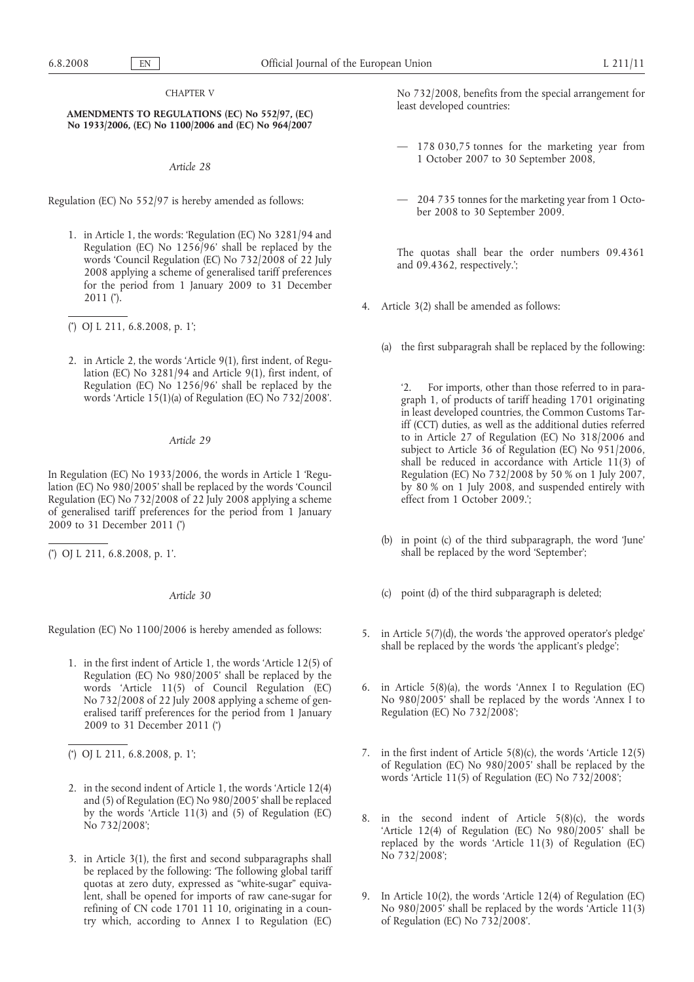## CHAPTER V

## **AMENDMENTS TO REGULATIONS (EC) No 552/97, (EC) No 1933/2006, (EC) No 1100/2006 and (EC) No 964/2007**

## *Article 28*

Regulation (EC) No 552/97 is hereby amended as follows:

- 1. in Article 1, the words: 'Regulation (EC) No 3281/94 and Regulation (EC) No 1256/96' shall be replaced by the words 'Council Regulation (EC) No 732/2008 of 22 July 2008 applying a scheme of generalised tariff preferences for the period from 1 January 2009 to 31 December 2011 (\* ).
- ( \* ) OJ L 211, 6.8.2008, p. 1';
- 2. in Article 2, the words 'Article 9(1), first indent, of Regulation (EC) No 3281/94 and Article 9(1), first indent, of Regulation (EC) No 1256/96' shall be replaced by the words 'Article 15(1)(a) of Regulation (EC) No 732/2008'.

*Article 29*

In Regulation (EC) No 1933/2006, the words in Article 1 'Regulation (EC) No 980/2005' shall be replaced by the words 'Council Regulation (EC) No 732/2008 of 22 July 2008 applying a scheme of generalised tariff preferences for the period from 1 January 2009 to 31 December 2011 (\* )

( \* ) OJ L 211, 6.8.2008, p. 1'.

*Article 30*

Regulation (EC) No 1100/2006 is hereby amended as follows:

1. in the first indent of Article 1, the words 'Article 12(5) of Regulation (EC) No 980/2005' shall be replaced by the words 'Article 11(5) of Council Regulation (EC) No 732/2008 of 22 July 2008 applying a scheme of generalised tariff preferences for the period from 1 January 2009 to 31 December 2011 (\* )

- 2. in the second indent of Article 1, the words 'Article 12(4) and (5) of Regulation (EC) No 980/2005' shall be replaced by the words 'Article 11(3) and (5) of Regulation (EC) No 732/2008';
- 3. in Article 3(1), the first and second subparagraphs shall be replaced by the following: 'The following global tariff quotas at zero duty, expressed as "white-sugar" equivalent, shall be opened for imports of raw cane-sugar for refining of CN code 1701 11 10, originating in a country which, according to Annex I to Regulation (EC)

No 732/2008, benefits from the special arrangement for least developed countries:

- 178 030,75 tonnes for the marketing year from 1 October 2007 to 30 September 2008,
- 204 735 tonnes for the marketing year from 1 October 2008 to 30 September 2009.

The quotas shall bear the order numbers 09.4361 and 09.4362, respectively.';

- 4. Article 3(2) shall be amended as follows:
	- (a) the first subparagrah shall be replaced by the following:

'2. For imports, other than those referred to in paragraph 1, of products of tariff heading 1701 originating in least developed countries, the Common Customs Tariff (CCT) duties, as well as the additional duties referred to in Article 27 of Regulation (EC) No 318/2006 and subject to Article 36 of Regulation (EC) No 951/2006, shall be reduced in accordance with Article 11(3) of Regulation (EC) No 732/2008 by 50 % on 1 July 2007, by 80 % on 1 July 2008, and suspended entirely with effect from 1 October 2009.';

- (b) in point (c) of the third subparagraph, the word 'June' shall be replaced by the word 'September';
- (c) point (d) of the third subparagraph is deleted;
- 5. in Article 5(7)(d), the words 'the approved operator's pledge' shall be replaced by the words 'the applicant's pledge';
- 6. in Article 5(8)(a), the words 'Annex I to Regulation (EC) No 980/2005' shall be replaced by the words 'Annex I to Regulation (EC) No 732/2008';
- 7. in the first indent of Article 5(8)(c), the words 'Article 12(5) of Regulation (EC) No 980/2005' shall be replaced by the words 'Article 11(5) of Regulation (EC) No 732/2008';
- 8. in the second indent of Article 5(8)(c), the words 'Article 12(4) of Regulation (EC) No 980/2005' shall be replaced by the words 'Article 11(3) of Regulation (EC) No 732/2008';
- 9. In Article 10(2), the words 'Article 12(4) of Regulation (EC) No 980/2005' shall be replaced by the words 'Article 11(3) of Regulation (EC) No 732/2008'.

<sup>(</sup> \* ) OJ L 211, 6.8.2008, p. 1';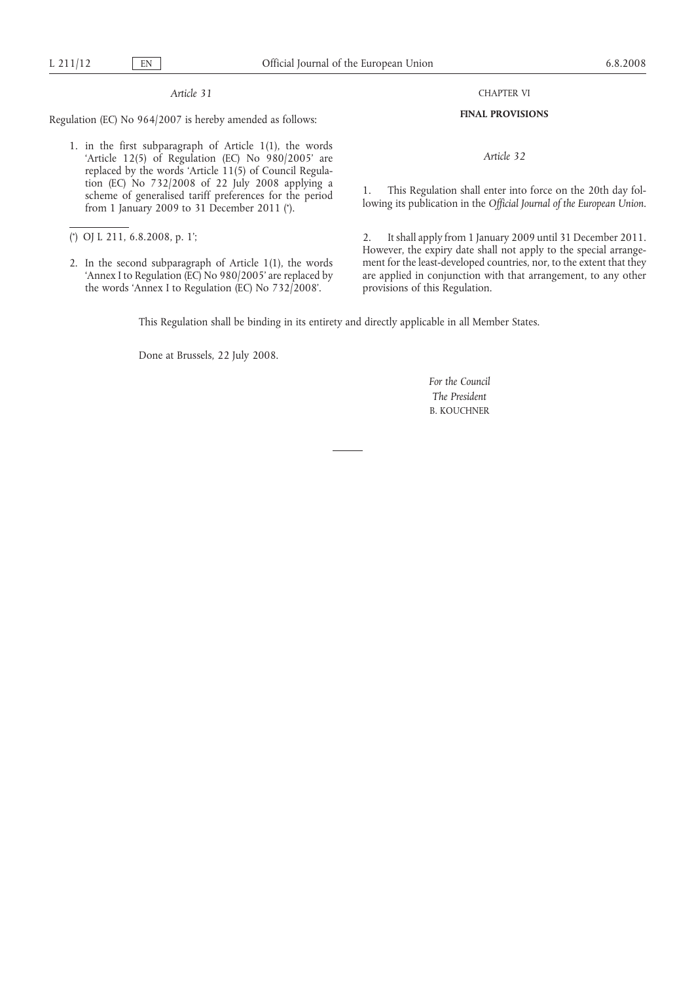### *Article 31*

Regulation (EC) No 964/2007 is hereby amended as follows:

1. in the first subparagraph of Article 1(1), the words 'Article 12(5) of Regulation (EC) No 980/2005' are replaced by the words 'Article 11(5) of Council Regulation (EC) No 732/2008 of 22 July 2008 applying a scheme of generalised tariff preferences for the period from 1 January 2009 to 31 December 2011 (\* ).

2. In the second subparagraph of Article 1(1), the words 'Annex I to Regulation (EC) No 980/2005' are replaced by the words 'Annex I to Regulation (EC) No 732/2008'.

## CHAPTER VI

## **FINAL PROVISIONS**

*Article 32*

1. This Regulation shall enter into force on the 20th day following its publication in the *Official Journal of the European Union*.

2. It shall apply from 1 January 2009 until 31 December 2011. However, the expiry date shall not apply to the special arrangement for the least-developed countries, nor, to the extent that they are applied in conjunction with that arrangement, to any other provisions of this Regulation.

This Regulation shall be binding in its entirety and directly applicable in all Member States.

Done at Brussels, 22 July 2008.

*For the Council The President* B. KOUCHNER

<sup>(</sup> \* ) OJ L 211, 6.8.2008, p. 1';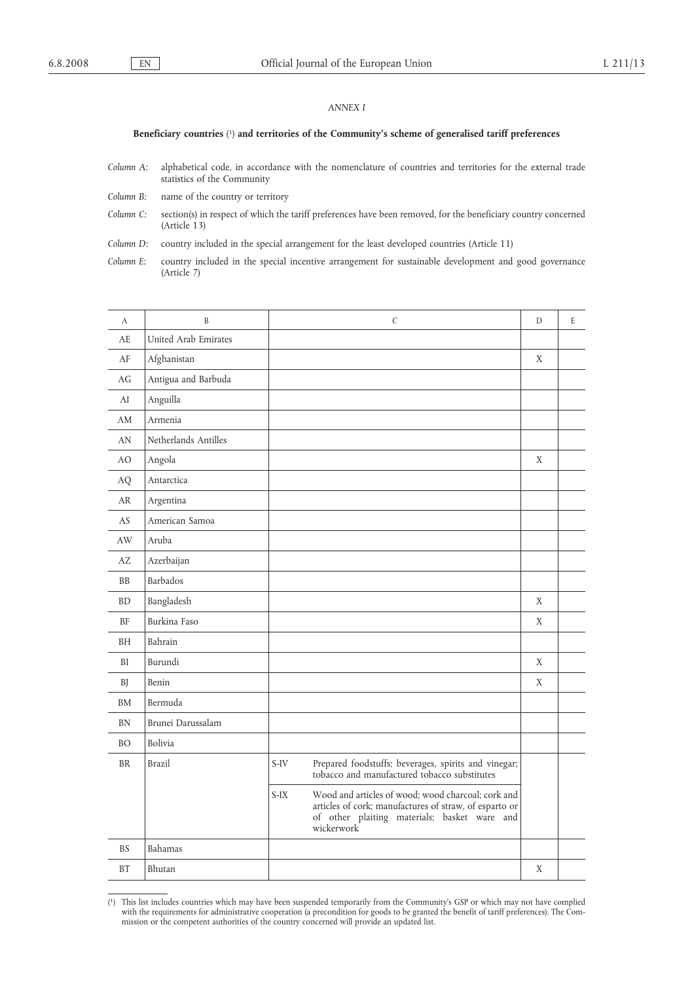## *ANNEX I*

#### **Beneficiary countries** ( 1) **and territories of the Community's scheme of generalised tariff preferences**

- *Column A:* alphabetical code, in accordance with the nomenclature of countries and territories for the external trade statistics of the Community
- *Column B:* name of the country or territory
- *Column C:* section(s) in respect of which the tariff preferences have been removed, for the beneficiary country concerned (Article 13)

*Column D:* country included in the special arrangement for the least developed countries (Article 11)

*Column E:* country included in the special incentive arrangement for sustainable development and good governance (Article 7)

| A              | B                    |        | $\mathsf{C}$                                                                                                                                                               | $\mathbf D$ | E |
|----------------|----------------------|--------|----------------------------------------------------------------------------------------------------------------------------------------------------------------------------|-------------|---|
| <b>AE</b>      | United Arab Emirates |        |                                                                                                                                                                            |             |   |
| AF             | Afghanistan          |        |                                                                                                                                                                            | X           |   |
| AG             | Antigua and Barbuda  |        |                                                                                                                                                                            |             |   |
| AI             | Anguilla             |        |                                                                                                                                                                            |             |   |
| AM             | Armenia              |        |                                                                                                                                                                            |             |   |
| AN             | Netherlands Antilles |        |                                                                                                                                                                            |             |   |
| AO             | Angola               |        |                                                                                                                                                                            | X           |   |
| AQ             | Antarctica           |        |                                                                                                                                                                            |             |   |
| AR             | Argentina            |        |                                                                                                                                                                            |             |   |
| AS             | American Samoa       |        |                                                                                                                                                                            |             |   |
| AW             | Aruba                |        |                                                                                                                                                                            |             |   |
| AZ             | Azerbaijan           |        |                                                                                                                                                                            |             |   |
| <b>BB</b>      | Barbados             |        |                                                                                                                                                                            |             |   |
| <b>BD</b>      | Bangladesh           |        |                                                                                                                                                                            | X           |   |
| BF             | Burkina Faso         |        |                                                                                                                                                                            | X           |   |
| BH             | Bahrain              |        |                                                                                                                                                                            |             |   |
| <b>BI</b>      | Burundi              |        |                                                                                                                                                                            | X           |   |
| BJ             | Benin                |        |                                                                                                                                                                            | X           |   |
| BM             | Bermuda              |        |                                                                                                                                                                            |             |   |
| <b>BN</b>      | Brunei Darussalam    |        |                                                                                                                                                                            |             |   |
| B <sub>O</sub> | <b>Bolivia</b>       |        |                                                                                                                                                                            |             |   |
| <b>BR</b>      | Brazil               | $S-IV$ | Prepared foodstuffs; beverages, spirits and vinegar;<br>tobacco and manufactured tobacco substitutes                                                                       |             |   |
|                |                      | $S-IX$ | Wood and articles of wood; wood charcoal; cork and<br>articles of cork; manufactures of straw, of esparto or<br>of other plaiting materials; basket ware and<br>wickerwork |             |   |
| <b>BS</b>      | Bahamas              |        |                                                                                                                                                                            |             |   |
| <b>BT</b>      | Bhutan               |        |                                                                                                                                                                            | X           |   |

<sup>(</sup> 1) This list includes countries which may have been suspended temporarily from the Community's GSP or which may not have complied with the requirements for administrative cooperation (a precondition for goods to be granted the benefit of tariff preferences). The Commission or the competent authorities of the country concerned will provide an updated list.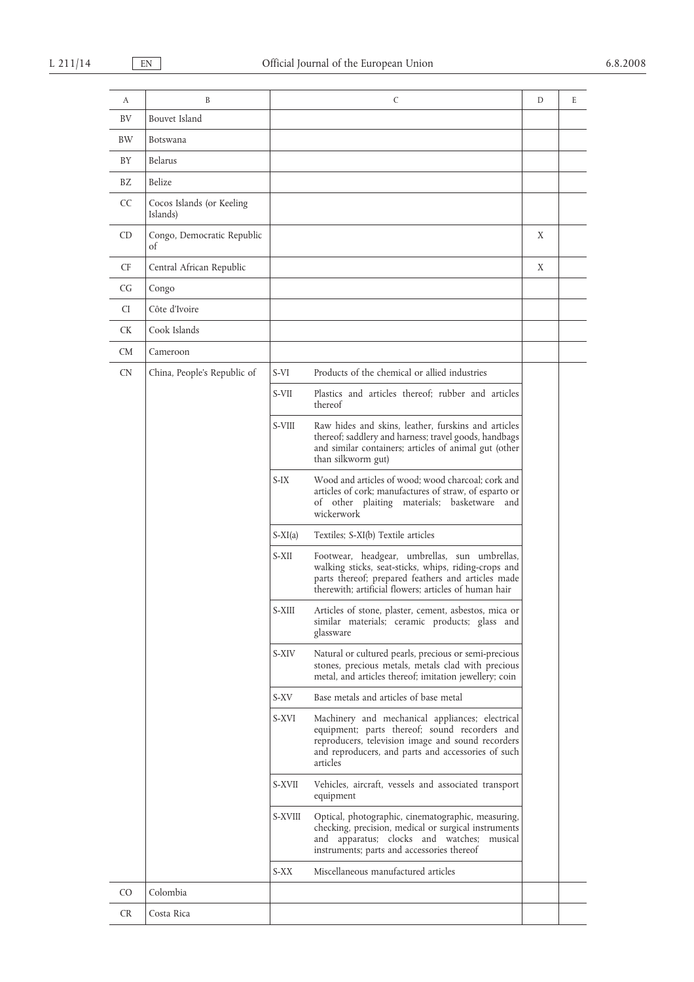| A         | B                                     |           | C                                                                                                                                                                                                                       | D | E |
|-----------|---------------------------------------|-----------|-------------------------------------------------------------------------------------------------------------------------------------------------------------------------------------------------------------------------|---|---|
| BV        | Bouvet Island                         |           |                                                                                                                                                                                                                         |   |   |
| BW        | Botswana                              |           |                                                                                                                                                                                                                         |   |   |
| BY        | Belarus                               |           |                                                                                                                                                                                                                         |   |   |
| BZ        | Belize                                |           |                                                                                                                                                                                                                         |   |   |
| <b>CC</b> | Cocos Islands (or Keeling<br>Islands) |           |                                                                                                                                                                                                                         |   |   |
| CD.       | Congo, Democratic Republic<br>of      |           |                                                                                                                                                                                                                         | X |   |
| CF        | Central African Republic              |           |                                                                                                                                                                                                                         | X |   |
| CG        | Congo                                 |           |                                                                                                                                                                                                                         |   |   |
| CI        | Côte d'Ivoire                         |           |                                                                                                                                                                                                                         |   |   |
| <b>CK</b> | Cook Islands                          |           |                                                                                                                                                                                                                         |   |   |
| CM.       | Cameroon                              |           |                                                                                                                                                                                                                         |   |   |
| CN        | China, People's Republic of           | S-VI      | Products of the chemical or allied industries                                                                                                                                                                           |   |   |
|           |                                       | S-VII     | Plastics and articles thereof; rubber and articles<br>thereof                                                                                                                                                           |   |   |
|           |                                       | S-VIII    | Raw hides and skins, leather, furskins and articles<br>thereof; saddlery and harness; travel goods, handbags<br>and similar containers; articles of animal gut (other<br>than silkworm gut)                             |   |   |
|           |                                       | $S-IX$    | Wood and articles of wood; wood charcoal; cork and<br>articles of cork; manufactures of straw, of esparto or<br>of other plaiting materials; basketware and<br>wickerwork                                               |   |   |
|           |                                       | $S-XI(a)$ | Textiles; S-XI(b) Textile articles                                                                                                                                                                                      |   |   |
|           |                                       | S-XII     | Footwear, headgear, umbrellas, sun umbrellas,<br>walking sticks, seat-sticks, whips, riding-crops and<br>parts thereof; prepared feathers and articles made<br>therewith; artificial flowers; articles of human hair    |   |   |
|           |                                       | S-XIII    | Articles of stone, plaster, cement, asbestos, mica or<br>similar materials; ceramic products; glass and<br>glassware                                                                                                    |   |   |
|           |                                       | S-XIV     | Natural or cultured pearls, precious or semi-precious<br>stones, precious metals, metals clad with precious<br>metal, and articles thereof; imitation jewellery; coin                                                   |   |   |
|           |                                       | S-XV      | Base metals and articles of base metal                                                                                                                                                                                  |   |   |
|           |                                       | S-XVI     | Machinery and mechanical appliances; electrical<br>equipment; parts thereof; sound recorders and<br>reproducers, television image and sound recorders<br>and reproducers, and parts and accessories of such<br>articles |   |   |
|           |                                       | S-XVII    | Vehicles, aircraft, vessels and associated transport<br>equipment                                                                                                                                                       |   |   |
|           |                                       | S-XVIII   | Optical, photographic, cinematographic, measuring,<br>checking, precision, medical or surgical instruments<br>and apparatus; clocks and watches; musical<br>instruments; parts and accessories thereof                  |   |   |
|           |                                       | S-XX      | Miscellaneous manufactured articles                                                                                                                                                                                     |   |   |
| CO.       | Colombia                              |           |                                                                                                                                                                                                                         |   |   |
| CR.       | Costa Rica                            |           |                                                                                                                                                                                                                         |   |   |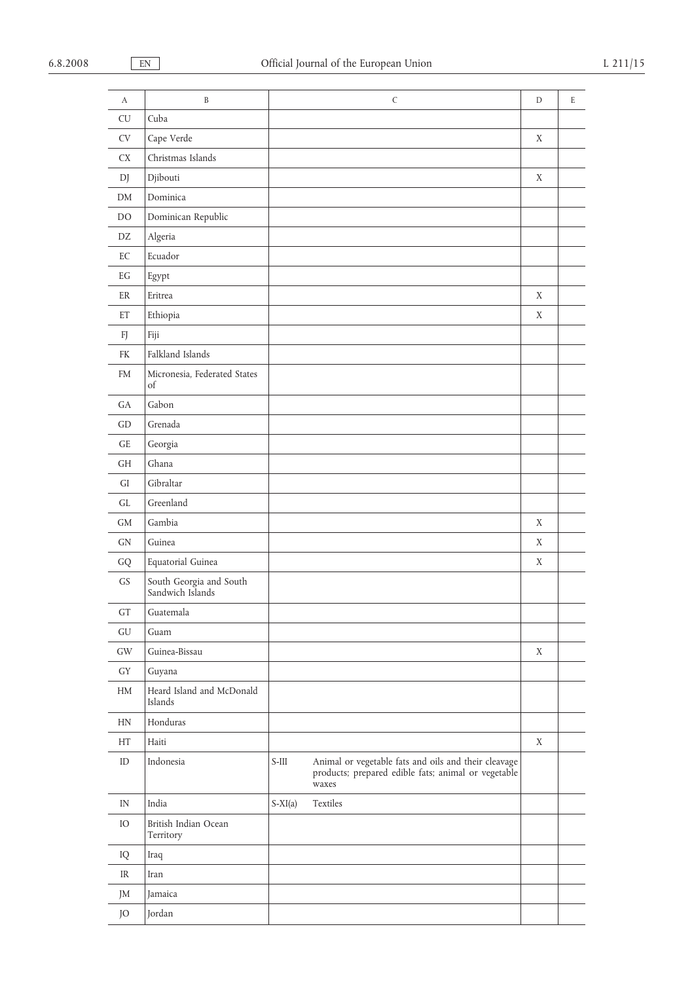| A         | B                                           |           | $\mathsf{C}$                                                                                                         | $\mathbf D$ | E |
|-----------|---------------------------------------------|-----------|----------------------------------------------------------------------------------------------------------------------|-------------|---|
| <b>CU</b> | Cuba                                        |           |                                                                                                                      |             |   |
| CV        | Cape Verde                                  |           |                                                                                                                      | X           |   |
| <b>CX</b> | Christmas Islands                           |           |                                                                                                                      |             |   |
| DJ        | Djibouti                                    |           |                                                                                                                      | X           |   |
| DM        | Dominica                                    |           |                                                                                                                      |             |   |
| DO        | Dominican Republic                          |           |                                                                                                                      |             |   |
| DZ        | Algeria                                     |           |                                                                                                                      |             |   |
| EC        | Ecuador                                     |           |                                                                                                                      |             |   |
| EG        | Egypt                                       |           |                                                                                                                      |             |   |
| ER        | Eritrea                                     |           |                                                                                                                      | X           |   |
| ET        | Ethiopia                                    |           |                                                                                                                      | X           |   |
| FJ        | Fiji                                        |           |                                                                                                                      |             |   |
| <b>FK</b> | Falkland Islands                            |           |                                                                                                                      |             |   |
| <b>FM</b> | Micronesia, Federated States<br>of          |           |                                                                                                                      |             |   |
| GA        | Gabon                                       |           |                                                                                                                      |             |   |
| GD        | Grenada                                     |           |                                                                                                                      |             |   |
| GE        | Georgia                                     |           |                                                                                                                      |             |   |
| <b>GH</b> | Ghana                                       |           |                                                                                                                      |             |   |
| GI        | Gibraltar                                   |           |                                                                                                                      |             |   |
| GL        | Greenland                                   |           |                                                                                                                      |             |   |
| <b>GM</b> | Gambia                                      |           |                                                                                                                      | X           |   |
| GN        | Guinea                                      |           |                                                                                                                      | X           |   |
| GQ        | Equatorial Guinea                           |           |                                                                                                                      | X           |   |
| GS        | South Georgia and South<br>Sandwich Islands |           |                                                                                                                      |             |   |
| GT        | Guatemala                                   |           |                                                                                                                      |             |   |
| GU        | Guam                                        |           |                                                                                                                      |             |   |
| GW        | Guinea-Bissau                               |           |                                                                                                                      | X           |   |
| <b>GY</b> | Guyana                                      |           |                                                                                                                      |             |   |
| HM        | Heard Island and McDonald<br>Islands        |           |                                                                                                                      |             |   |
| HN        | Honduras                                    |           |                                                                                                                      |             |   |
| HT        | Haiti                                       |           |                                                                                                                      | X           |   |
| ID        | Indonesia                                   | $S-III$   | Animal or vegetable fats and oils and their cleavage<br>products; prepared edible fats; animal or vegetable<br>waxes |             |   |
| IN        | India                                       | $S-XI(a)$ | Textiles                                                                                                             |             |   |
| IO        | British Indian Ocean<br>Territory           |           |                                                                                                                      |             |   |
| IQ        | Iraq                                        |           |                                                                                                                      |             |   |
| IR        | Iran                                        |           |                                                                                                                      |             |   |
| JM        | Jamaica                                     |           |                                                                                                                      |             |   |
| JO        | Jordan                                      |           |                                                                                                                      |             |   |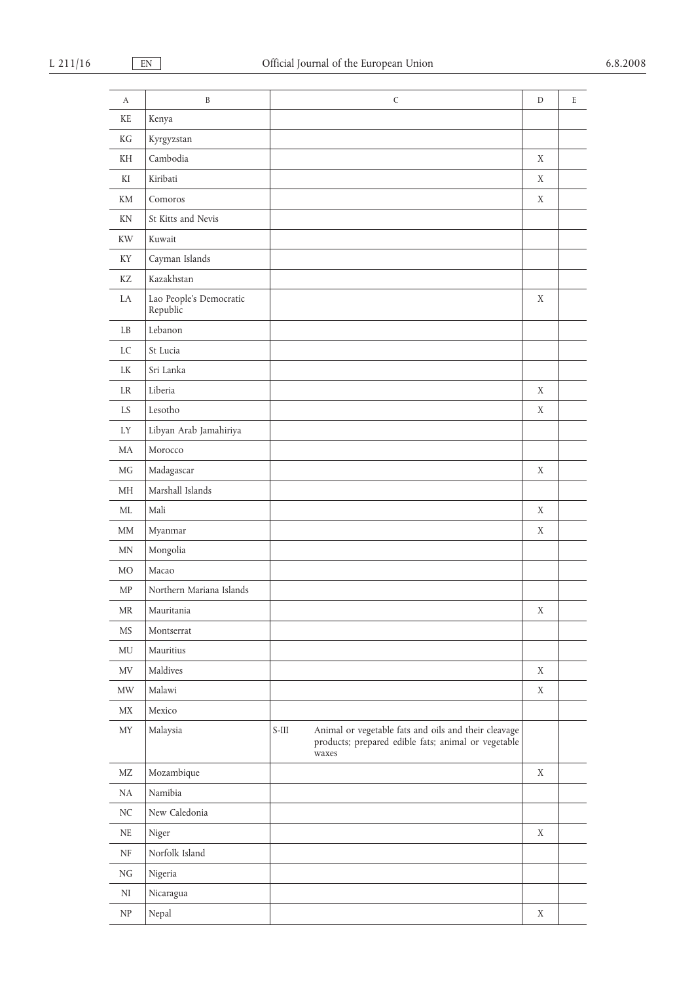| A                                 | B                                   |         | $\mathsf C$                                                                                                          | $\mathbf D$ | E |
|-----------------------------------|-------------------------------------|---------|----------------------------------------------------------------------------------------------------------------------|-------------|---|
| KE                                | Kenya                               |         |                                                                                                                      |             |   |
| KG                                | Kyrgyzstan                          |         |                                                                                                                      |             |   |
| KH                                | Cambodia                            |         |                                                                                                                      | X           |   |
| KI                                | Kiribati                            |         |                                                                                                                      | X           |   |
| KM                                | Comoros                             |         |                                                                                                                      | X           |   |
| KN                                | St Kitts and Nevis                  |         |                                                                                                                      |             |   |
| KW                                | Kuwait                              |         |                                                                                                                      |             |   |
| KY                                | Cayman Islands                      |         |                                                                                                                      |             |   |
| KZ                                | Kazakhstan                          |         |                                                                                                                      |             |   |
| LA                                | Lao People's Democratic<br>Republic |         |                                                                                                                      | X           |   |
| LB                                | Lebanon                             |         |                                                                                                                      |             |   |
| LC                                | St Lucia                            |         |                                                                                                                      |             |   |
| <b>LK</b>                         | Sri Lanka                           |         |                                                                                                                      |             |   |
| <b>LR</b>                         | Liberia                             |         |                                                                                                                      | X           |   |
| LS                                | Lesotho                             |         |                                                                                                                      | X           |   |
| LY                                | Libyan Arab Jamahiriya              |         |                                                                                                                      |             |   |
| MA                                | Morocco                             |         |                                                                                                                      |             |   |
| MG                                | Madagascar                          |         |                                                                                                                      | X           |   |
| MH                                | Marshall Islands                    |         |                                                                                                                      |             |   |
| ML                                | Mali                                |         |                                                                                                                      | X           |   |
| $\text{MM}{}$                     | Myanmar                             |         |                                                                                                                      | X           |   |
| MN                                | Mongolia                            |         |                                                                                                                      |             |   |
| <b>MO</b>                         | Macao                               |         |                                                                                                                      |             |   |
| MP                                | Northern Mariana Islands            |         |                                                                                                                      |             |   |
| MR                                | Mauritania                          |         |                                                                                                                      | X           |   |
| MS                                | Montserrat                          |         |                                                                                                                      |             |   |
| MU                                | Mauritius                           |         |                                                                                                                      |             |   |
| MV                                | Maldives                            |         |                                                                                                                      | X           |   |
| $\ensuremath{\text{MW}}\xspace$   | Malawi                              |         |                                                                                                                      | X           |   |
| MX                                | Mexico                              |         |                                                                                                                      |             |   |
| MY                                | Malaysia                            | $S-III$ | Animal or vegetable fats and oils and their cleavage<br>products; prepared edible fats; animal or vegetable<br>waxes |             |   |
| MZ                                | Mozambique                          |         |                                                                                                                      | X           |   |
| $\rm NA$                          | Namibia                             |         |                                                                                                                      |             |   |
| NC                                | New Caledonia                       |         |                                                                                                                      |             |   |
| NE                                | Niger                               |         |                                                                                                                      | $\mathbf X$ |   |
| $\rm{NF}$                         | Norfolk Island                      |         |                                                                                                                      |             |   |
| NG                                | Nigeria                             |         |                                                                                                                      |             |   |
| NI                                | Nicaragua                           |         |                                                                                                                      |             |   |
| $\ensuremath{\mathsf{NP}}\xspace$ | Nepal                               |         |                                                                                                                      | $\mathbf X$ |   |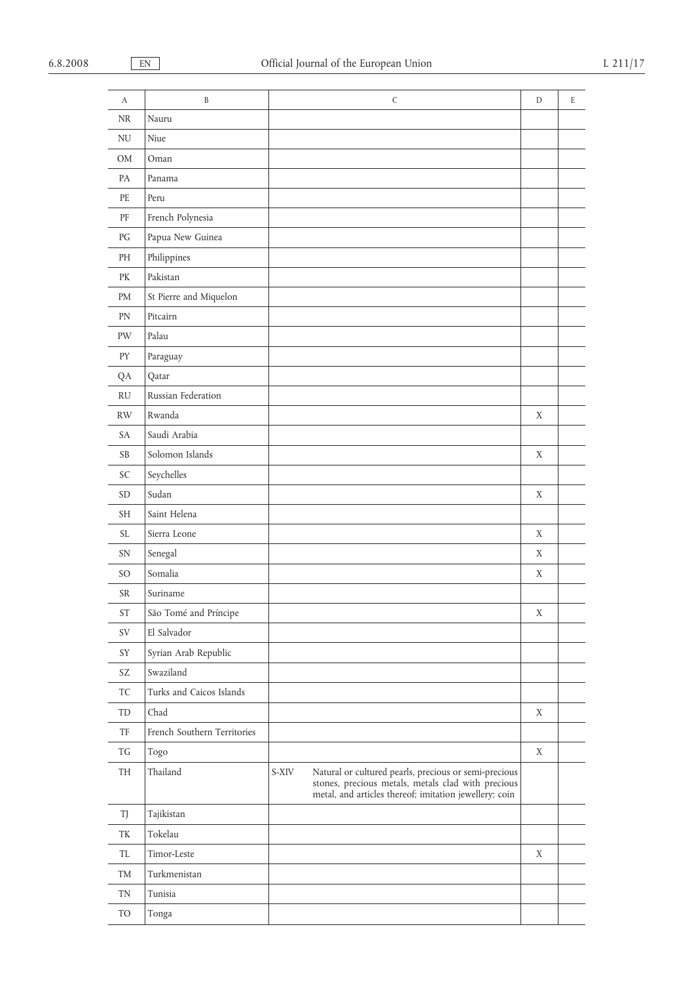| A                   | B                           |       | $\mathsf C$                                                                                                  | D           | E |
|---------------------|-----------------------------|-------|--------------------------------------------------------------------------------------------------------------|-------------|---|
| <b>NR</b>           | Nauru                       |       |                                                                                                              |             |   |
| $\rm N U$           | Niue                        |       |                                                                                                              |             |   |
| $_{\rm OM}$         | Oman                        |       |                                                                                                              |             |   |
| PA                  | Panama                      |       |                                                                                                              |             |   |
| PE                  | Peru                        |       |                                                                                                              |             |   |
| PF                  | French Polynesia            |       |                                                                                                              |             |   |
| PG                  | Papua New Guinea            |       |                                                                                                              |             |   |
| PH                  | Philippines                 |       |                                                                                                              |             |   |
| PK                  | Pakistan                    |       |                                                                                                              |             |   |
| PM                  | St Pierre and Miquelon      |       |                                                                                                              |             |   |
| PN                  | Pitcairn                    |       |                                                                                                              |             |   |
| $\mathrm{PW}$       | Palau                       |       |                                                                                                              |             |   |
| PY                  | Paraguay                    |       |                                                                                                              |             |   |
| QA                  | Qatar                       |       |                                                                                                              |             |   |
| RU                  | Russian Federation          |       |                                                                                                              |             |   |
| RW                  | Rwanda                      |       |                                                                                                              | X           |   |
| SA                  | Saudi Arabia                |       |                                                                                                              |             |   |
| <b>SB</b>           | Solomon Islands             |       |                                                                                                              | X           |   |
| SC                  | Seychelles                  |       |                                                                                                              |             |   |
| $\operatorname{SD}$ | Sudan                       |       |                                                                                                              | X           |   |
| <b>SH</b>           | Saint Helena                |       |                                                                                                              |             |   |
| SL.                 | Sierra Leone                |       |                                                                                                              | $\mathbf X$ |   |
| SN                  | Senegal                     |       |                                                                                                              | X           |   |
| SO                  | Somalia                     |       |                                                                                                              | X           |   |
| SR                  | Suriname                    |       |                                                                                                              |             |   |
| ST                  | São Tomé and Príncipe       |       |                                                                                                              | X           |   |
| SV                  | El Salvador                 |       |                                                                                                              |             |   |
| SY                  | Syrian Arab Republic        |       |                                                                                                              |             |   |
| SZ                  | Swaziland                   |       |                                                                                                              |             |   |
| TC                  | Turks and Caicos Islands    |       |                                                                                                              |             |   |
| TD                  | Chad                        |       |                                                                                                              | X           |   |
| TF                  | French Southern Territories |       |                                                                                                              |             |   |
| TG                  | Togo                        |       |                                                                                                              | X           |   |
| TH                  | Thailand                    | S-XIV | Natural or cultured pearls, precious or semi-precious                                                        |             |   |
|                     |                             |       | stones, precious metals, metals clad with precious<br>metal, and articles thereof; imitation jewellery; coin |             |   |
| TJ                  | Tajikistan                  |       |                                                                                                              |             |   |
| TK                  | Tokelau                     |       |                                                                                                              |             |   |
| TL                  | Timor-Leste                 |       |                                                                                                              | X           |   |
| TM                  | Turkmenistan                |       |                                                                                                              |             |   |
| TN                  | Tunisia                     |       |                                                                                                              |             |   |
| TO                  | Tonga                       |       |                                                                                                              |             |   |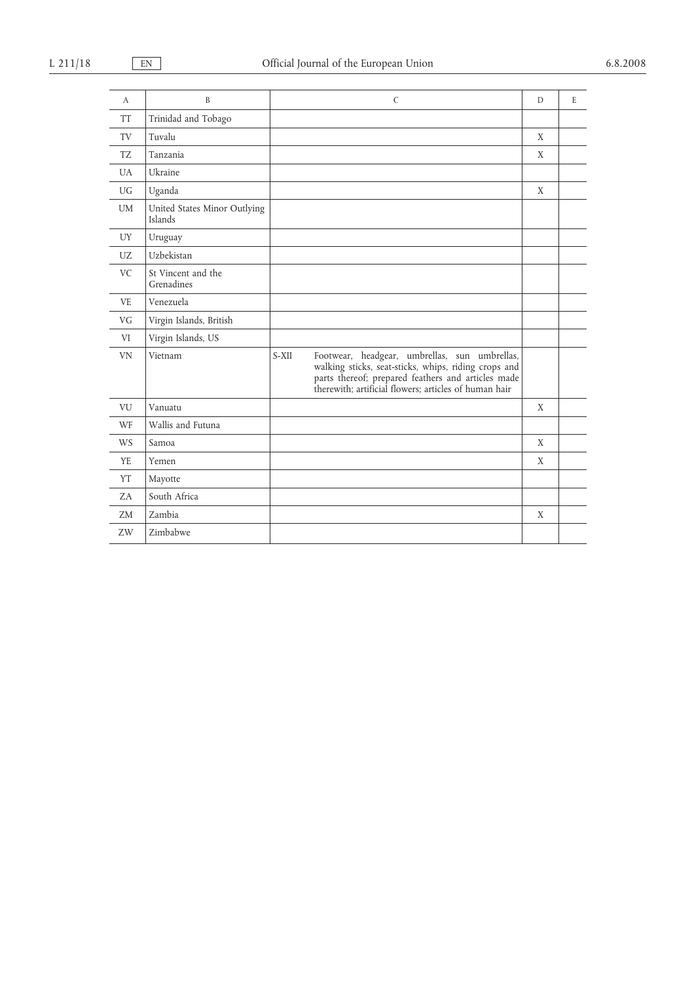| А         | B                                       |       | $\mathsf{C}$                                                                                                                                                                                                         | D | E |
|-----------|-----------------------------------------|-------|----------------------------------------------------------------------------------------------------------------------------------------------------------------------------------------------------------------------|---|---|
| <b>TT</b> | Trinidad and Tobago                     |       |                                                                                                                                                                                                                      |   |   |
| TV        | Tuvalu                                  |       |                                                                                                                                                                                                                      | X |   |
| TZ.       | Tanzania                                |       |                                                                                                                                                                                                                      | X |   |
| <b>UA</b> | Ukraine                                 |       |                                                                                                                                                                                                                      |   |   |
| <b>UG</b> | Uganda                                  |       |                                                                                                                                                                                                                      | X |   |
| <b>UM</b> | United States Minor Outlying<br>Islands |       |                                                                                                                                                                                                                      |   |   |
| UY        | Uruguay                                 |       |                                                                                                                                                                                                                      |   |   |
| <b>UZ</b> | Uzbekistan                              |       |                                                                                                                                                                                                                      |   |   |
| <b>VC</b> | St Vincent and the<br>Grenadines        |       |                                                                                                                                                                                                                      |   |   |
| <b>VE</b> | Venezuela                               |       |                                                                                                                                                                                                                      |   |   |
| VG        | Virgin Islands, British                 |       |                                                                                                                                                                                                                      |   |   |
| VI        | Virgin Islands, US                      |       |                                                                                                                                                                                                                      |   |   |
| <b>VN</b> | Vietnam                                 | S-XII | Footwear, headgear, umbrellas, sun umbrellas,<br>walking sticks, seat-sticks, whips, riding crops and<br>parts thereof; prepared feathers and articles made<br>therewith; artificial flowers; articles of human hair |   |   |
| VU        | Vanuatu                                 |       |                                                                                                                                                                                                                      | X |   |
| WF        | Wallis and Futuna                       |       |                                                                                                                                                                                                                      |   |   |
| <b>WS</b> | Samoa                                   |       |                                                                                                                                                                                                                      | X |   |
| <b>YE</b> | Yemen                                   |       |                                                                                                                                                                                                                      | X |   |
| YT        | Mayotte                                 |       |                                                                                                                                                                                                                      |   |   |
| ZA        | South Africa                            |       |                                                                                                                                                                                                                      |   |   |
| <b>ZM</b> | Zambia                                  |       |                                                                                                                                                                                                                      | X |   |
| ZW        | Zimbabwe                                |       |                                                                                                                                                                                                                      |   |   |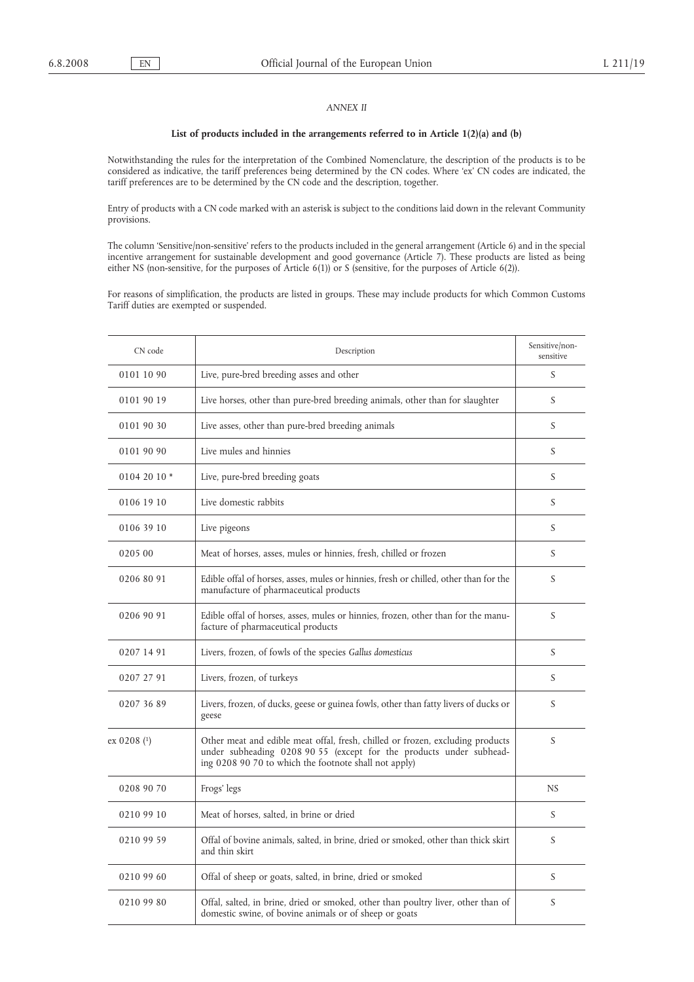## *ANNEX II*

## **List of products included in the arrangements referred to in Article 1(2)(a) and (b)**

Notwithstanding the rules for the interpretation of the Combined Nomenclature, the description of the products is to be considered as indicative, the tariff preferences being determined by the CN codes. Where 'ex' CN codes are indicated, the tariff preferences are to be determined by the CN code and the description, together.

Entry of products with a CN code marked with an asterisk is subject to the conditions laid down in the relevant Community provisions.

The column 'Sensitive/non-sensitive' refers to the products included in the general arrangement (Article 6) and in the special incentive arrangement for sustainable development and good governance (Article 7). These products are listed as being either NS (non-sensitive, for the purposes of Article 6(1)) or S (sensitive, for the purposes of Article 6(2)).

For reasons of simplification, the products are listed in groups. These may include products for which Common Customs Tariff duties are exempted or suspended.

| CN code       | Description                                                                                                                                                                                                    | Sensitive/non-<br>sensitive |
|---------------|----------------------------------------------------------------------------------------------------------------------------------------------------------------------------------------------------------------|-----------------------------|
| 0101 10 90    | Live, pure-bred breeding asses and other                                                                                                                                                                       | S                           |
| 0101 90 19    | Live horses, other than pure-bred breeding animals, other than for slaughter                                                                                                                                   | S                           |
| 0101 90 30    | Live asses, other than pure-bred breeding animals                                                                                                                                                              | S                           |
| 0101 90 90    | Live mules and hinnies                                                                                                                                                                                         | S                           |
| $01042010*$   | Live, pure-bred breeding goats                                                                                                                                                                                 | S                           |
| 0106 19 10    | Live domestic rabbits                                                                                                                                                                                          | S                           |
| 0106 39 10    | Live pigeons                                                                                                                                                                                                   | S                           |
| 0205 00       | Meat of horses, asses, mules or hinnies, fresh, chilled or frozen                                                                                                                                              | S                           |
| 0206 80 91    | Edible offal of horses, asses, mules or hinnies, fresh or chilled, other than for the<br>manufacture of pharmaceutical products                                                                                | S                           |
| 0206 90 91    | Edible offal of horses, asses, mules or hinnies, frozen, other than for the manu-<br>facture of pharmaceutical products                                                                                        | S                           |
| 0207 14 91    | Livers, frozen, of fowls of the species Gallus domesticus                                                                                                                                                      | S                           |
| 0207 27 91    | Livers, frozen, of turkeys                                                                                                                                                                                     | S                           |
| 0207 36 89    | Livers, frozen, of ducks, geese or guinea fowls, other than fatty livers of ducks or<br>geese                                                                                                                  | S                           |
| $ex~0208$ (1) | Other meat and edible meat offal, fresh, chilled or frozen, excluding products<br>under subheading 0208 90 55 (except for the products under subhead-<br>ing 0208 90 70 to which the footnote shall not apply) | S                           |
| 0208 90 70    | Frogs' legs                                                                                                                                                                                                    | NS                          |
| 0210 99 10    | Meat of horses, salted, in brine or dried                                                                                                                                                                      | S                           |
| 0210 99 59    | Offal of bovine animals, salted, in brine, dried or smoked, other than thick skirt<br>and thin skirt                                                                                                           | S                           |
| 0210 99 60    | Offal of sheep or goats, salted, in brine, dried or smoked                                                                                                                                                     | S                           |
| 0210 99 80    | Offal, salted, in brine, dried or smoked, other than poultry liver, other than of<br>domestic swine, of bovine animals or of sheep or goats                                                                    | S                           |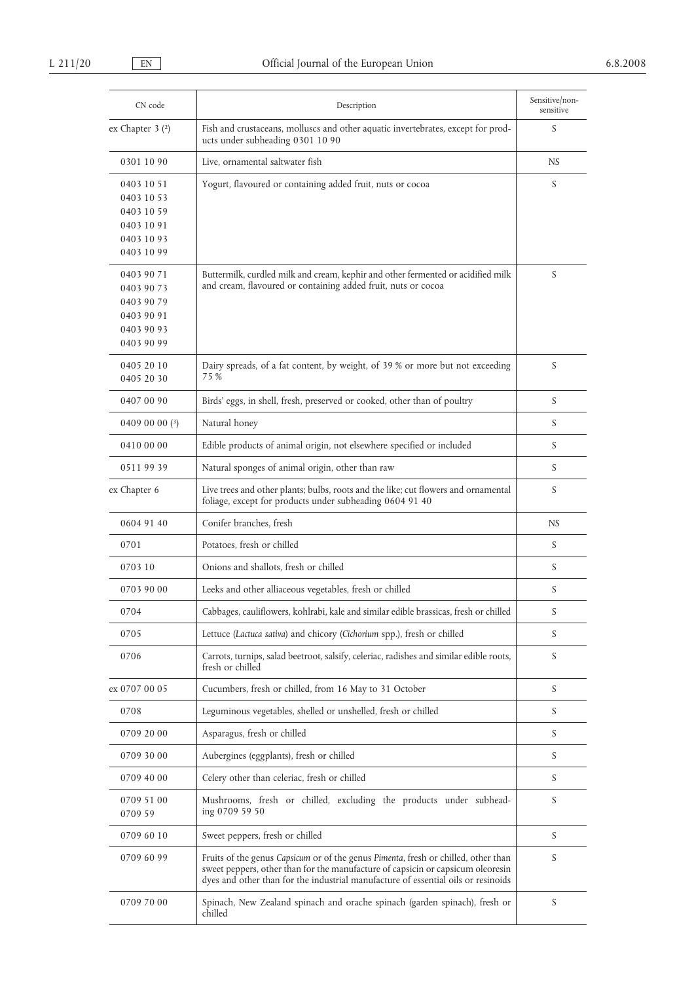| CN code                                                                          | Description                                                                                                                                                                                                                                                | Sensitive/non-<br>sensitive |
|----------------------------------------------------------------------------------|------------------------------------------------------------------------------------------------------------------------------------------------------------------------------------------------------------------------------------------------------------|-----------------------------|
| ex Chapter 3 (2)                                                                 | Fish and crustaceans, molluscs and other aquatic invertebrates, except for prod-<br>ucts under subheading 0301 10 90                                                                                                                                       | S                           |
| 0301 10 90                                                                       | Live, ornamental saltwater fish                                                                                                                                                                                                                            | NS.                         |
| 0403 10 51<br>0403 10 53<br>0403 10 59<br>0403 10 91<br>0403 10 93<br>0403 10 99 | Yogurt, flavoured or containing added fruit, nuts or cocoa                                                                                                                                                                                                 | S                           |
| 0403 90 71<br>0403 90 73<br>0403 90 79<br>0403 90 91<br>0403 90 93<br>0403 90 99 | Buttermilk, curdled milk and cream, kephir and other fermented or acidified milk<br>and cream, flavoured or containing added fruit, nuts or cocoa                                                                                                          | S                           |
| 0405 20 10<br>0405 20 30                                                         | Dairy spreads, of a fat content, by weight, of 39 % or more but not exceeding<br>75 %                                                                                                                                                                      | S                           |
| 0407 00 90                                                                       | Birds' eggs, in shell, fresh, preserved or cooked, other than of poultry                                                                                                                                                                                   | S                           |
| 0409 00 00 $(3)$                                                                 | Natural honey                                                                                                                                                                                                                                              | S                           |
| 0410 00 00                                                                       | Edible products of animal origin, not elsewhere specified or included                                                                                                                                                                                      | S                           |
| 05119939                                                                         | Natural sponges of animal origin, other than raw                                                                                                                                                                                                           | S                           |
| ex Chapter 6                                                                     | Live trees and other plants; bulbs, roots and the like; cut flowers and ornamental<br>foliage, except for products under subheading 0604 91 40                                                                                                             | S                           |
| 0604 91 40                                                                       | Conifer branches, fresh                                                                                                                                                                                                                                    | NS                          |
| 0701                                                                             | Potatoes, fresh or chilled                                                                                                                                                                                                                                 | S                           |
| 070310                                                                           | Onions and shallots, fresh or chilled                                                                                                                                                                                                                      | S                           |
| 0703 90 00                                                                       | Leeks and other alliaceous vegetables, fresh or chilled                                                                                                                                                                                                    | S                           |
| 0704                                                                             | Cabbages, cauliflowers, kohlrabi, kale and similar edible brassicas, fresh or chilled                                                                                                                                                                      | S                           |
| 0705                                                                             | Lettuce (Lactuca sativa) and chicory (Cichorium spp.), fresh or chilled                                                                                                                                                                                    | S                           |
| 0706                                                                             | Carrots, turnips, salad beetroot, salsify, celeriac, radishes and similar edible roots,<br>fresh or chilled                                                                                                                                                | S                           |
| ex 0707 00 05                                                                    | Cucumbers, fresh or chilled, from 16 May to 31 October                                                                                                                                                                                                     | S                           |
| 0708                                                                             | Leguminous vegetables, shelled or unshelled, fresh or chilled                                                                                                                                                                                              | S                           |
| 0709 20 00                                                                       | Asparagus, fresh or chilled                                                                                                                                                                                                                                | S                           |
| 0709 30 00                                                                       | Aubergines (eggplants), fresh or chilled                                                                                                                                                                                                                   | S                           |
| 0709 40 00                                                                       | Celery other than celeriac, fresh or chilled                                                                                                                                                                                                               | S                           |
| 0709 51 00<br>0709 59                                                            | Mushrooms, fresh or chilled, excluding the products under subhead-<br>ing 0709 59 50                                                                                                                                                                       | S                           |
| 0709 60 10                                                                       | Sweet peppers, fresh or chilled                                                                                                                                                                                                                            | S                           |
| 0709 60 99                                                                       | Fruits of the genus Capsicum or of the genus Pimenta, fresh or chilled, other than<br>sweet peppers, other than for the manufacture of capsicin or capsicum oleoresin<br>dyes and other than for the industrial manufacture of essential oils or resinoids | S                           |
| 0709 70 00                                                                       | Spinach, New Zealand spinach and orache spinach (garden spinach), fresh or<br>chilled                                                                                                                                                                      | S                           |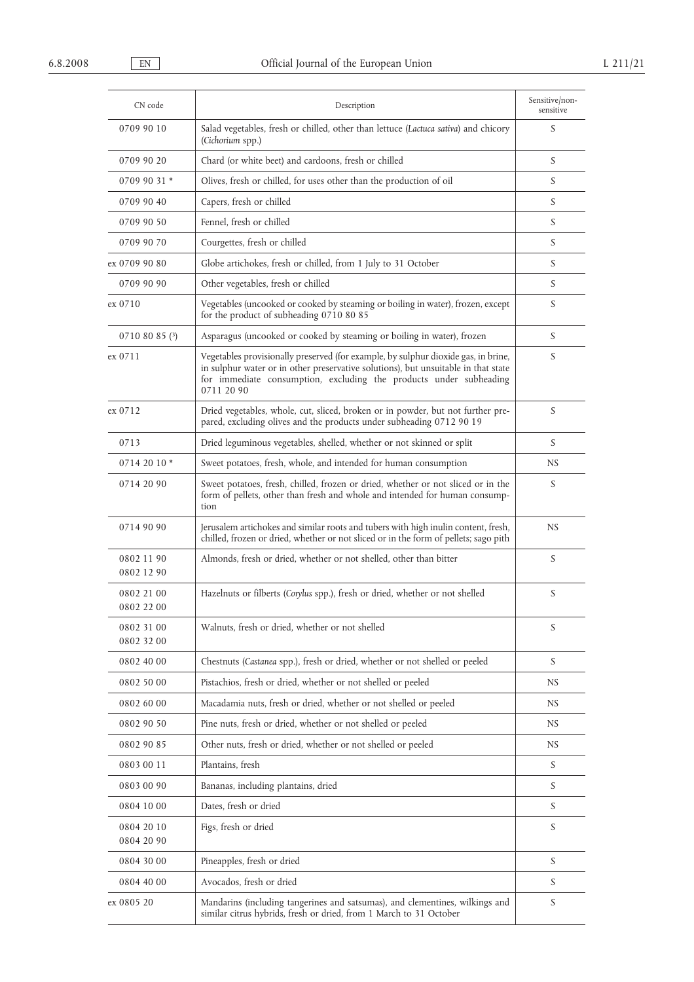| CN code                  | Description                                                                                                                                                                                                                                                  | Sensitive/non-<br>sensitive |
|--------------------------|--------------------------------------------------------------------------------------------------------------------------------------------------------------------------------------------------------------------------------------------------------------|-----------------------------|
| 0709 90 10               | Salad vegetables, fresh or chilled, other than lettuce (Lactuca sativa) and chicory<br>(Cichorium spp.)                                                                                                                                                      | S                           |
| 0709 90 20               | Chard (or white beet) and cardoons, fresh or chilled                                                                                                                                                                                                         | S                           |
| $07099031*$              | Olives, fresh or chilled, for uses other than the production of oil                                                                                                                                                                                          | S                           |
| 0709 90 40               | Capers, fresh or chilled                                                                                                                                                                                                                                     | S                           |
| 0709 90 50               | Fennel, fresh or chilled                                                                                                                                                                                                                                     | S                           |
| 0709 90 70               | Courgettes, fresh or chilled                                                                                                                                                                                                                                 | S                           |
| ex 0709 90 80            | Globe artichokes, fresh or chilled, from 1 July to 31 October                                                                                                                                                                                                | S                           |
| 0709 90 90               | Other vegetables, fresh or chilled                                                                                                                                                                                                                           | S                           |
| ex 0710                  | Vegetables (uncooked or cooked by steaming or boiling in water), frozen, except<br>for the product of subheading 0710 80 85                                                                                                                                  | S                           |
| $07108085$ (3)           | Asparagus (uncooked or cooked by steaming or boiling in water), frozen                                                                                                                                                                                       | S                           |
| ex 0711                  | Vegetables provisionally preserved (for example, by sulphur dioxide gas, in brine,<br>in sulphur water or in other preservative solutions), but unsuitable in that state<br>for immediate consumption, excluding the products under subheading<br>0711 20 90 | S                           |
| ex 0712                  | Dried vegetables, whole, cut, sliced, broken or in powder, but not further pre-<br>pared, excluding olives and the products under subheading 0712 90 19                                                                                                      | S                           |
| 0713                     | Dried leguminous vegetables, shelled, whether or not skinned or split                                                                                                                                                                                        | S                           |
| $07142010*$              | Sweet potatoes, fresh, whole, and intended for human consumption                                                                                                                                                                                             | NS.                         |
| 0714 20 90               | Sweet potatoes, fresh, chilled, frozen or dried, whether or not sliced or in the<br>form of pellets, other than fresh and whole and intended for human consump-<br>tion                                                                                      | S                           |
| 0714 90 90               | Jerusalem artichokes and similar roots and tubers with high inulin content, fresh,<br>chilled, frozen or dried, whether or not sliced or in the form of pellets; sago pith                                                                                   | NS                          |
| 0802 11 90<br>0802 12 90 | Almonds, fresh or dried, whether or not shelled, other than bitter                                                                                                                                                                                           | S                           |
| 0802 21 00<br>0802 22 00 | Hazelnuts or filberts (Corylus spp.), fresh or dried, whether or not shelled                                                                                                                                                                                 | S                           |
| 0802 31 00<br>0802 32 00 | Walnuts, fresh or dried, whether or not shelled                                                                                                                                                                                                              | S                           |
| 0802 40 00               | Chestnuts (Castanea spp.), fresh or dried, whether or not shelled or peeled                                                                                                                                                                                  | S                           |
| 0802 50 00               | Pistachios, fresh or dried, whether or not shelled or peeled                                                                                                                                                                                                 | NS                          |
| 0802 60 00               | Macadamia nuts, fresh or dried, whether or not shelled or peeled                                                                                                                                                                                             | NS                          |
| 0802 90 50               | Pine nuts, fresh or dried, whether or not shelled or peeled                                                                                                                                                                                                  | NS                          |
| 0802 90 85               | Other nuts, fresh or dried, whether or not shelled or peeled                                                                                                                                                                                                 | NS                          |
| 0803 00 11               | Plantains, fresh                                                                                                                                                                                                                                             | S                           |
| 0803 00 90               | Bananas, including plantains, dried                                                                                                                                                                                                                          | S                           |
| 0804 10 00               | Dates, fresh or dried                                                                                                                                                                                                                                        | S                           |
| 0804 20 10<br>0804 20 90 | Figs, fresh or dried                                                                                                                                                                                                                                         | S                           |
| 0804 30 00               | Pineapples, fresh or dried                                                                                                                                                                                                                                   | S                           |
| 0804 40 00               | Avocados, fresh or dried                                                                                                                                                                                                                                     | S                           |
| ex 0805 20               | Mandarins (including tangerines and satsumas), and clementines, wilkings and<br>similar citrus hybrids, fresh or dried, from 1 March to 31 October                                                                                                           | S                           |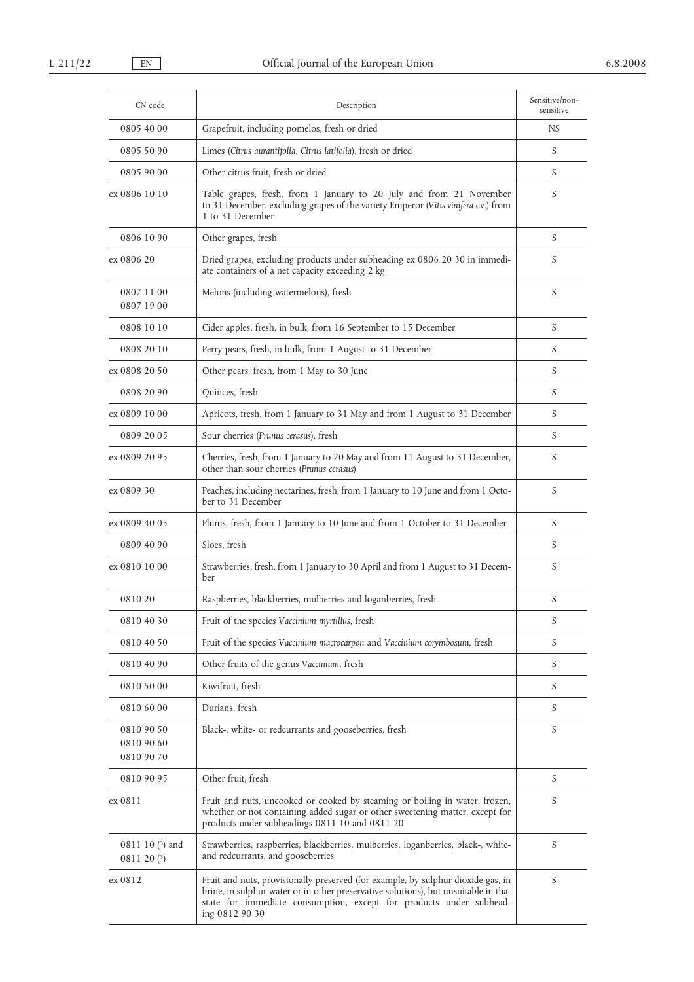| CN code                                | Description                                                                                                                                                                                                                                                      | Sensitive/non-<br>sensitive |
|----------------------------------------|------------------------------------------------------------------------------------------------------------------------------------------------------------------------------------------------------------------------------------------------------------------|-----------------------------|
| 0805 40 00                             | Grapefruit, including pomelos, fresh or dried                                                                                                                                                                                                                    | NS.                         |
| 0805 50 90                             | Limes (Citrus aurantifolia, Citrus latifolia), fresh or dried                                                                                                                                                                                                    | S                           |
| 0805 90 00                             | Other citrus fruit, fresh or dried                                                                                                                                                                                                                               | S                           |
| ex 0806 10 10                          | Table grapes, fresh, from 1 January to 20 July and from 21 November<br>to 31 December, excluding grapes of the variety Emperor (Vitis vinifera cv.) from<br>1 to 31 December                                                                                     | S                           |
| 0806 10 90                             | Other grapes, fresh                                                                                                                                                                                                                                              | S                           |
| ex 0806 20                             | Dried grapes, excluding products under subheading ex 0806 20 30 in immedi-<br>ate containers of a net capacity exceeding 2 kg                                                                                                                                    | S                           |
| 0807 11 00<br>0807 19 00               | Melons (including watermelons), fresh                                                                                                                                                                                                                            | S                           |
| 0808 10 10                             | Cider apples, fresh, in bulk, from 16 September to 15 December                                                                                                                                                                                                   | S                           |
| 0808 20 10                             | Perry pears, fresh, in bulk, from 1 August to 31 December                                                                                                                                                                                                        | S                           |
| ex 0808 20 50                          | Other pears, fresh, from 1 May to 30 June                                                                                                                                                                                                                        | S                           |
| 0808 20 90                             | Quinces, fresh                                                                                                                                                                                                                                                   | S                           |
| ex 0809 10 00                          | Apricots, fresh, from 1 January to 31 May and from 1 August to 31 December                                                                                                                                                                                       | S                           |
| 0809 20 05                             | Sour cherries (Prunus cerasus), fresh                                                                                                                                                                                                                            | S                           |
| ex 0809 20 95                          | Cherries, fresh, from 1 January to 20 May and from 11 August to 31 December,<br>other than sour cherries (Prunus cerasus)                                                                                                                                        | S                           |
| ex 0809 30                             | Peaches, including nectarines, fresh, from 1 January to 10 June and from 1 Octo-<br>ber to 31 December                                                                                                                                                           | S                           |
| ex 0809 40 05                          | Plums, fresh, from 1 January to 10 June and from 1 October to 31 December                                                                                                                                                                                        | S                           |
| 0809 40 90                             | Sloes, fresh                                                                                                                                                                                                                                                     | S                           |
| ex 0810 10 00                          | Strawberries, fresh, from 1 January to 30 April and from 1 August to 31 Decem-<br>ber                                                                                                                                                                            | S                           |
| 081020                                 | Raspberries, blackberries, mulberries and loganberries, fresh                                                                                                                                                                                                    | S                           |
| 0810 40 30                             | Fruit of the species Vaccinium myrtillus, fresh                                                                                                                                                                                                                  | S                           |
| 0810 40 50                             | Fruit of the species Vaccinium macrocarpon and Vaccinium corymbosum, fresh                                                                                                                                                                                       | S                           |
| 0810 40 90                             | Other fruits of the genus Vaccinium, fresh                                                                                                                                                                                                                       | S                           |
| 0810 50 00                             | Kiwifruit, fresh                                                                                                                                                                                                                                                 | S                           |
| 0810 60 00                             | Durians, fresh                                                                                                                                                                                                                                                   | S                           |
| 0810 90 50<br>0810 90 60<br>0810 90 70 | Black-, white- or redcurrants and gooseberries, fresh                                                                                                                                                                                                            | S                           |
| 0810 90 95                             | Other fruit, fresh                                                                                                                                                                                                                                               | S                           |
| ex 0811                                | Fruit and nuts, uncooked or cooked by steaming or boiling in water, frozen,<br>whether or not containing added sugar or other sweetening matter, except for<br>products under subheadings 0811 10 and 0811 20                                                    | S                           |
| $081110$ (3) and<br>$081120$ (3)       | Strawberries, raspberries, blackberries, mulberries, loganberries, black-, white-<br>and redcurrants, and gooseberries                                                                                                                                           | S                           |
| ex 0812                                | Fruit and nuts, provisionally preserved (for example, by sulphur dioxide gas, in<br>brine, in sulphur water or in other preservative solutions), but unsuitable in that<br>state for immediate consumption, except for products under subhead-<br>ing 0812 90 30 | S                           |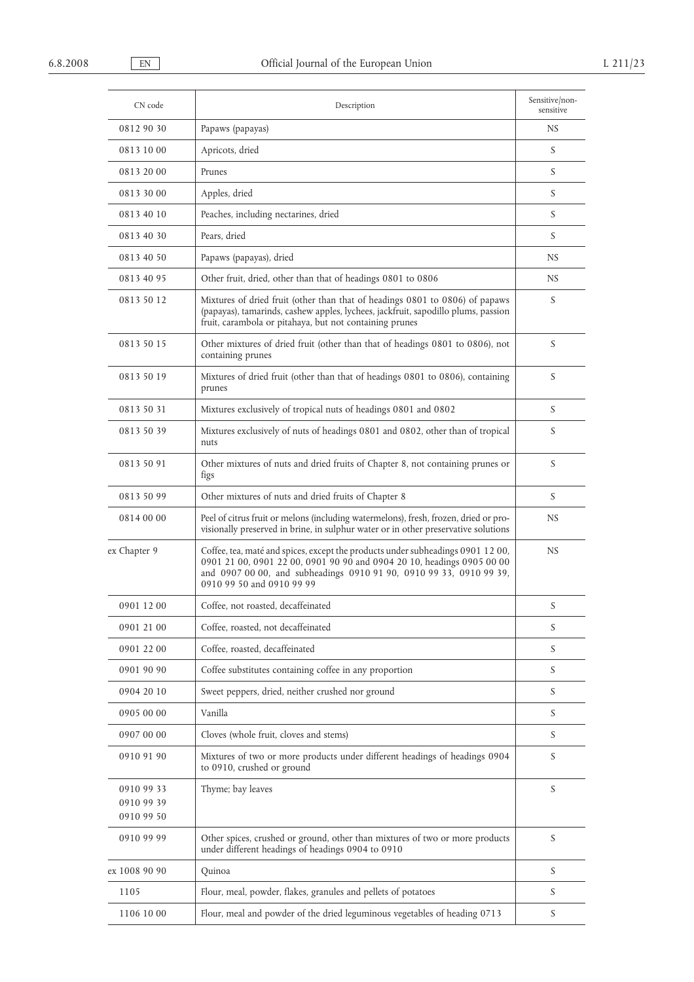| CN code                                | Description                                                                                                                                                                                                                                                   | Sensitive/non-<br>sensitive |
|----------------------------------------|---------------------------------------------------------------------------------------------------------------------------------------------------------------------------------------------------------------------------------------------------------------|-----------------------------|
| 0812 90 30                             | Papaws (papayas)                                                                                                                                                                                                                                              | NS.                         |
| 0813 10 00                             | Apricots, dried                                                                                                                                                                                                                                               | S                           |
| 0813 20 00                             | Prunes                                                                                                                                                                                                                                                        | S                           |
| 0813 30 00                             | Apples, dried                                                                                                                                                                                                                                                 | S                           |
| 0813 40 10                             | Peaches, including nectarines, dried                                                                                                                                                                                                                          | S                           |
| 0813 40 30                             | Pears, dried                                                                                                                                                                                                                                                  | S                           |
| 0813 40 50                             | Papaws (papayas), dried                                                                                                                                                                                                                                       | <b>NS</b>                   |
| 0813 40 95                             | Other fruit, dried, other than that of headings 0801 to 0806                                                                                                                                                                                                  | NS                          |
| 0813 50 12                             | Mixtures of dried fruit (other than that of headings 0801 to 0806) of papaws<br>(papayas), tamarinds, cashew apples, lychees, jackfruit, sapodillo plums, passion<br>fruit, carambola or pitahaya, but not containing prunes                                  | S                           |
| 0813 50 15                             | Other mixtures of dried fruit (other than that of headings 0801 to 0806), not<br>containing prunes                                                                                                                                                            | S                           |
| 0813 50 19                             | Mixtures of dried fruit (other than that of headings 0801 to 0806), containing<br>prunes                                                                                                                                                                      | S                           |
| 0813 50 31                             | Mixtures exclusively of tropical nuts of headings 0801 and 0802                                                                                                                                                                                               | S                           |
| 0813 50 39                             | Mixtures exclusively of nuts of headings 0801 and 0802, other than of tropical<br>nuts                                                                                                                                                                        | S                           |
| 0813 50 91                             | Other mixtures of nuts and dried fruits of Chapter 8, not containing prunes or<br>figs                                                                                                                                                                        | S                           |
| 0813 50 99                             | Other mixtures of nuts and dried fruits of Chapter 8                                                                                                                                                                                                          | S                           |
| 0814 00 00                             | Peel of citrus fruit or melons (including watermelons), fresh, frozen, dried or pro-<br>visionally preserved in brine, in sulphur water or in other preservative solutions                                                                                    | NS                          |
| ex Chapter 9                           | Coffee, tea, maté and spices, except the products under subheadings 0901 12 00,<br>0901 21 00, 0901 22 00, 0901 90 90 and 0904 20 10, headings 0905 00 00<br>and 0907 00 00, and subheadings 0910 91 90, 0910 99 33, 0910 99 39,<br>0910 99 50 and 0910 99 99 | NS                          |
| 0901 12 00                             | Coffee, not roasted, decaffeinated                                                                                                                                                                                                                            | S                           |
| 0901 21 00                             | Coffee, roasted, not decaffeinated                                                                                                                                                                                                                            | S                           |
| 0901 22 00                             | Coffee, roasted, decaffeinated                                                                                                                                                                                                                                | S                           |
| 0901 90 90                             | Coffee substitutes containing coffee in any proportion                                                                                                                                                                                                        | S                           |
| 0904 20 10                             | Sweet peppers, dried, neither crushed nor ground                                                                                                                                                                                                              | S                           |
| 0905 00 00                             | Vanilla                                                                                                                                                                                                                                                       | S                           |
| 0907 00 00                             | Cloves (whole fruit, cloves and stems)                                                                                                                                                                                                                        | S                           |
| 0910 91 90                             | Mixtures of two or more products under different headings of headings 0904<br>to 0910, crushed or ground                                                                                                                                                      | S                           |
| 0910 99 33<br>0910 99 39<br>0910 99 50 | Thyme; bay leaves                                                                                                                                                                                                                                             | S                           |
| 0910 99 99                             | Other spices, crushed or ground, other than mixtures of two or more products<br>under different headings of headings 0904 to 0910                                                                                                                             | S                           |
| ex 1008 90 90                          | Quinoa                                                                                                                                                                                                                                                        | S                           |
| 1105                                   | Flour, meal, powder, flakes, granules and pellets of potatoes                                                                                                                                                                                                 | S                           |
| 1106 10 00                             | Flour, meal and powder of the dried leguminous vegetables of heading 0713                                                                                                                                                                                     | S                           |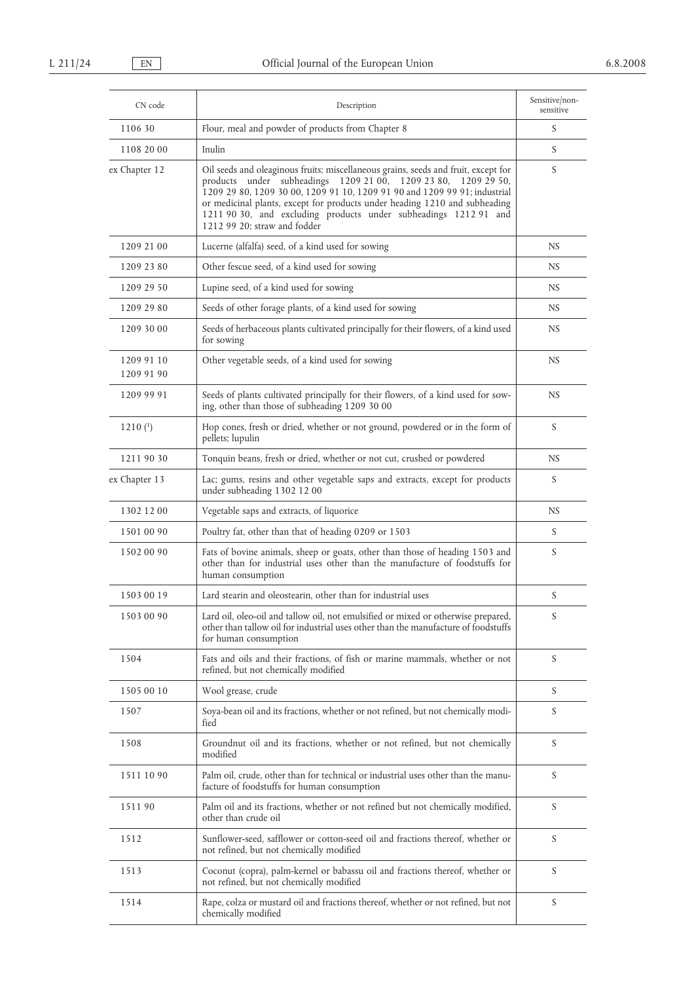| CN code                  | Description                                                                                                                                                                                                                                                                                                                                                                                                         | Sensitive/non-<br>sensitive |
|--------------------------|---------------------------------------------------------------------------------------------------------------------------------------------------------------------------------------------------------------------------------------------------------------------------------------------------------------------------------------------------------------------------------------------------------------------|-----------------------------|
| 1106 30                  | Flour, meal and powder of products from Chapter 8                                                                                                                                                                                                                                                                                                                                                                   | S                           |
| 1108 20 00               | Inulin                                                                                                                                                                                                                                                                                                                                                                                                              | S                           |
| ex Chapter 12            | Oil seeds and oleaginous fruits; miscellaneous grains, seeds and fruit, except for<br>products under subheadings 1209 21 00, 1209 23 80, 1209 29 50,<br>1209 29 80, 1209 30 00, 1209 91 10, 1209 91 90 and 1209 99 91; industrial<br>or medicinal plants, except for products under heading 1210 and subheading<br>1211 90 30, and excluding products under subheadings 1212 91 and<br>1212 99 20; straw and fodder | S                           |
| 1209 21 00               | Lucerne (alfalfa) seed, of a kind used for sowing                                                                                                                                                                                                                                                                                                                                                                   | NS                          |
| 1209 23 80               | Other fescue seed, of a kind used for sowing                                                                                                                                                                                                                                                                                                                                                                        | NS                          |
| 1209 29 50               | Lupine seed, of a kind used for sowing                                                                                                                                                                                                                                                                                                                                                                              | NS                          |
| 1209 29 80               | Seeds of other forage plants, of a kind used for sowing                                                                                                                                                                                                                                                                                                                                                             | NS                          |
| 1209 30 00               | Seeds of herbaceous plants cultivated principally for their flowers, of a kind used<br>for sowing                                                                                                                                                                                                                                                                                                                   | NS                          |
| 1209 91 10<br>1209 91 90 | Other vegetable seeds, of a kind used for sowing                                                                                                                                                                                                                                                                                                                                                                    | NS                          |
| 1209 99 91               | Seeds of plants cultivated principally for their flowers, of a kind used for sow-<br>ing, other than those of subheading 1209 30 00                                                                                                                                                                                                                                                                                 | NS                          |
| 1210 <sup>(1)</sup>      | Hop cones, fresh or dried, whether or not ground, powdered or in the form of<br>pellets; lupulin                                                                                                                                                                                                                                                                                                                    | S                           |
| 1211 90 30               | Tonquin beans, fresh or dried, whether or not cut, crushed or powdered                                                                                                                                                                                                                                                                                                                                              | NS                          |
| ex Chapter 13            | Lac; gums, resins and other vegetable saps and extracts, except for products<br>under subheading 1302 12 00                                                                                                                                                                                                                                                                                                         | S                           |
| 1302 12 00               | Vegetable saps and extracts, of liquorice                                                                                                                                                                                                                                                                                                                                                                           | NS                          |
| 1501 00 90               | Poultry fat, other than that of heading 0209 or 1503                                                                                                                                                                                                                                                                                                                                                                | S                           |
| 1502 00 90               | Fats of bovine animals, sheep or goats, other than those of heading 1503 and<br>other than for industrial uses other than the manufacture of foodstuffs for<br>human consumption                                                                                                                                                                                                                                    | S                           |
| 1503 00 19               | Lard stearin and oleostearin, other than for industrial uses                                                                                                                                                                                                                                                                                                                                                        | S                           |
| 1503 00 90               | Lard oil, oleo-oil and tallow oil, not emulsified or mixed or otherwise prepared,<br>other than tallow oil for industrial uses other than the manufacture of foodstuffs<br>for human consumption                                                                                                                                                                                                                    | S                           |
| 1504                     | Fats and oils and their fractions, of fish or marine mammals, whether or not<br>refined, but not chemically modified                                                                                                                                                                                                                                                                                                | S                           |
| 1505 00 10               | Wool grease, crude                                                                                                                                                                                                                                                                                                                                                                                                  | S                           |
| 1507                     | Soya-bean oil and its fractions, whether or not refined, but not chemically modi-<br>fied                                                                                                                                                                                                                                                                                                                           | S                           |
| 1508                     | Groundnut oil and its fractions, whether or not refined, but not chemically<br>modified                                                                                                                                                                                                                                                                                                                             | S                           |
| 1511 10 90               | Palm oil, crude, other than for technical or industrial uses other than the manu-<br>facture of foodstuffs for human consumption                                                                                                                                                                                                                                                                                    | S                           |
| 1511 90                  | Palm oil and its fractions, whether or not refined but not chemically modified,<br>other than crude oil                                                                                                                                                                                                                                                                                                             | S                           |
| 1512                     | Sunflower-seed, safflower or cotton-seed oil and fractions thereof, whether or<br>not refined, but not chemically modified                                                                                                                                                                                                                                                                                          | S                           |
| 1513                     | Coconut (copra), palm-kernel or babassu oil and fractions thereof, whether or<br>not refined, but not chemically modified                                                                                                                                                                                                                                                                                           | S                           |
| 1514                     | Rape, colza or mustard oil and fractions thereof, whether or not refined, but not<br>chemically modified                                                                                                                                                                                                                                                                                                            | S                           |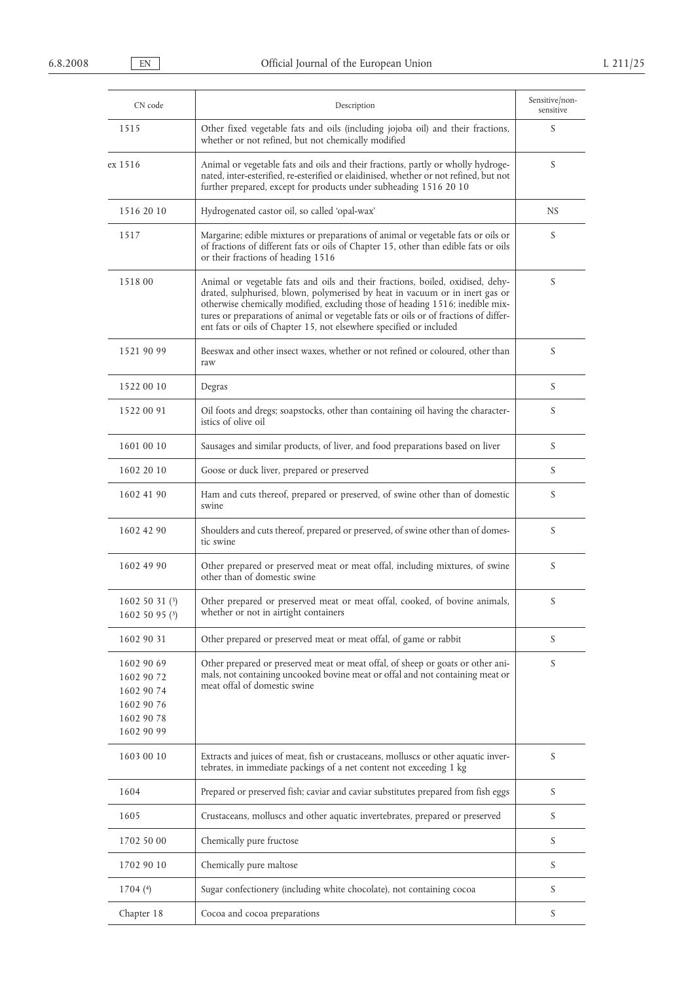|                                                                                  |                                                                                                                                                                                                                                                                                                                                                                                                                | Sensitive/non- |
|----------------------------------------------------------------------------------|----------------------------------------------------------------------------------------------------------------------------------------------------------------------------------------------------------------------------------------------------------------------------------------------------------------------------------------------------------------------------------------------------------------|----------------|
| CN code                                                                          | Description                                                                                                                                                                                                                                                                                                                                                                                                    | sensitive      |
| 1515                                                                             | Other fixed vegetable fats and oils (including jojoba oil) and their fractions,<br>whether or not refined, but not chemically modified                                                                                                                                                                                                                                                                         | S              |
| ex 1516                                                                          | Animal or vegetable fats and oils and their fractions, partly or wholly hydroge-<br>nated, inter-esterified, re-esterified or elaidinised, whether or not refined, but not<br>further prepared, except for products under subheading 1516 20 10                                                                                                                                                                | S              |
| 1516 20 10                                                                       | Hydrogenated castor oil, so called 'opal-wax'                                                                                                                                                                                                                                                                                                                                                                  | NS.            |
| 1517                                                                             | Margarine; edible mixtures or preparations of animal or vegetable fats or oils or<br>of fractions of different fats or oils of Chapter 15, other than edible fats or oils<br>or their fractions of heading 1516                                                                                                                                                                                                | S              |
| 1518 00                                                                          | Animal or vegetable fats and oils and their fractions, boiled, oxidised, dehy-<br>drated, sulphurised, blown, polymerised by heat in vacuum or in inert gas or<br>otherwise chemically modified, excluding those of heading 1516; inedible mix-<br>tures or preparations of animal or vegetable fats or oils or of fractions of differ-<br>ent fats or oils of Chapter 15, not elsewhere specified or included | S              |
| 1521 90 99                                                                       | Beeswax and other insect waxes, whether or not refined or coloured, other than<br>raw                                                                                                                                                                                                                                                                                                                          | S              |
| 1522 00 10                                                                       | Degras                                                                                                                                                                                                                                                                                                                                                                                                         | S              |
| 1522 00 91                                                                       | Oil foots and dregs; soapstocks, other than containing oil having the character-<br>istics of olive oil                                                                                                                                                                                                                                                                                                        | S              |
| 1601 00 10                                                                       | Sausages and similar products, of liver, and food preparations based on liver                                                                                                                                                                                                                                                                                                                                  | S              |
| 1602 20 10                                                                       | Goose or duck liver, prepared or preserved                                                                                                                                                                                                                                                                                                                                                                     | S              |
| 1602 41 90                                                                       | Ham and cuts thereof, prepared or preserved, of swine other than of domestic<br>swine                                                                                                                                                                                                                                                                                                                          | S              |
| 1602 42 90                                                                       | Shoulders and cuts thereof, prepared or preserved, of swine other than of domes-<br>tic swine                                                                                                                                                                                                                                                                                                                  | S              |
| 1602 49 90                                                                       | Other prepared or preserved meat or meat offal, including mixtures, of swine<br>other than of domestic swine                                                                                                                                                                                                                                                                                                   | S              |
| 1602 50 31 $(3)$<br>1602 50 95 $(3)$                                             | Other prepared or preserved meat or meat offal, cooked, of bovine animals,<br>whether or not in airtight containers                                                                                                                                                                                                                                                                                            | S              |
| 1602 90 31                                                                       | Other prepared or preserved meat or meat offal, of game or rabbit                                                                                                                                                                                                                                                                                                                                              | S              |
| 1602 90 69<br>1602 90 72<br>1602 90 74<br>1602 90 76<br>1602 90 78<br>1602 90 99 | Other prepared or preserved meat or meat offal, of sheep or goats or other ani-<br>mals, not containing uncooked bovine meat or offal and not containing meat or<br>meat offal of domestic swine                                                                                                                                                                                                               | S              |
| 1603 00 10                                                                       | Extracts and juices of meat, fish or crustaceans, molluscs or other aquatic inver-<br>tebrates, in immediate packings of a net content not exceeding 1 kg                                                                                                                                                                                                                                                      | S              |
| 1604                                                                             | Prepared or preserved fish; caviar and caviar substitutes prepared from fish eggs                                                                                                                                                                                                                                                                                                                              | S              |
| 1605                                                                             | Crustaceans, molluscs and other aquatic invertebrates, prepared or preserved                                                                                                                                                                                                                                                                                                                                   | S              |
| 1702 50 00                                                                       | Chemically pure fructose                                                                                                                                                                                                                                                                                                                                                                                       | S              |
| 1702 90 10                                                                       | Chemically pure maltose                                                                                                                                                                                                                                                                                                                                                                                        | S              |
| 1704(4)                                                                          | Sugar confectionery (including white chocolate), not containing cocoa                                                                                                                                                                                                                                                                                                                                          | S              |
| Chapter 18                                                                       | Cocoa and cocoa preparations                                                                                                                                                                                                                                                                                                                                                                                   | S              |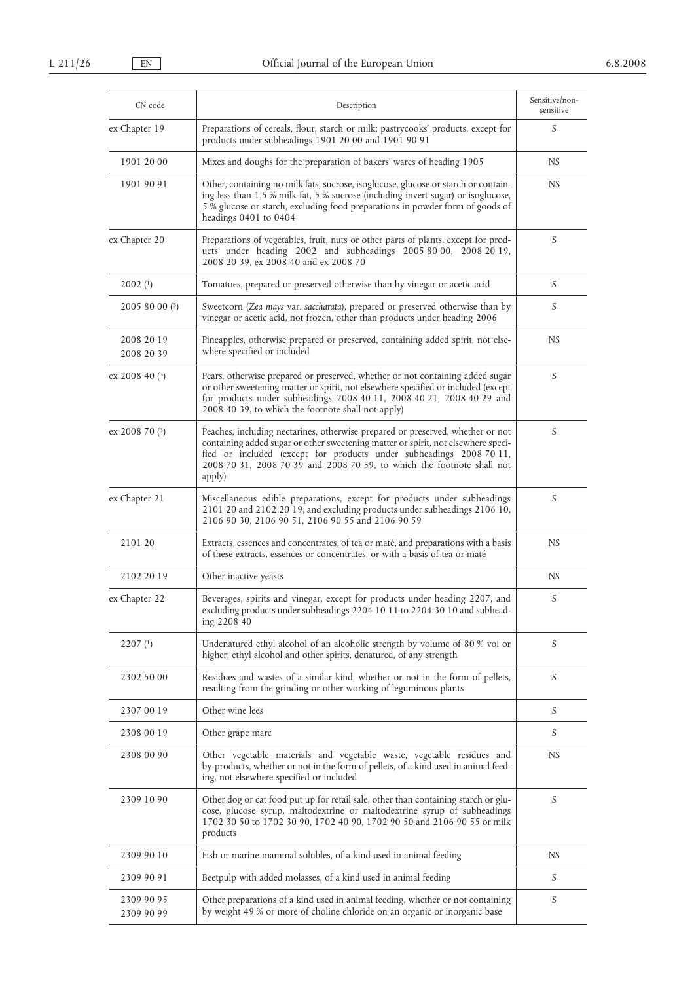| CN code                  | Description                                                                                                                                                                                                                                                                                                                    | Sensitive/non-<br>sensitive |
|--------------------------|--------------------------------------------------------------------------------------------------------------------------------------------------------------------------------------------------------------------------------------------------------------------------------------------------------------------------------|-----------------------------|
| ex Chapter 19            | Preparations of cereals, flour, starch or milk; pastrycooks' products, except for<br>products under subheadings 1901 20 00 and 1901 90 91                                                                                                                                                                                      | S                           |
| 1901 20 00               | Mixes and doughs for the preparation of bakers' wares of heading 1905                                                                                                                                                                                                                                                          | NS.                         |
| 1901 90 91               | Other, containing no milk fats, sucrose, isoglucose, glucose or starch or contain-<br>ing less than 1,5 % milk fat, 5 % sucrose (including invert sugar) or isoglucose,<br>5 % glucose or starch, excluding food preparations in powder form of goods of<br>headings 0401 to 0404                                              | NS.                         |
| ex Chapter 20            | Preparations of vegetables, fruit, nuts or other parts of plants, except for prod-<br>ucts under heading 2002 and subheadings 2005 80 00, 2008 20 19,<br>2008 20 39, ex 2008 40 and ex 2008 70                                                                                                                                 | S                           |
| $2002$ ( <sup>1</sup> )  | Tomatoes, prepared or preserved otherwise than by vinegar or acetic acid                                                                                                                                                                                                                                                       | S                           |
| $20058000$ (3)           | Sweetcorn (Zea mays var. saccharata), prepared or preserved otherwise than by<br>vinegar or acetic acid, not frozen, other than products under heading 2006                                                                                                                                                                    | S                           |
| 2008 20 19<br>2008 20 39 | Pineapples, otherwise prepared or preserved, containing added spirit, not else-<br>where specified or included                                                                                                                                                                                                                 | NS                          |
| ex 2008 40 (3)           | Pears, otherwise prepared or preserved, whether or not containing added sugar<br>or other sweetening matter or spirit, not elsewhere specified or included (except<br>for products under subheadings 2008 40 11, 2008 40 21, 2008 40 29 and<br>2008 40 39, to which the footnote shall not apply)                              | S                           |
| ex 2008 70 $(3)$         | Peaches, including nectarines, otherwise prepared or preserved, whether or not<br>containing added sugar or other sweetening matter or spirit, not elsewhere speci-<br>fied or included (except for products under subheadings 2008 70 11,<br>2008 70 31, 2008 70 39 and 2008 70 59, to which the footnote shall not<br>apply) | S                           |
| ex Chapter 21            | Miscellaneous edible preparations, except for products under subheadings<br>2101 20 and 2102 20 19, and excluding products under subheadings 2106 10,<br>2106 90 30, 2106 90 51, 2106 90 55 and 2106 90 59                                                                                                                     | S                           |
| 2101 20                  | Extracts, essences and concentrates, of tea or maté, and preparations with a basis<br>of these extracts, essences or concentrates, or with a basis of tea or maté                                                                                                                                                              | NS.                         |
| 2102 20 19               | Other inactive yeasts                                                                                                                                                                                                                                                                                                          | NS                          |
| ex Chapter 22            | Beverages, spirits and vinegar, except for products under heading 2207, and<br>excluding products under subheadings 2204 10 11 to 2204 30 10 and subhead-<br>ing 2208 40                                                                                                                                                       | S                           |
| $2207$ $(1)$             | Undenatured ethyl alcohol of an alcoholic strength by volume of 80 % vol or<br>higher; ethyl alcohol and other spirits, denatured, of any strength                                                                                                                                                                             | S                           |
| 2302 50 00               | Residues and wastes of a similar kind, whether or not in the form of pellets,<br>resulting from the grinding or other working of leguminous plants                                                                                                                                                                             | S                           |
| 2307 00 19               | Other wine lees                                                                                                                                                                                                                                                                                                                | S                           |
| 2308 00 19               | Other grape marc                                                                                                                                                                                                                                                                                                               | S                           |
| 2308 00 90               | Other vegetable materials and vegetable waste, vegetable residues and<br>by-products, whether or not in the form of pellets, of a kind used in animal feed-<br>ing, not elsewhere specified or included                                                                                                                        | NS.                         |
| 2309 10 90               | Other dog or cat food put up for retail sale, other than containing starch or glu-<br>cose, glucose syrup, maltodextrine or maltodextrine syrup of subheadings<br>1702 30 50 to 1702 30 90, 1702 40 90, 1702 90 50 and 2106 90 55 or milk<br>products                                                                          | S                           |
| 2309 90 10               | Fish or marine mammal solubles, of a kind used in animal feeding                                                                                                                                                                                                                                                               | NS                          |
| 2309 90 91               | Beetpulp with added molasses, of a kind used in animal feeding                                                                                                                                                                                                                                                                 | S                           |
| 2309 90 95<br>2309 90 99 | Other preparations of a kind used in animal feeding, whether or not containing<br>by weight 49 % or more of choline chloride on an organic or inorganic base                                                                                                                                                                   | S                           |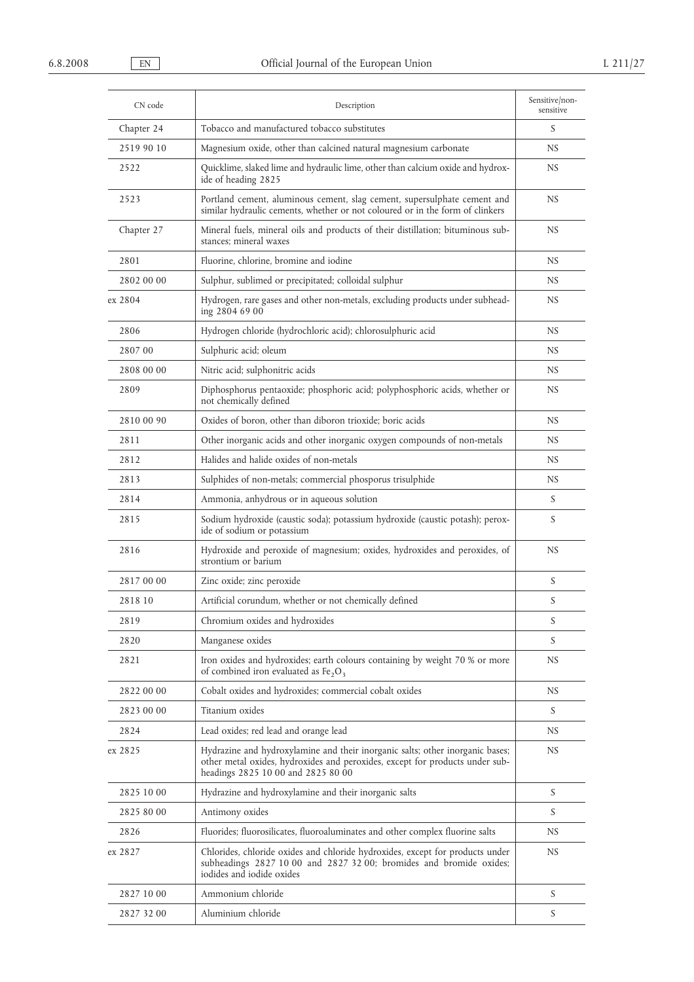| CN code    | Description                                                                                                                                                                                         | Sensitive/non-<br>sensitive |
|------------|-----------------------------------------------------------------------------------------------------------------------------------------------------------------------------------------------------|-----------------------------|
| Chapter 24 | Tobacco and manufactured tobacco substitutes                                                                                                                                                        | S                           |
| 2519 90 10 | Magnesium oxide, other than calcined natural magnesium carbonate                                                                                                                                    | NS                          |
| 2522       | Quicklime, slaked lime and hydraulic lime, other than calcium oxide and hydrox-<br>ide of heading 2825                                                                                              | NS                          |
| 2523       | Portland cement, aluminous cement, slag cement, supersulphate cement and<br>similar hydraulic cements, whether or not coloured or in the form of clinkers                                           | <b>NS</b>                   |
| Chapter 27 | Mineral fuels, mineral oils and products of their distillation; bituminous sub-<br>stances: mineral waxes                                                                                           | NS                          |
| 2801       | Fluorine, chlorine, bromine and iodine                                                                                                                                                              | NS                          |
| 2802 00 00 | Sulphur, sublimed or precipitated; colloidal sulphur                                                                                                                                                | <b>NS</b>                   |
| ex 2804    | Hydrogen, rare gases and other non-metals, excluding products under subhead-<br>ing 2804 69 00                                                                                                      | <b>NS</b>                   |
| 2806       | Hydrogen chloride (hydrochloric acid); chlorosulphuric acid                                                                                                                                         | NS                          |
| 2807 00    | Sulphuric acid; oleum                                                                                                                                                                               | NS.                         |
| 2808 00 00 | Nitric acid; sulphonitric acids                                                                                                                                                                     | NS                          |
| 2809       | Diphosphorus pentaoxide; phosphoric acid; polyphosphoric acids, whether or<br>not chemically defined                                                                                                | NS                          |
| 2810 00 90 | Oxides of boron, other than diboron trioxide; boric acids                                                                                                                                           | <b>NS</b>                   |
| 2811       | Other inorganic acids and other inorganic oxygen compounds of non-metals                                                                                                                            | NS                          |
| 2812       | Halides and halide oxides of non-metals                                                                                                                                                             | <b>NS</b>                   |
| 2813       | Sulphides of non-metals; commercial phosporus trisulphide                                                                                                                                           | NS                          |
| 2814       | Ammonia, anhydrous or in aqueous solution                                                                                                                                                           | S                           |
| 2815       | Sodium hydroxide (caustic soda); potassium hydroxide (caustic potash); perox-<br>ide of sodium or potassium                                                                                         | S                           |
| 2816       | Hydroxide and peroxide of magnesium; oxides, hydroxides and peroxides, of<br>strontium or barium                                                                                                    | <b>NS</b>                   |
| 2817 00 00 | Zinc oxide; zinc peroxide                                                                                                                                                                           | S                           |
| 2818 10    | Artificial corundum, whether or not chemically defined                                                                                                                                              | S                           |
| 2819       | Chromium oxides and hydroxides                                                                                                                                                                      | S                           |
| 2820       | Manganese oxides                                                                                                                                                                                    | S                           |
| 2821       | Iron oxides and hydroxides; earth colours containing by weight 70 % or more<br>of combined iron evaluated as $Fe2O3$                                                                                | NS                          |
| 2822 00 00 | Cobalt oxides and hydroxides; commercial cobalt oxides                                                                                                                                              | NS                          |
| 2823 00 00 | Titanium oxides                                                                                                                                                                                     | S                           |
| 2824       | Lead oxides; red lead and orange lead                                                                                                                                                               | NS                          |
| ex 2825    | Hydrazine and hydroxylamine and their inorganic salts; other inorganic bases;<br>other metal oxides, hydroxides and peroxides, except for products under sub-<br>headings 2825 10 00 and 2825 80 00 | NS                          |
| 2825 10 00 | Hydrazine and hydroxylamine and their inorganic salts                                                                                                                                               | S                           |
| 2825 80 00 | Antimony oxides                                                                                                                                                                                     | S                           |
| 2826       | Fluorides; fluorosilicates, fluoroaluminates and other complex fluorine salts                                                                                                                       | NS.                         |
| ex 2827    | Chlorides, chloride oxides and chloride hydroxides, except for products under<br>subheadings 2827 10 00 and 2827 32 00; bromides and bromide oxides;<br>iodides and iodide oxides                   | NS                          |
| 2827 10 00 | Ammonium chloride                                                                                                                                                                                   | S                           |
| 2827 32 00 | Aluminium chloride                                                                                                                                                                                  | S                           |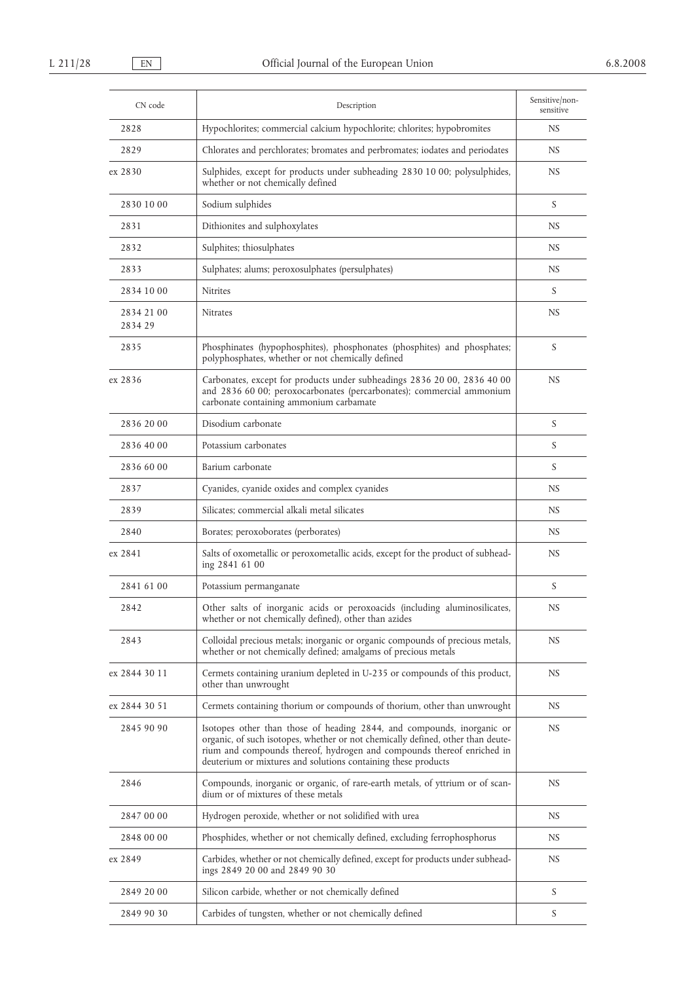| CN code              | Description                                                                                                                                                                                                                                                                                          | Sensitive/non-<br>sensitive |
|----------------------|------------------------------------------------------------------------------------------------------------------------------------------------------------------------------------------------------------------------------------------------------------------------------------------------------|-----------------------------|
| 2828                 | Hypochlorites; commercial calcium hypochlorite; chlorites; hypobromites                                                                                                                                                                                                                              | NS                          |
| 2829                 | Chlorates and perchlorates; bromates and perbromates; iodates and periodates                                                                                                                                                                                                                         | NS                          |
| ex 2830              | Sulphides, except for products under subheading 2830 10 00; polysulphides,<br>whether or not chemically defined                                                                                                                                                                                      | NS                          |
| 2830 10 00           | Sodium sulphides                                                                                                                                                                                                                                                                                     | S                           |
| 2831                 | Dithionites and sulphoxylates                                                                                                                                                                                                                                                                        | NS                          |
| 2832                 | Sulphites; thiosulphates                                                                                                                                                                                                                                                                             | NS                          |
| 2833                 | Sulphates; alums; peroxosulphates (persulphates)                                                                                                                                                                                                                                                     | NS                          |
| 2834 10 00           | <b>Nitrites</b>                                                                                                                                                                                                                                                                                      | S                           |
| 2834 21 00<br>283429 | <b>Nitrates</b>                                                                                                                                                                                                                                                                                      | NS                          |
| 2835                 | Phosphinates (hypophosphites), phosphonates (phosphites) and phosphates;<br>polyphosphates, whether or not chemically defined                                                                                                                                                                        | S                           |
| ex 2836              | Carbonates, except for products under subheadings 2836 20 00, 2836 40 00<br>and 2836 60 00; peroxocarbonates (percarbonates); commercial ammonium<br>carbonate containing ammonium carbamate                                                                                                         | NS                          |
| 2836 20 00           | Disodium carbonate                                                                                                                                                                                                                                                                                   | S                           |
| 2836 40 00           | Potassium carbonates                                                                                                                                                                                                                                                                                 | S                           |
| 2836 60 00           | Barium carbonate                                                                                                                                                                                                                                                                                     | S                           |
| 2837                 | Cyanides, cyanide oxides and complex cyanides                                                                                                                                                                                                                                                        | NS                          |
| 2839                 | Silicates; commercial alkali metal silicates                                                                                                                                                                                                                                                         | NS                          |
| 2840                 | Borates; peroxoborates (perborates)                                                                                                                                                                                                                                                                  | NS.                         |
| ex 2841              | Salts of oxometallic or peroxometallic acids, except for the product of subhead-<br>ing 2841 61 00                                                                                                                                                                                                   | NS                          |
| 2841 61 00           | Potassium permanganate                                                                                                                                                                                                                                                                               | S                           |
| 2842                 | Other salts of inorganic acids or peroxoacids (including aluminosilicates,<br>whether or not chemically defined), other than azides                                                                                                                                                                  | NS                          |
| 2843                 | Colloidal precious metals; inorganic or organic compounds of precious metals,<br>whether or not chemically defined; amalgams of precious metals                                                                                                                                                      | NS                          |
| ex 2844 30 11        | Cermets containing uranium depleted in U-235 or compounds of this product,<br>other than unwrought                                                                                                                                                                                                   | NS                          |
| ex 2844 30 51        | Cermets containing thorium or compounds of thorium, other than unwrought                                                                                                                                                                                                                             | NS                          |
| 2845 90 90           | Isotopes other than those of heading 2844, and compounds, inorganic or<br>organic, of such isotopes, whether or not chemically defined, other than deute-<br>rium and compounds thereof, hydrogen and compounds thereof enriched in<br>deuterium or mixtures and solutions containing these products | NS                          |
| 2846                 | Compounds, inorganic or organic, of rare-earth metals, of yttrium or of scan-<br>dium or of mixtures of these metals                                                                                                                                                                                 | NS                          |
| 2847 00 00           | Hydrogen peroxide, whether or not solidified with urea                                                                                                                                                                                                                                               | NS                          |
| 2848 00 00           | Phosphides, whether or not chemically defined, excluding ferrophosphorus                                                                                                                                                                                                                             | NS                          |
| ex 2849              | Carbides, whether or not chemically defined, except for products under subhead-<br>ings 2849 20 00 and 2849 90 30                                                                                                                                                                                    | NS                          |
| 2849 20 00           | Silicon carbide, whether or not chemically defined                                                                                                                                                                                                                                                   | S                           |
| 2849 90 30           | Carbides of tungsten, whether or not chemically defined                                                                                                                                                                                                                                              | S                           |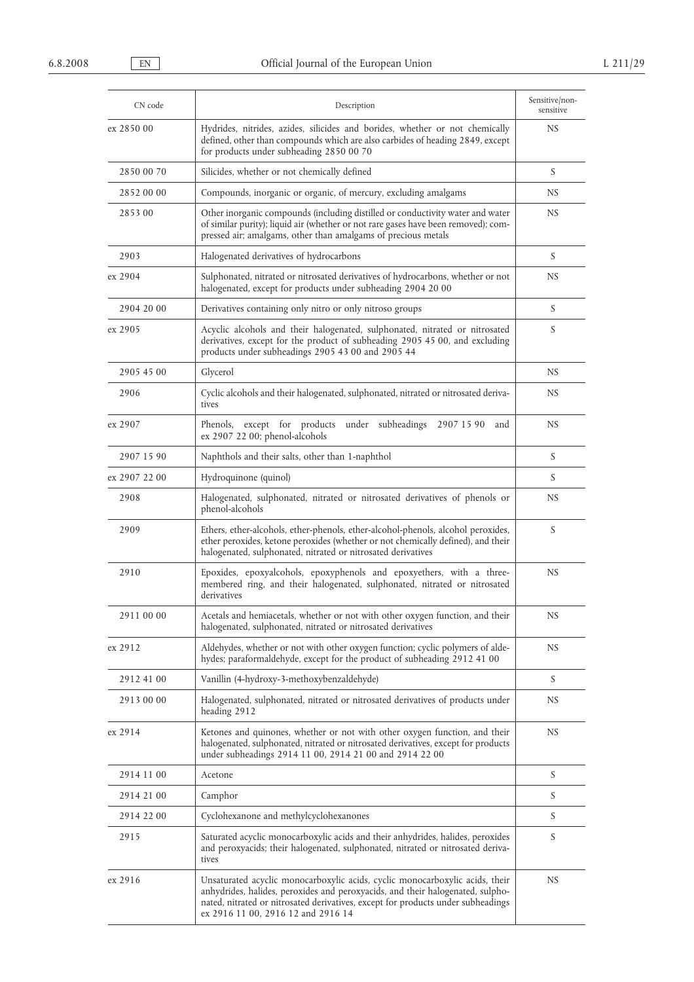| CN code       | Description                                                                                                                                                                                                                                                                              | Sensitive/non-<br>sensitive |
|---------------|------------------------------------------------------------------------------------------------------------------------------------------------------------------------------------------------------------------------------------------------------------------------------------------|-----------------------------|
| ex 2850 00    | Hydrides, nitrides, azides, silicides and borides, whether or not chemically<br>defined, other than compounds which are also carbides of heading 2849, except<br>for products under subheading 2850 00 70                                                                                | <b>NS</b>                   |
| 2850 00 70    | Silicides, whether or not chemically defined                                                                                                                                                                                                                                             | S                           |
| 2852 00 00    | Compounds, inorganic or organic, of mercury, excluding amalgams                                                                                                                                                                                                                          | NS                          |
| 2853 00       | Other inorganic compounds (including distilled or conductivity water and water<br>of similar purity); liquid air (whether or not rare gases have been removed); com-<br>pressed air; amalgams, other than amalgams of precious metals                                                    | NS                          |
| 2903          | Halogenated derivatives of hydrocarbons                                                                                                                                                                                                                                                  | S                           |
| ex 2904       | Sulphonated, nitrated or nitrosated derivatives of hydrocarbons, whether or not<br>halogenated, except for products under subheading 2904 20 00                                                                                                                                          | NS                          |
| 2904 20 00    | Derivatives containing only nitro or only nitroso groups                                                                                                                                                                                                                                 | S                           |
| ex 2905       | Acyclic alcohols and their halogenated, sulphonated, nitrated or nitrosated<br>derivatives, except for the product of subheading 2905 45 00, and excluding<br>products under subheadings 2905 43 00 and 2905 44                                                                          | S                           |
| 2905 45 00    | Glycerol                                                                                                                                                                                                                                                                                 | NS                          |
| 2906          | Cyclic alcohols and their halogenated, sulphonated, nitrated or nitrosated deriva-<br>tives                                                                                                                                                                                              | NS                          |
| ex 2907       | Phenols, except for products under subheadings 2907 15 90<br>and<br>ex 2907 22 00; phenol-alcohols                                                                                                                                                                                       | <b>NS</b>                   |
| 2907 15 90    | Naphthols and their salts, other than 1-naphthol                                                                                                                                                                                                                                         | S                           |
| ex 2907 22 00 | Hydroquinone (quinol)                                                                                                                                                                                                                                                                    | S                           |
| 2908          | Halogenated, sulphonated, nitrated or nitrosated derivatives of phenols or<br>phenol-alcohols                                                                                                                                                                                            | NS                          |
| 2909          | Ethers, ether-alcohols, ether-phenols, ether-alcohol-phenols, alcohol peroxides,<br>ether peroxides, ketone peroxides (whether or not chemically defined), and their<br>halogenated, sulphonated, nitrated or nitrosated derivatives                                                     | S                           |
| 2910          | Epoxides, epoxyalcohols, epoxyphenols and epoxyethers, with a three-<br>membered ring, and their halogenated, sulphonated, nitrated or nitrosated<br>derivatives                                                                                                                         | <b>NS</b>                   |
| 2911 00 00    | Acetals and hemiacetals, whether or not with other oxygen function, and their<br>halogenated, sulphonated, nitrated or nitrosated derivatives                                                                                                                                            | NS                          |
| ex 2912       | Aldehydes, whether or not with other oxygen function; cyclic polymers of alde-<br>hydes; paraformaldehyde, except for the product of subheading 2912 41 00                                                                                                                               | NS                          |
| 2912 41 00    | Vanillin (4-hydroxy-3-methoxybenzaldehyde)                                                                                                                                                                                                                                               | S                           |
| 2913 00 00    | Halogenated, sulphonated, nitrated or nitrosated derivatives of products under<br>heading 2912                                                                                                                                                                                           | NS                          |
| ex 2914       | Ketones and quinones, whether or not with other oxygen function, and their<br>halogenated, sulphonated, nitrated or nitrosated derivatives, except for products<br>under subheadings 2914 11 00, 2914 21 00 and 2914 22 00                                                               | NS                          |
| 2914 11 00    | Acetone                                                                                                                                                                                                                                                                                  | S                           |
| 2914 21 00    | Camphor                                                                                                                                                                                                                                                                                  | S                           |
| 2914 22 00    | Cyclohexanone and methylcyclohexanones                                                                                                                                                                                                                                                   | S                           |
| 2915          | Saturated acyclic monocarboxylic acids and their anhydrides, halides, peroxides<br>and peroxyacids; their halogenated, sulphonated, nitrated or nitrosated deriva-<br>tives                                                                                                              | S                           |
| ex 2916       | Unsaturated acyclic monocarboxylic acids, cyclic monocarboxylic acids, their<br>anhydrides, halides, peroxides and peroxyacids, and their halogenated, sulpho-<br>nated, nitrated or nitrosated derivatives, except for products under subheadings<br>ex 2916 11 00, 2916 12 and 2916 14 | NS                          |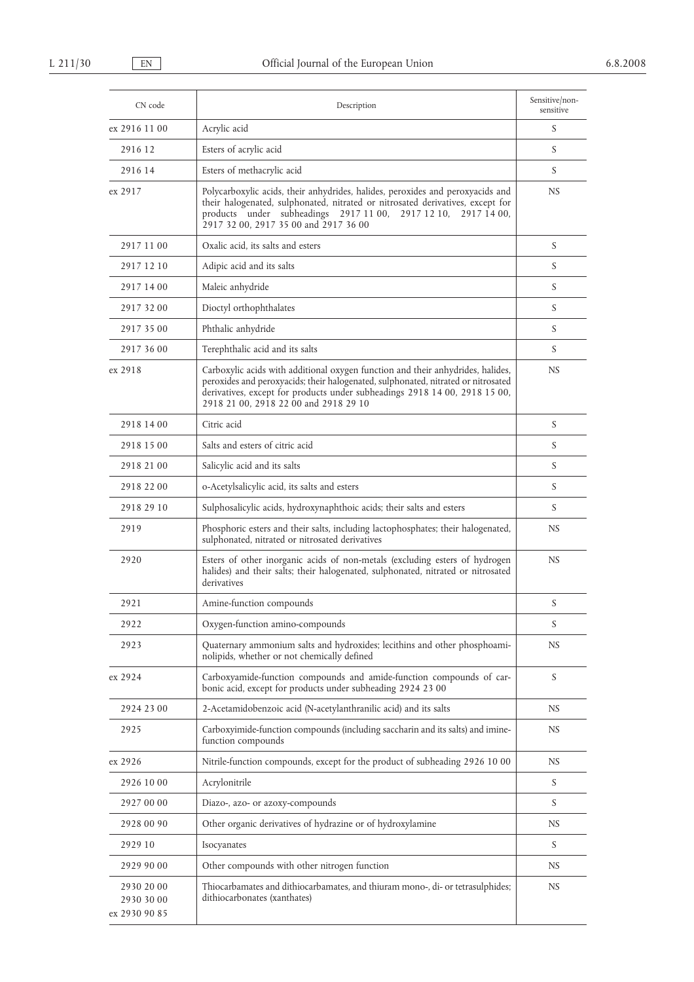| CN code                                   | Description                                                                                                                                                                                                                                                                                 | Sensitive/non-<br>sensitive |
|-------------------------------------------|---------------------------------------------------------------------------------------------------------------------------------------------------------------------------------------------------------------------------------------------------------------------------------------------|-----------------------------|
| ex 2916 11 00                             | Acrylic acid                                                                                                                                                                                                                                                                                | S                           |
| 2916 12                                   | Esters of acrylic acid                                                                                                                                                                                                                                                                      | S                           |
| 2916 14                                   | Esters of methacrylic acid                                                                                                                                                                                                                                                                  | S                           |
| ex 2917                                   | Polycarboxylic acids, their anhydrides, halides, peroxides and peroxyacids and<br>their halogenated, sulphonated, nitrated or nitrosated derivatives, except for<br>products under subheadings 2917 11 00,<br>2917 12 10,<br>2917 14 00,<br>2917 32 00, 2917 35 00 and 2917 36 00           | NS                          |
| 2917 11 00                                | Oxalic acid, its salts and esters                                                                                                                                                                                                                                                           | S                           |
| 2917 12 10                                | Adipic acid and its salts                                                                                                                                                                                                                                                                   | S                           |
| 2917 14 00                                | Maleic anhydride                                                                                                                                                                                                                                                                            | S                           |
| 2917 32 00                                | Dioctyl orthophthalates                                                                                                                                                                                                                                                                     | S                           |
| 2917 35 00                                | Phthalic anhydride                                                                                                                                                                                                                                                                          | S                           |
| 2917 36 00                                | Terephthalic acid and its salts                                                                                                                                                                                                                                                             | S                           |
| ex 2918                                   | Carboxylic acids with additional oxygen function and their anhydrides, halides,<br>peroxides and peroxyacids; their halogenated, sulphonated, nitrated or nitrosated<br>derivatives, except for products under subheadings 2918 14 00, 2918 15 00,<br>2918 21 00, 2918 22 00 and 2918 29 10 | NS.                         |
| 2918 14 00                                | Citric acid                                                                                                                                                                                                                                                                                 | S                           |
| 2918 15 00                                | Salts and esters of citric acid                                                                                                                                                                                                                                                             | S                           |
| 2918 21 00                                | Salicylic acid and its salts                                                                                                                                                                                                                                                                | S                           |
| 2918 22 00                                | o-Acetylsalicylic acid, its salts and esters                                                                                                                                                                                                                                                | S                           |
| 2918 29 10                                | Sulphosalicylic acids, hydroxynaphthoic acids; their salts and esters                                                                                                                                                                                                                       | S                           |
| 2919                                      | Phosphoric esters and their salts, including lactophosphates; their halogenated,<br>sulphonated, nitrated or nitrosated derivatives                                                                                                                                                         | NS                          |
| 2920                                      | Esters of other inorganic acids of non-metals (excluding esters of hydrogen<br>halides) and their salts; their halogenated, sulphonated, nitrated or nitrosated<br>derivatives                                                                                                              | NS                          |
| 2921                                      | Amine-function compounds                                                                                                                                                                                                                                                                    | S                           |
| 2922                                      | Oxygen-function amino-compounds                                                                                                                                                                                                                                                             | S                           |
| 2923                                      | Quaternary ammonium salts and hydroxides; lecithins and other phosphoami-<br>nolipids, whether or not chemically defined                                                                                                                                                                    | NS                          |
| ex 2924                                   | Carboxyamide-function compounds and amide-function compounds of car-<br>bonic acid, except for products under subheading 2924 23 00                                                                                                                                                         | S                           |
| 2924 23 00                                | 2-Acetamidobenzoic acid (N-acetylanthranilic acid) and its salts                                                                                                                                                                                                                            | NS                          |
| 2925                                      | Carboxyimide-function compounds (including saccharin and its salts) and imine-<br>function compounds                                                                                                                                                                                        | NS                          |
| ex 2926                                   | Nitrile-function compounds, except for the product of subheading 2926 10 00                                                                                                                                                                                                                 | NS                          |
| 2926 10 00                                | Acrylonitrile                                                                                                                                                                                                                                                                               | S                           |
| 2927 00 00                                | Diazo-, azo- or azoxy-compounds                                                                                                                                                                                                                                                             | S                           |
| 2928 00 90                                | Other organic derivatives of hydrazine or of hydroxylamine                                                                                                                                                                                                                                  | NS                          |
| 2929 10                                   | Isocyanates                                                                                                                                                                                                                                                                                 | S                           |
| 2929 90 00                                | Other compounds with other nitrogen function                                                                                                                                                                                                                                                | NS                          |
| 2930 20 00<br>2930 30 00<br>ex 2930 90 85 | Thiocarbamates and dithiocarbamates, and thiuram mono-, di- or tetrasulphides;<br>dithiocarbonates (xanthates)                                                                                                                                                                              | NS                          |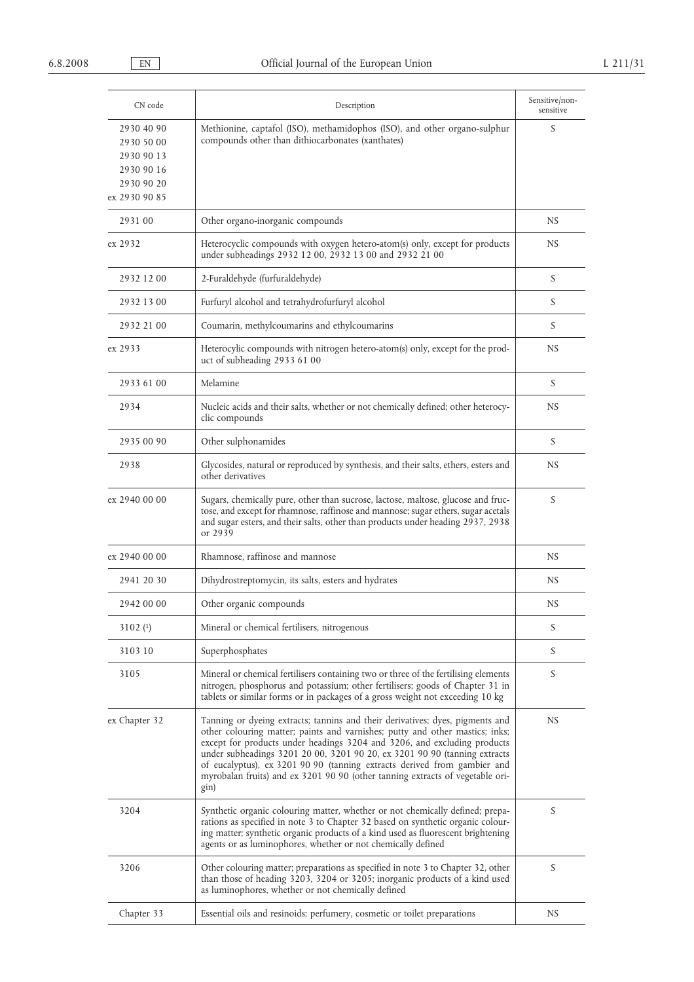| CN code                                                                             | Description                                                                                                                                                                                                                                                                                                                                                                                                                                                                                 | Sensitive/non-<br>sensitive |
|-------------------------------------------------------------------------------------|---------------------------------------------------------------------------------------------------------------------------------------------------------------------------------------------------------------------------------------------------------------------------------------------------------------------------------------------------------------------------------------------------------------------------------------------------------------------------------------------|-----------------------------|
| 2930 40 90<br>2930 50 00<br>2930 90 13<br>2930 90 16<br>2930 90 20<br>ex 2930 90 85 | Methionine, captafol (ISO), methamidophos (ISO), and other organo-sulphur<br>compounds other than dithiocarbonates (xanthates)                                                                                                                                                                                                                                                                                                                                                              | S                           |
| 2931 00                                                                             | Other organo-inorganic compounds                                                                                                                                                                                                                                                                                                                                                                                                                                                            | NS                          |
| ex 2932                                                                             | Heterocyclic compounds with oxygen hetero-atom(s) only, except for products<br>under subheadings 2932 12 00, 2932 13 00 and 2932 21 00                                                                                                                                                                                                                                                                                                                                                      | NS                          |
| 2932 12 00                                                                          | 2-Furaldehyde (furfuraldehyde)                                                                                                                                                                                                                                                                                                                                                                                                                                                              | S                           |
| 2932 13 00                                                                          | Furfuryl alcohol and tetrahydrofurfuryl alcohol                                                                                                                                                                                                                                                                                                                                                                                                                                             | S                           |
| 2932 21 00                                                                          | Coumarin, methylcoumarins and ethylcoumarins                                                                                                                                                                                                                                                                                                                                                                                                                                                | S                           |
| ex 2933                                                                             | Heterocylic compounds with nitrogen hetero-atom(s) only, except for the prod-<br>uct of subheading 2933 61 00                                                                                                                                                                                                                                                                                                                                                                               | NS                          |
| 2933 61 00                                                                          | Melamine                                                                                                                                                                                                                                                                                                                                                                                                                                                                                    | S                           |
| 2934                                                                                | Nucleic acids and their salts, whether or not chemically defined; other heterocy-<br>clic compounds                                                                                                                                                                                                                                                                                                                                                                                         | NS                          |
| 2935 00 90                                                                          | Other sulphonamides                                                                                                                                                                                                                                                                                                                                                                                                                                                                         | S                           |
| 2938                                                                                | Glycosides, natural or reproduced by synthesis, and their salts, ethers, esters and<br>other derivatives                                                                                                                                                                                                                                                                                                                                                                                    | NS                          |
| ex 2940 00 00                                                                       | Sugars, chemically pure, other than sucrose, lactose, maltose, glucose and fruc-<br>tose, and except for rhamnose, raffinose and mannose; sugar ethers, sugar acetals<br>and sugar esters, and their salts, other than products under heading 2937, 2938<br>or 2939                                                                                                                                                                                                                         | S                           |
| ex 2940 00 00                                                                       | Rhamnose, raffinose and mannose                                                                                                                                                                                                                                                                                                                                                                                                                                                             | NS                          |
| 2941 20 30                                                                          | Dihydrostreptomycin, its salts, esters and hydrates                                                                                                                                                                                                                                                                                                                                                                                                                                         | NS                          |
| 2942 00 00                                                                          | Other organic compounds                                                                                                                                                                                                                                                                                                                                                                                                                                                                     | NS                          |
| 3102 $(1)$                                                                          | Mineral or chemical fertilisers, nitrogenous                                                                                                                                                                                                                                                                                                                                                                                                                                                | S                           |
| 3103 10                                                                             | Superphosphates                                                                                                                                                                                                                                                                                                                                                                                                                                                                             | S                           |
| 3105                                                                                | Mineral or chemical fertilisers containing two or three of the fertilising elements<br>nitrogen, phosphorus and potassium; other fertilisers; goods of Chapter 31 in<br>tablets or similar forms or in packages of a gross weight not exceeding 10 kg                                                                                                                                                                                                                                       | S                           |
| ex Chapter 32                                                                       | Tanning or dyeing extracts; tannins and their derivatives; dyes, pigments and<br>other colouring matter; paints and varnishes; putty and other mastics; inks;<br>except for products under headings 3204 and 3206, and excluding products<br>under subheadings 3201 20 00, 3201 90 20, ex 3201 90 90 (tanning extracts<br>of eucalyptus), ex 3201 90 90 (tanning extracts derived from gambier and<br>myrobalan fruits) and ex 3201 90 90 (other tanning extracts of vegetable ori-<br>gin) | NS                          |
| 3204                                                                                | Synthetic organic colouring matter, whether or not chemically defined; prepa-<br>rations as specified in note 3 to Chapter 32 based on synthetic organic colour-<br>ing matter; synthetic organic products of a kind used as fluorescent brightening<br>agents or as luminophores, whether or not chemically defined                                                                                                                                                                        | S                           |
| 3206                                                                                | Other colouring matter; preparations as specified in note 3 to Chapter 32, other<br>than those of heading 3203, 3204 or 3205; inorganic products of a kind used<br>as luminophores, whether or not chemically defined                                                                                                                                                                                                                                                                       | S                           |
| Chapter 33                                                                          | Essential oils and resinoids; perfumery, cosmetic or toilet preparations                                                                                                                                                                                                                                                                                                                                                                                                                    | NS                          |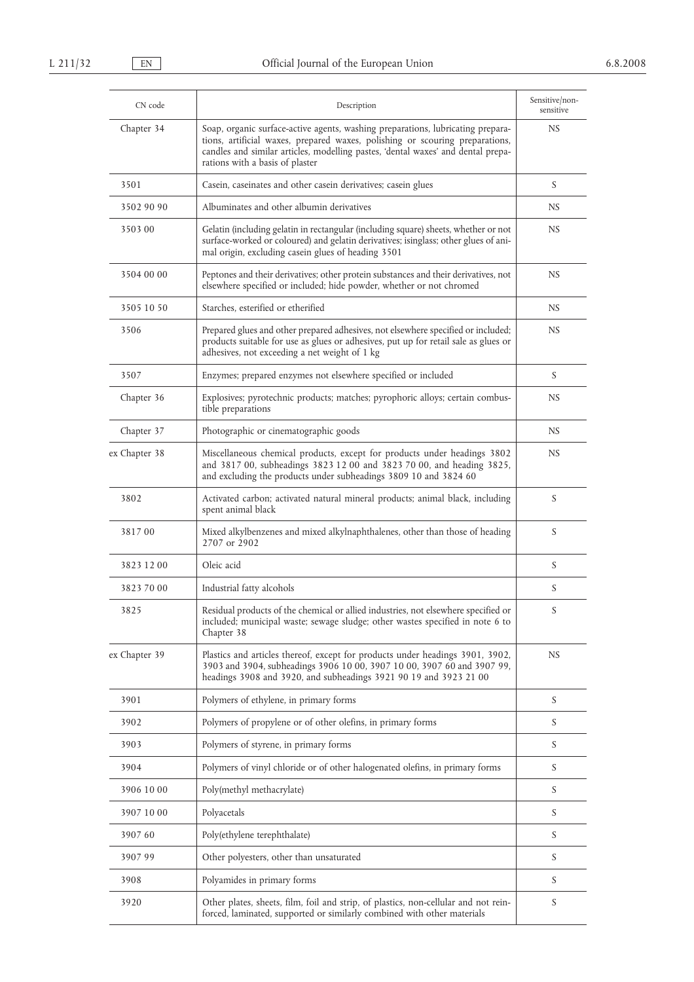| CN code       | Description                                                                                                                                                                                                                                                                            | Sensitive/non-<br>sensitive |
|---------------|----------------------------------------------------------------------------------------------------------------------------------------------------------------------------------------------------------------------------------------------------------------------------------------|-----------------------------|
| Chapter 34    | Soap, organic surface-active agents, washing preparations, lubricating prepara-<br>tions, artificial waxes, prepared waxes, polishing or scouring preparations,<br>candles and similar articles, modelling pastes, 'dental waxes' and dental prepa-<br>rations with a basis of plaster | <b>NS</b>                   |
| 3501          | Casein, caseinates and other casein derivatives; casein glues                                                                                                                                                                                                                          | S                           |
| 3502 90 90    | Albuminates and other albumin derivatives                                                                                                                                                                                                                                              | NS.                         |
| 3503 00       | Gelatin (including gelatin in rectangular (including square) sheets, whether or not<br>surface-worked or coloured) and gelatin derivatives; isinglass; other glues of ani-<br>mal origin, excluding casein glues of heading 3501                                                       | NS                          |
| 3504 00 00    | Peptones and their derivatives; other protein substances and their derivatives, not<br>elsewhere specified or included; hide powder, whether or not chromed                                                                                                                            | NS.                         |
| 3505 10 50    | Starches, esterified or etherified                                                                                                                                                                                                                                                     | <b>NS</b>                   |
| 3506          | Prepared glues and other prepared adhesives, not elsewhere specified or included;<br>products suitable for use as glues or adhesives, put up for retail sale as glues or<br>adhesives, not exceeding a net weight of 1 kg                                                              | NS.                         |
| 3507          | Enzymes; prepared enzymes not elsewhere specified or included                                                                                                                                                                                                                          | S                           |
| Chapter 36    | Explosives; pyrotechnic products; matches; pyrophoric alloys; certain combus-<br>tible preparations                                                                                                                                                                                    | NS                          |
| Chapter 37    | Photographic or cinematographic goods                                                                                                                                                                                                                                                  | NS.                         |
| ex Chapter 38 | Miscellaneous chemical products, except for products under headings 3802<br>and 3817 00, subheadings 3823 12 00 and 3823 70 00, and heading 3825,<br>and excluding the products under subheadings 3809 10 and 3824 60                                                                  | NS.                         |
| 3802          | Activated carbon; activated natural mineral products; animal black, including<br>spent animal black                                                                                                                                                                                    | S                           |
| 381700        | Mixed alkylbenzenes and mixed alkylnaphthalenes, other than those of heading<br>2707 or 2902                                                                                                                                                                                           | S                           |
| 3823 12 00    | Oleic acid                                                                                                                                                                                                                                                                             | S                           |
| 38237000      | Industrial fatty alcohols                                                                                                                                                                                                                                                              | S                           |
| 3825          | Residual products of the chemical or allied industries, not elsewhere specified or<br>included; municipal waste; sewage sludge; other wastes specified in note 6 to<br>Chapter 38                                                                                                      | S                           |
| ex Chapter 39 | Plastics and articles thereof, except for products under headings 3901, 3902,<br>3903 and 3904, subheadings 3906 10 00, 3907 10 00, 3907 60 and 3907 99,<br>headings 3908 and 3920, and subheadings 3921 90 19 and 3923 21 00                                                          | <b>NS</b>                   |
| 3901          | Polymers of ethylene, in primary forms                                                                                                                                                                                                                                                 | S                           |
| 3902          | Polymers of propylene or of other olefins, in primary forms                                                                                                                                                                                                                            | S                           |
| 3903          | Polymers of styrene, in primary forms                                                                                                                                                                                                                                                  | S                           |
| 3904          | Polymers of vinyl chloride or of other halogenated olefins, in primary forms                                                                                                                                                                                                           | S                           |
| 3906 10 00    | Poly(methyl methacrylate)                                                                                                                                                                                                                                                              | S                           |
| 3907 10 00    | Polyacetals                                                                                                                                                                                                                                                                            | S                           |
| 3907 60       | Poly(ethylene terephthalate)                                                                                                                                                                                                                                                           | S                           |
| 390799        | Other polyesters, other than unsaturated                                                                                                                                                                                                                                               | S                           |
| 3908          | Polyamides in primary forms                                                                                                                                                                                                                                                            | S                           |
| 3920          | Other plates, sheets, film, foil and strip, of plastics, non-cellular and not rein-<br>forced, laminated, supported or similarly combined with other materials                                                                                                                         | S                           |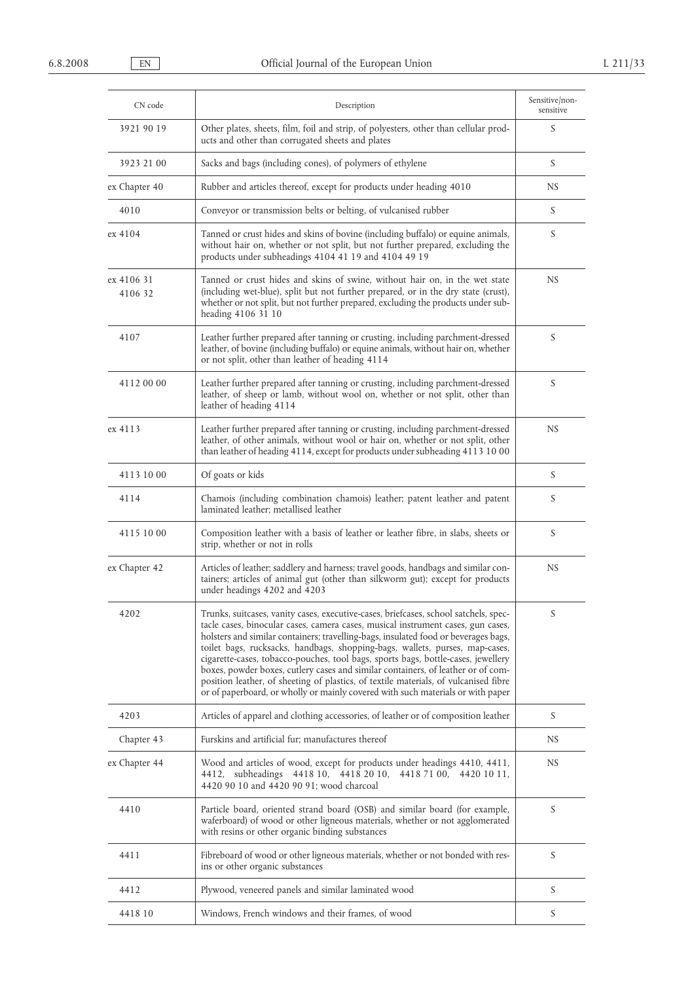| CN code              | Description                                                                                                                                                                                                                                                                                                                                                                                                                                                                                                                                                                                                                                                                                         | Sensitive/non-<br>sensitive |
|----------------------|-----------------------------------------------------------------------------------------------------------------------------------------------------------------------------------------------------------------------------------------------------------------------------------------------------------------------------------------------------------------------------------------------------------------------------------------------------------------------------------------------------------------------------------------------------------------------------------------------------------------------------------------------------------------------------------------------------|-----------------------------|
| 3921 90 19           | Other plates, sheets, film, foil and strip, of polyesters, other than cellular prod-<br>ucts and other than corrugated sheets and plates                                                                                                                                                                                                                                                                                                                                                                                                                                                                                                                                                            | S                           |
| 3923 21 00           | Sacks and bags (including cones), of polymers of ethylene                                                                                                                                                                                                                                                                                                                                                                                                                                                                                                                                                                                                                                           | S                           |
| ex Chapter 40        | Rubber and articles thereof, except for products under heading 4010                                                                                                                                                                                                                                                                                                                                                                                                                                                                                                                                                                                                                                 | NS                          |
| 4010                 | Conveyor or transmission belts or belting, of vulcanised rubber                                                                                                                                                                                                                                                                                                                                                                                                                                                                                                                                                                                                                                     | S                           |
| ex 4104              | Tanned or crust hides and skins of bovine (including buffalo) or equine animals,<br>without hair on, whether or not split, but not further prepared, excluding the<br>products under subheadings 4104 41 19 and 4104 49 19                                                                                                                                                                                                                                                                                                                                                                                                                                                                          | S                           |
| ex 4106 31<br>410632 | Tanned or crust hides and skins of swine, without hair on, in the wet state<br>(including wet-blue), split but not further prepared, or in the dry state (crust),<br>whether or not split, but not further prepared, excluding the products under sub-<br>heading 4106 31 10                                                                                                                                                                                                                                                                                                                                                                                                                        | <b>NS</b>                   |
| 4107                 | Leather further prepared after tanning or crusting, including parchment-dressed<br>leather, of bovine (including buffalo) or equine animals, without hair on, whether<br>or not split, other than leather of heading 4114                                                                                                                                                                                                                                                                                                                                                                                                                                                                           | S                           |
| 4112 00 00           | Leather further prepared after tanning or crusting, including parchment-dressed<br>leather, of sheep or lamb, without wool on, whether or not split, other than<br>leather of heading 4114                                                                                                                                                                                                                                                                                                                                                                                                                                                                                                          | S                           |
| ex 4113              | Leather further prepared after tanning or crusting, including parchment-dressed<br>leather, of other animals, without wool or hair on, whether or not split, other<br>than leather of heading 4114, except for products under subheading 4113 10 00                                                                                                                                                                                                                                                                                                                                                                                                                                                 | NS.                         |
| 4113 10 00           | Of goats or kids                                                                                                                                                                                                                                                                                                                                                                                                                                                                                                                                                                                                                                                                                    | S                           |
| 4114                 | Chamois (including combination chamois) leather; patent leather and patent<br>laminated leather: metallised leather                                                                                                                                                                                                                                                                                                                                                                                                                                                                                                                                                                                 | S                           |
| 4115 10 00           | Composition leather with a basis of leather or leather fibre, in slabs, sheets or<br>strip, whether or not in rolls                                                                                                                                                                                                                                                                                                                                                                                                                                                                                                                                                                                 | S                           |
| ex Chapter 42        | Articles of leather; saddlery and harness; travel goods, handbags and similar con-<br>tainers; articles of animal gut (other than silkworm gut); except for products<br>under headings 4202 and 4203                                                                                                                                                                                                                                                                                                                                                                                                                                                                                                | <b>NS</b>                   |
| 4202                 | Trunks, suitcases, vanity cases, executive-cases, briefcases, school satchels, spec-<br>tacle cases, binocular cases, camera cases, musical instrument cases, gun cases,<br>holsters and similar containers; travelling-bags, insulated food or beverages bags,<br>toilet bags, rucksacks, handbags, shopping-bags, wallets, purses, map-cases,<br>cigarette-cases, tobacco-pouches, tool bags, sports bags, bottle-cases, jewellery<br>boxes, powder boxes, cutlery cases and similar containers, of leather or of com-<br>position leather, of sheeting of plastics, of textile materials, of vulcanised fibre<br>or of paperboard, or wholly or mainly covered with such materials or with paper | S                           |
| 4203                 | Articles of apparel and clothing accessories, of leather or of composition leather                                                                                                                                                                                                                                                                                                                                                                                                                                                                                                                                                                                                                  | S                           |
| Chapter 43           | Furskins and artificial fur; manufactures thereof                                                                                                                                                                                                                                                                                                                                                                                                                                                                                                                                                                                                                                                   | NS                          |
| ex Chapter 44        | Wood and articles of wood, except for products under headings 4410, 4411,<br>4412, subheadings 4418 10, 4418 20 10,<br>4418 71 00, 4420 10 11,<br>4420 90 10 and 4420 90 91; wood charcoal                                                                                                                                                                                                                                                                                                                                                                                                                                                                                                          | NS                          |
| 4410                 | Particle board, oriented strand board (OSB) and similar board (for example,<br>waferboard) of wood or other ligneous materials, whether or not agglomerated<br>with resins or other organic binding substances                                                                                                                                                                                                                                                                                                                                                                                                                                                                                      | S                           |
| 4411                 | Fibreboard of wood or other ligneous materials, whether or not bonded with res-<br>ins or other organic substances                                                                                                                                                                                                                                                                                                                                                                                                                                                                                                                                                                                  | S                           |
| 4412                 | Plywood, veneered panels and similar laminated wood                                                                                                                                                                                                                                                                                                                                                                                                                                                                                                                                                                                                                                                 | S                           |
| 4418 10              | Windows, French windows and their frames, of wood                                                                                                                                                                                                                                                                                                                                                                                                                                                                                                                                                                                                                                                   | S                           |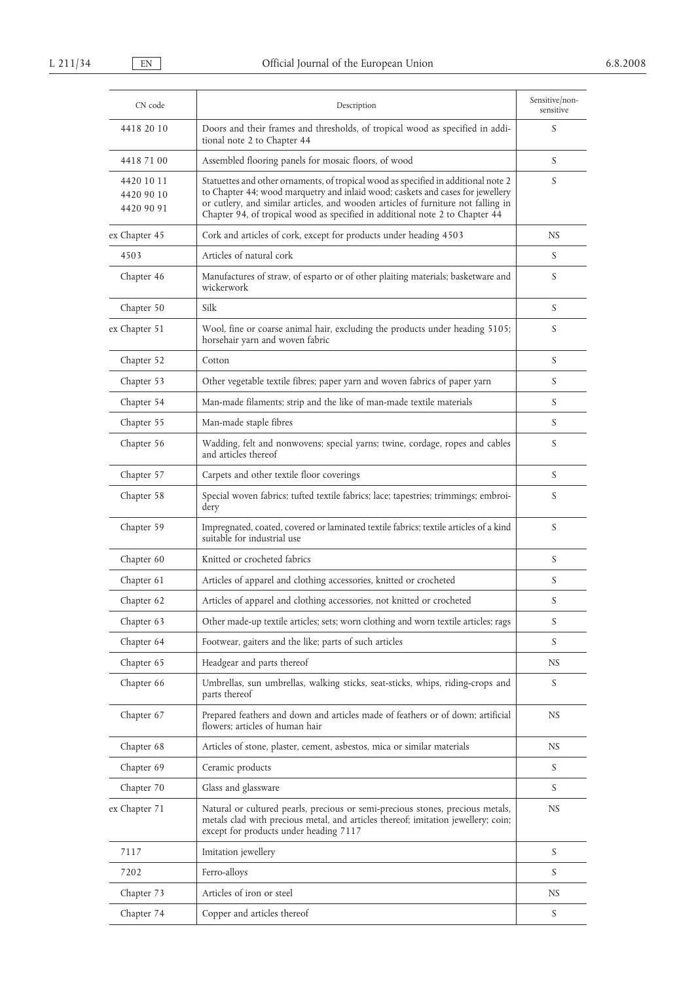| CN code                                | Description                                                                                                                                                                                                                                                                                                                               | Sensitive/non-<br>sensitive |
|----------------------------------------|-------------------------------------------------------------------------------------------------------------------------------------------------------------------------------------------------------------------------------------------------------------------------------------------------------------------------------------------|-----------------------------|
| 4418 20 10                             | Doors and their frames and thresholds, of tropical wood as specified in addi-<br>tional note 2 to Chapter 44                                                                                                                                                                                                                              | S                           |
| 4418 71 00                             | Assembled flooring panels for mosaic floors, of wood                                                                                                                                                                                                                                                                                      | S                           |
| 4420 10 11<br>4420 90 10<br>4420 90 91 | Statuettes and other ornaments, of tropical wood as specified in additional note 2<br>to Chapter 44; wood marquetry and inlaid wood; caskets and cases for jewellery<br>or cutlery, and similar articles, and wooden articles of furniture not falling in<br>Chapter 94, of tropical wood as specified in additional note 2 to Chapter 44 | S                           |
| ex Chapter 45                          | Cork and articles of cork, except for products under heading 4503                                                                                                                                                                                                                                                                         | NS                          |
| 4503                                   | Articles of natural cork                                                                                                                                                                                                                                                                                                                  | S                           |
| Chapter 46                             | Manufactures of straw, of esparto or of other plaiting materials; basketware and<br>wickerwork                                                                                                                                                                                                                                            | S                           |
| Chapter 50                             | Silk                                                                                                                                                                                                                                                                                                                                      | S                           |
| ex Chapter 51                          | Wool, fine or coarse animal hair, excluding the products under heading 5105;<br>horsehair yarn and woven fabric                                                                                                                                                                                                                           | S                           |
| Chapter 52                             | Cotton                                                                                                                                                                                                                                                                                                                                    | S                           |
| Chapter 53                             | Other vegetable textile fibres; paper yarn and woven fabrics of paper yarn                                                                                                                                                                                                                                                                | S                           |
| Chapter 54                             | Man-made filaments; strip and the like of man-made textile materials                                                                                                                                                                                                                                                                      | S                           |
| Chapter 55                             | Man-made staple fibres                                                                                                                                                                                                                                                                                                                    | S                           |
| Chapter 56                             | Wadding, felt and nonwovens; special yarns; twine, cordage, ropes and cables<br>and articles thereof                                                                                                                                                                                                                                      | S                           |
| Chapter 57                             | Carpets and other textile floor coverings                                                                                                                                                                                                                                                                                                 | S                           |
| Chapter 58                             | Special woven fabrics; tufted textile fabrics; lace; tapestries; trimmings; embroi-<br>dery                                                                                                                                                                                                                                               | S                           |
| Chapter 59                             | Impregnated, coated, covered or laminated textile fabrics; textile articles of a kind<br>suitable for industrial use                                                                                                                                                                                                                      | S                           |
| Chapter 60                             | Knitted or crocheted fabrics                                                                                                                                                                                                                                                                                                              | S                           |
| Chapter 61                             | Articles of apparel and clothing accessories, knitted or crocheted                                                                                                                                                                                                                                                                        | S                           |
| Chapter 62                             | Articles of apparel and clothing accessories, not knitted or crocheted                                                                                                                                                                                                                                                                    | S                           |
| Chapter 63                             | Other made-up textile articles; sets; worn clothing and worn textile articles; rags                                                                                                                                                                                                                                                       | S                           |
| Chapter 64                             | Footwear, gaiters and the like; parts of such articles                                                                                                                                                                                                                                                                                    | S                           |
| Chapter 65                             | Headgear and parts thereof                                                                                                                                                                                                                                                                                                                | NS                          |
| Chapter 66                             | Umbrellas, sun umbrellas, walking sticks, seat-sticks, whips, riding-crops and<br>parts thereof                                                                                                                                                                                                                                           | S                           |
| Chapter 67                             | Prepared feathers and down and articles made of feathers or of down; artificial<br>flowers; articles of human hair                                                                                                                                                                                                                        | NS.                         |
| Chapter 68                             | Articles of stone, plaster, cement, asbestos, mica or similar materials                                                                                                                                                                                                                                                                   | NS                          |
| Chapter 69                             | Ceramic products                                                                                                                                                                                                                                                                                                                          | S                           |
| Chapter 70                             | Glass and glassware                                                                                                                                                                                                                                                                                                                       | S                           |
| ex Chapter 71                          | Natural or cultured pearls, precious or semi-precious stones, precious metals,<br>metals clad with precious metal, and articles thereof; imitation jewellery; coin;<br>except for products under heading 7117                                                                                                                             | <b>NS</b>                   |
| 7117                                   | Imitation jewellery                                                                                                                                                                                                                                                                                                                       | S                           |
| 7202                                   | Ferro-alloys                                                                                                                                                                                                                                                                                                                              | S                           |
| Chapter 73                             | Articles of iron or steel                                                                                                                                                                                                                                                                                                                 | NS                          |
| Chapter 74                             | Copper and articles thereof                                                                                                                                                                                                                                                                                                               | S                           |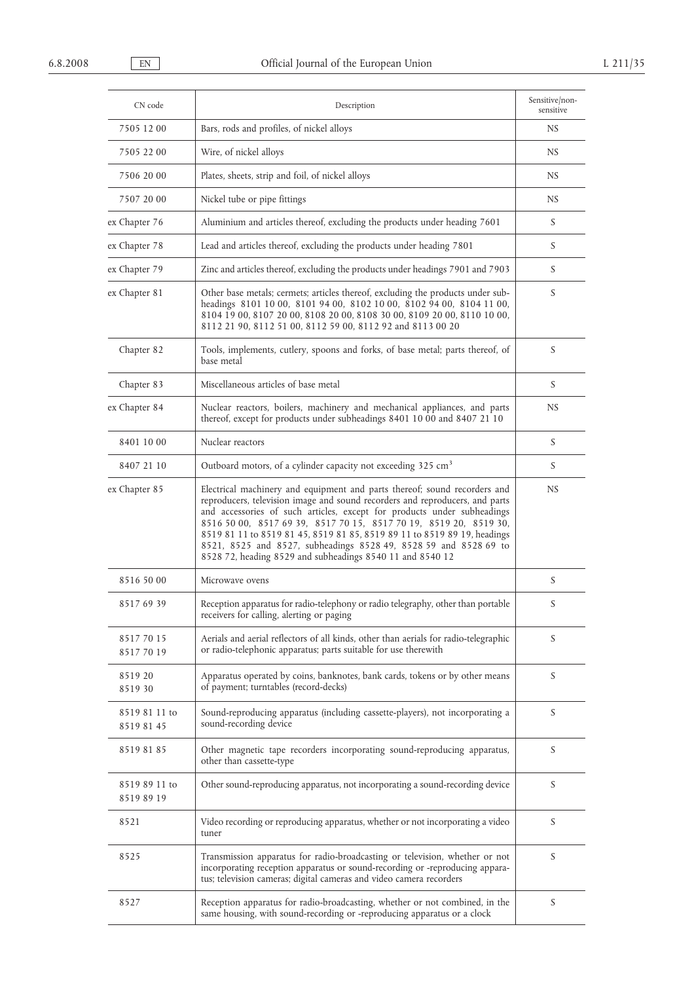| CN code                   | Description                                                                                                                                                                                                                                                                                                                                                                                                                                                                                                            | Sensitive/non-<br>sensitive |
|---------------------------|------------------------------------------------------------------------------------------------------------------------------------------------------------------------------------------------------------------------------------------------------------------------------------------------------------------------------------------------------------------------------------------------------------------------------------------------------------------------------------------------------------------------|-----------------------------|
| 7505 12 00                | Bars, rods and profiles, of nickel alloys                                                                                                                                                                                                                                                                                                                                                                                                                                                                              | <b>NS</b>                   |
| 7505 22 00                | Wire, of nickel alloys                                                                                                                                                                                                                                                                                                                                                                                                                                                                                                 | NS                          |
| 7506 20 00                | Plates, sheets, strip and foil, of nickel alloys                                                                                                                                                                                                                                                                                                                                                                                                                                                                       | NS                          |
| 7507 20 00                | Nickel tube or pipe fittings                                                                                                                                                                                                                                                                                                                                                                                                                                                                                           | NS                          |
| ex Chapter 76             | Aluminium and articles thereof, excluding the products under heading 7601                                                                                                                                                                                                                                                                                                                                                                                                                                              | S                           |
| ex Chapter 78             | Lead and articles thereof, excluding the products under heading 7801                                                                                                                                                                                                                                                                                                                                                                                                                                                   | S                           |
| ex Chapter 79             | Zinc and articles thereof, excluding the products under headings 7901 and 7903                                                                                                                                                                                                                                                                                                                                                                                                                                         | S                           |
| ex Chapter 81             | Other base metals; cermets; articles thereof, excluding the products under sub-<br>headings 8101 10 00, 8101 94 00, 8102 10 00, 8102 94 00, 8104 11 00,<br>8104 19 00, 8107 20 00, 8108 20 00, 8108 30 00, 8109 20 00, 8110 10 00,<br>8112 21 90, 8112 51 00, 8112 59 00, 8112 92 and 8113 00 20                                                                                                                                                                                                                       | S                           |
| Chapter 82                | Tools, implements, cutlery, spoons and forks, of base metal; parts thereof, of<br>base metal                                                                                                                                                                                                                                                                                                                                                                                                                           | S                           |
| Chapter 83                | Miscellaneous articles of base metal                                                                                                                                                                                                                                                                                                                                                                                                                                                                                   | S                           |
| ex Chapter 84             | Nuclear reactors, boilers, machinery and mechanical appliances, and parts<br>thereof, except for products under subheadings 8401 10 00 and 8407 21 10                                                                                                                                                                                                                                                                                                                                                                  | NS                          |
| 8401 10 00                | Nuclear reactors                                                                                                                                                                                                                                                                                                                                                                                                                                                                                                       | S                           |
| 8407 21 10                | Outboard motors, of a cylinder capacity not exceeding 325 cm <sup>3</sup>                                                                                                                                                                                                                                                                                                                                                                                                                                              | S                           |
| ex Chapter 85             | Electrical machinery and equipment and parts thereof; sound recorders and<br>reproducers, television image and sound recorders and reproducers, and parts<br>and accessories of such articles, except for products under subheadings<br>8516 50 00, 8517 69 39, 8517 70 15, 8517 70 19, 8519 20, 8519 30,<br>8519 81 11 to 8519 81 45, 8519 81 85, 8519 89 11 to 8519 89 19, headings<br>8521, 8525 and 8527, subheadings 8528 49, 8528 59 and 8528 69 to<br>8528 72, heading 8529 and subheadings 8540 11 and 8540 12 | NS                          |
| 8516 50 00                | Microwave ovens                                                                                                                                                                                                                                                                                                                                                                                                                                                                                                        | S                           |
| 85176939                  | Reception apparatus for radio-telephony or radio telegraphy, other than portable<br>receivers for calling, alerting or paging                                                                                                                                                                                                                                                                                                                                                                                          | S                           |
| 8517 70 15<br>85177019    | Aerials and aerial reflectors of all kinds, other than aerials for radio-telegraphic<br>or radio-telephonic apparatus; parts suitable for use therewith                                                                                                                                                                                                                                                                                                                                                                | S                           |
| 8519 20<br>851930         | Apparatus operated by coins, banknotes, bank cards, tokens or by other means<br>of payment; turntables (record-decks)                                                                                                                                                                                                                                                                                                                                                                                                  | S                           |
| 8519 81 11 to<br>85198145 | Sound-reproducing apparatus (including cassette-players), not incorporating a<br>sound-recording device                                                                                                                                                                                                                                                                                                                                                                                                                | S                           |
| 85198185                  | Other magnetic tape recorders incorporating sound-reproducing apparatus,<br>other than cassette-type                                                                                                                                                                                                                                                                                                                                                                                                                   | S                           |
| 8519 89 11 to<br>85198919 | Other sound-reproducing apparatus, not incorporating a sound-recording device                                                                                                                                                                                                                                                                                                                                                                                                                                          | S                           |
| 8521                      | Video recording or reproducing apparatus, whether or not incorporating a video<br>tuner                                                                                                                                                                                                                                                                                                                                                                                                                                | S                           |
| 8525                      | Transmission apparatus for radio-broadcasting or television, whether or not<br>incorporating reception apparatus or sound-recording or -reproducing appara-<br>tus; television cameras; digital cameras and video camera recorders                                                                                                                                                                                                                                                                                     | S                           |
| 8527                      | Reception apparatus for radio-broadcasting, whether or not combined, in the<br>same housing, with sound-recording or -reproducing apparatus or a clock                                                                                                                                                                                                                                                                                                                                                                 | S                           |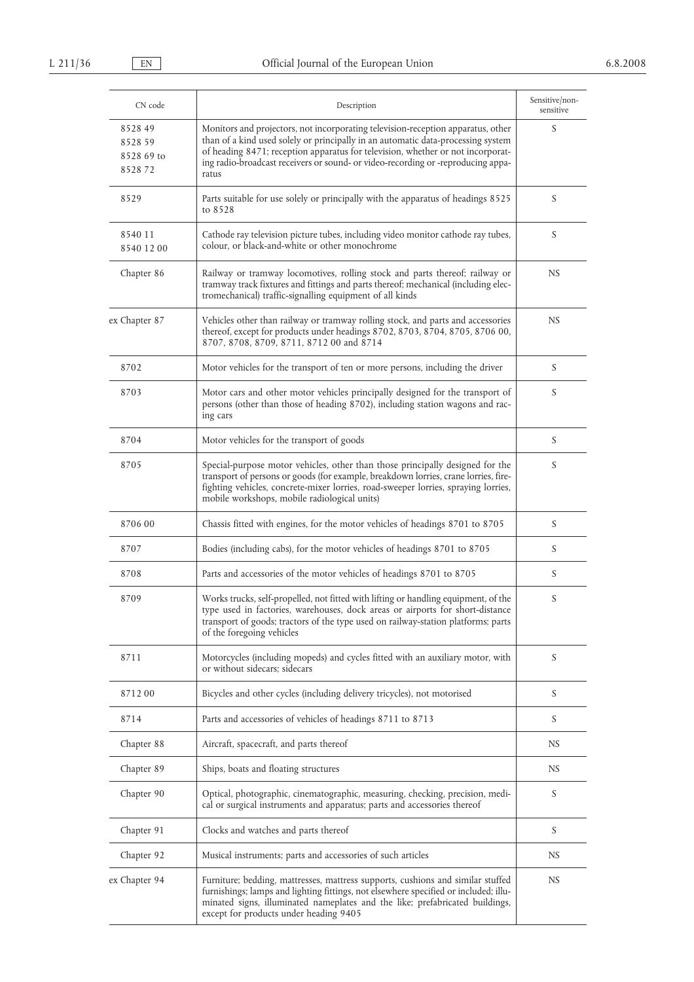| CN code                                   | Description                                                                                                                                                                                                                                                                                                                                          | Sensitive/non-<br>sensitive |
|-------------------------------------------|------------------------------------------------------------------------------------------------------------------------------------------------------------------------------------------------------------------------------------------------------------------------------------------------------------------------------------------------------|-----------------------------|
| 852849<br>8528 59<br>8528 69 to<br>852872 | Monitors and projectors, not incorporating television-reception apparatus, other<br>than of a kind used solely or principally in an automatic data-processing system<br>of heading 8471; reception apparatus for television, whether or not incorporat-<br>ing radio-broadcast receivers or sound- or video-recording or -reproducing appa-<br>ratus | S                           |
| 8529                                      | Parts suitable for use solely or principally with the apparatus of headings 8525<br>to 8528                                                                                                                                                                                                                                                          | S                           |
| 8540 11<br>8540 12 00                     | Cathode ray television picture tubes, including video monitor cathode ray tubes,<br>colour, or black-and-white or other monochrome                                                                                                                                                                                                                   | S                           |
| Chapter 86                                | Railway or tramway locomotives, rolling stock and parts thereof; railway or<br>tramway track fixtures and fittings and parts thereof; mechanical (including elec-<br>tromechanical) traffic-signalling equipment of all kinds                                                                                                                        | NS                          |
| ex Chapter 87                             | Vehicles other than railway or tramway rolling stock, and parts and accessories<br>thereof, except for products under headings 8702, 8703, 8704, 8705, 8706 00,<br>8707, 8708, 8709, 8711, 8712 00 and 8714                                                                                                                                          | NS                          |
| 8702                                      | Motor vehicles for the transport of ten or more persons, including the driver                                                                                                                                                                                                                                                                        | S                           |
| 8703                                      | Motor cars and other motor vehicles principally designed for the transport of<br>persons (other than those of heading 8702), including station wagons and rac-<br>ing cars                                                                                                                                                                           | S                           |
| 8704                                      | Motor vehicles for the transport of goods                                                                                                                                                                                                                                                                                                            | S                           |
| 8705                                      | Special-purpose motor vehicles, other than those principally designed for the<br>transport of persons or goods (for example, breakdown lorries, crane lorries, fire-<br>fighting vehicles, concrete-mixer lorries, road-sweeper lorries, spraying lorries,<br>mobile workshops, mobile radiological units)                                           | S                           |
| 8706 00                                   | Chassis fitted with engines, for the motor vehicles of headings 8701 to 8705                                                                                                                                                                                                                                                                         | S                           |
| 8707                                      | Bodies (including cabs), for the motor vehicles of headings 8701 to 8705                                                                                                                                                                                                                                                                             | S                           |
| 8708                                      | Parts and accessories of the motor vehicles of headings 8701 to 8705                                                                                                                                                                                                                                                                                 | S                           |
| 8709                                      | Works trucks, self-propelled, not fitted with lifting or handling equipment, of the<br>type used in factories, warehouses, dock areas or airports for short-distance<br>transport of goods; tractors of the type used on railway-station platforms; parts<br>of the foregoing vehicles                                                               | S                           |
| 8711                                      | Motorcycles (including mopeds) and cycles fitted with an auxiliary motor, with<br>or without sidecars; sidecars                                                                                                                                                                                                                                      | S                           |
| 871200                                    | Bicycles and other cycles (including delivery tricycles), not motorised                                                                                                                                                                                                                                                                              | S                           |
| 8714                                      | Parts and accessories of vehicles of headings 8711 to 8713                                                                                                                                                                                                                                                                                           | S                           |
| Chapter 88                                | Aircraft, spacecraft, and parts thereof                                                                                                                                                                                                                                                                                                              | NS                          |
| Chapter 89                                | Ships, boats and floating structures                                                                                                                                                                                                                                                                                                                 | NS                          |
| Chapter 90                                | Optical, photographic, cinematographic, measuring, checking, precision, medi-<br>cal or surgical instruments and apparatus; parts and accessories thereof                                                                                                                                                                                            | S                           |
| Chapter 91                                | Clocks and watches and parts thereof                                                                                                                                                                                                                                                                                                                 | S                           |
| Chapter 92                                | Musical instruments; parts and accessories of such articles                                                                                                                                                                                                                                                                                          | NS                          |
| ex Chapter 94                             | Furniture; bedding, mattresses, mattress supports, cushions and similar stuffed<br>furnishings; lamps and lighting fittings, not elsewhere specified or included; illu-<br>minated signs, illuminated nameplates and the like; prefabricated buildings,<br>except for products under heading 9405                                                    | NS                          |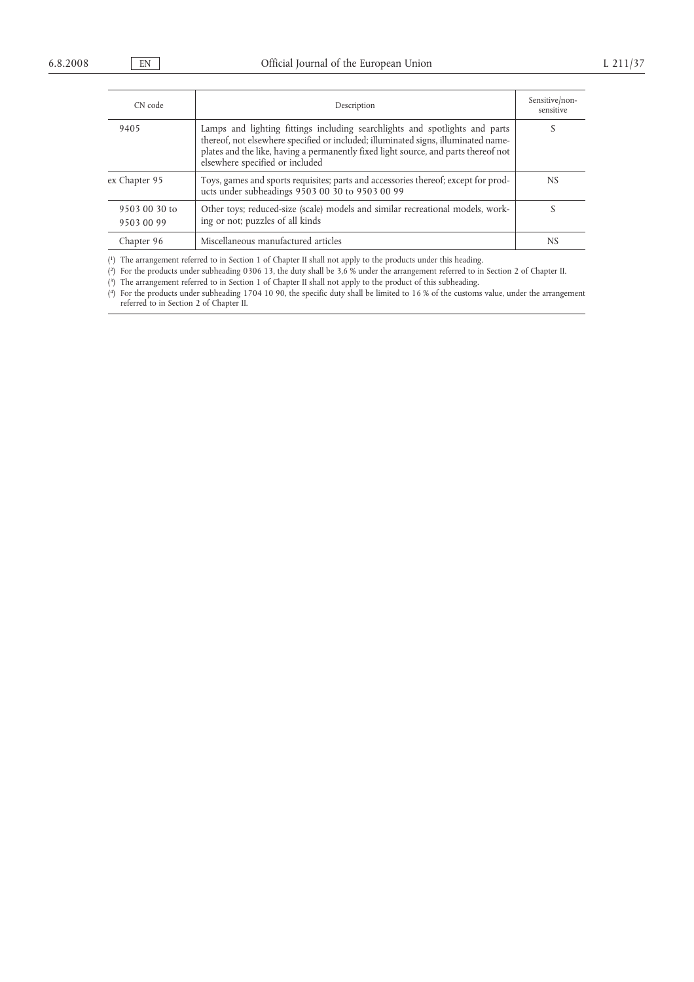| CN code                     | Description                                                                                                                                                                                                                                                                                 | Sensitive/non-<br>sensitive |
|-----------------------------|---------------------------------------------------------------------------------------------------------------------------------------------------------------------------------------------------------------------------------------------------------------------------------------------|-----------------------------|
| 9405                        | Lamps and lighting fittings including searchlights and spotlights and parts<br>thereof, not elsewhere specified or included; illuminated signs, illuminated name-<br>plates and the like, having a permanently fixed light source, and parts thereof not<br>elsewhere specified or included | S                           |
| ex Chapter 95               | Toys, games and sports requisites; parts and accessories thereof; except for prod-<br>ucts under subheadings 9503 00 30 to 9503 00 99                                                                                                                                                       | NS.                         |
| 9503 00 30 to<br>9503 00 99 | Other toys; reduced-size (scale) models and similar recreational models, work-<br>ing or not; puzzles of all kinds                                                                                                                                                                          | S                           |
| Chapter 96                  | Miscellaneous manufactured articles                                                                                                                                                                                                                                                         | NS                          |

( 1) The arrangement referred to in Section 1 of Chapter II shall not apply to the products under this heading.

( 2) For the products under subheading 0306 13, the duty shall be 3,6 % under the arrangement referred to in Section 2 of Chapter II.

( 3) The arrangement referred to in Section 1 of Chapter II shall not apply to the product of this subheading.

( 4) For the products under subheading 1704 10 90, the specific duty shall be limited to 16 % of the customs value, under the arrangement referred to in Section 2 of Chapter II.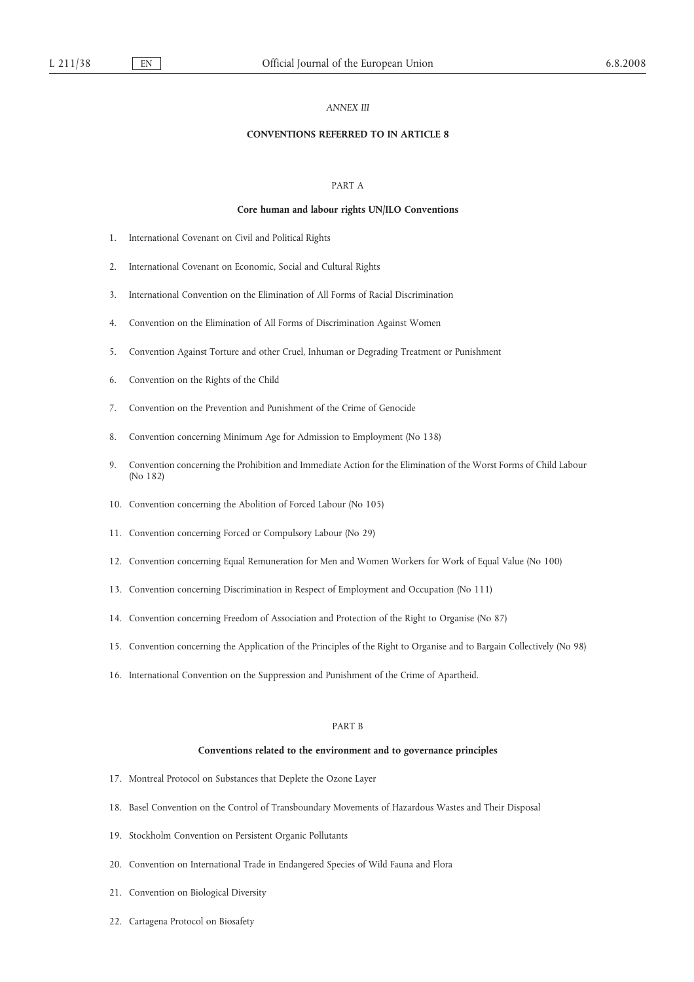### *ANNEX III*

## **CONVENTIONS REFERRED TO IN ARTICLE 8**

## PART A

## **Core human and labour rights UN/ILO Conventions**

- 1. International Covenant on Civil and Political Rights
- 2. International Covenant on Economic, Social and Cultural Rights
- 3. International Convention on the Elimination of All Forms of Racial Discrimination
- 4. Convention on the Elimination of All Forms of Discrimination Against Women
- 5. Convention Against Torture and other Cruel, Inhuman or Degrading Treatment or Punishment
- 6. Convention on the Rights of the Child
- 7. Convention on the Prevention and Punishment of the Crime of Genocide
- 8. Convention concerning Minimum Age for Admission to Employment (No 138)
- 9. Convention concerning the Prohibition and Immediate Action for the Elimination of the Worst Forms of Child Labour (No 182)
- 10. Convention concerning the Abolition of Forced Labour (No 105)
- 11. Convention concerning Forced or Compulsory Labour (No 29)
- 12. Convention concerning Equal Remuneration for Men and Women Workers for Work of Equal Value (No 100)
- 13. Convention concerning Discrimination in Respect of Employment and Occupation (No 111)
- 14. Convention concerning Freedom of Association and Protection of the Right to Organise (No 87)
- 15. Convention concerning the Application of the Principles of the Right to Organise and to Bargain Collectively (No 98)
- 16. International Convention on the Suppression and Punishment of the Crime of Apartheid.

#### PART B

## **Conventions related to the environment and to governance principles**

- 17. Montreal Protocol on Substances that Deplete the Ozone Layer
- 18. Basel Convention on the Control of Transboundary Movements of Hazardous Wastes and Their Disposal
- 19. Stockholm Convention on Persistent Organic Pollutants
- 20. Convention on International Trade in Endangered Species of Wild Fauna and Flora
- 21. Convention on Biological Diversity
- 22. Cartagena Protocol on Biosafety